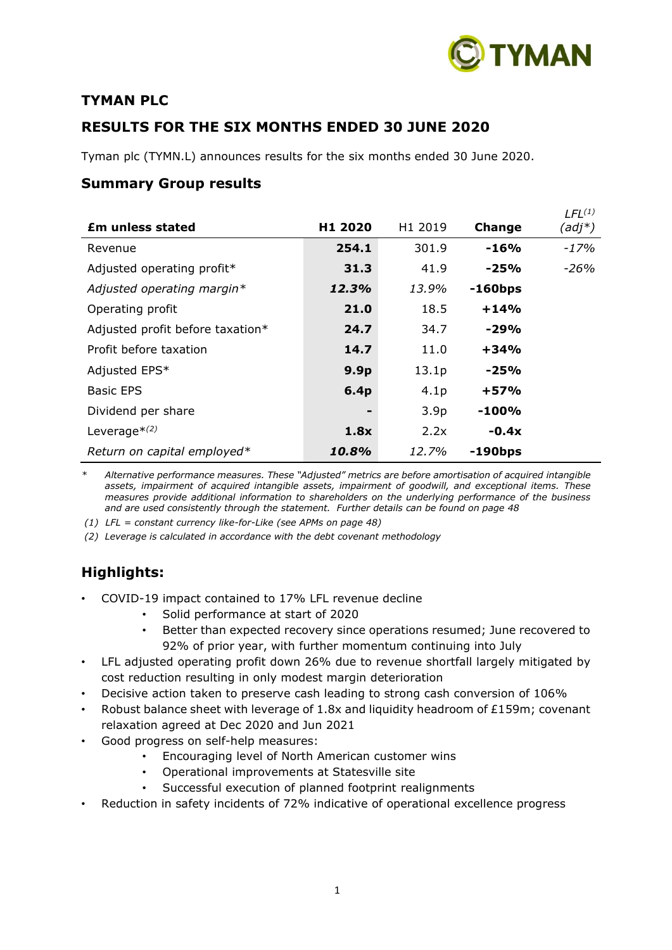

# **TYMAN PLC**

# **RESULTS FOR THE SIX MONTHS ENDED 30 JUNE 2020**

Tyman plc (TYMN.L) announces results for the six months ended 30 June 2020.

# **Summary Group results**

|                  |                  |            | $LFL^{(1)}$ |
|------------------|------------------|------------|-------------|
| H1 2020          | H1 2019          | Change     | $(adj^*)$   |
| 254.1            | 301.9            | $-16%$     | -17%        |
| 31.3             | 41.9             | $-25%$     | -26%        |
| 12.3%            | 13.9%            | $-160$ bps |             |
| 21.0             | 18.5             | $+14%$     |             |
| 24.7             | 34.7             | $-29%$     |             |
| 14.7             | 11.0             | $+34%$     |             |
| 9.9 <sub>p</sub> | 13.1p            | $-25%$     |             |
| 6.4 <sub>p</sub> | 4.1 <sub>p</sub> | $+57%$     |             |
|                  | 3.9 <sub>p</sub> | $-100%$    |             |
| 1.8x             | 2.2x             | $-0.4x$    |             |
| 10.8%            | 12.7%            | $-190$ bps |             |
|                  |                  |            |             |

*\* Alternative performance measures. These "Adjusted" metrics are before amortisation of acquired intangible assets, impairment of acquired intangible assets, impairment of goodwill, and exceptional items. These measures provide additional information to shareholders on the underlying performance of the business and are used consistently through the statement. Further details can be found on page 48*

*(1) LFL = constant currency like-for-Like (see APMs on page 48)*

*(2) Leverage is calculated in accordance with the debt covenant methodology*

# **Highlights:**

- COVID-19 impact contained to 17% LFL revenue decline
	- Solid performance at start of 2020
	- Better than expected recovery since operations resumed; June recovered to 92% of prior year, with further momentum continuing into July
- LFL adjusted operating profit down 26% due to revenue shortfall largely mitigated by cost reduction resulting in only modest margin deterioration
- Decisive action taken to preserve cash leading to strong cash conversion of 106%
- Robust balance sheet with leverage of 1.8x and liquidity headroom of £159m; covenant relaxation agreed at Dec 2020 and Jun 2021
- Good progress on self-help measures:
	- Encouraging level of North American customer wins
	- Operational improvements at Statesville site
	- Successful execution of planned footprint realignments
- Reduction in safety incidents of 72% indicative of operational excellence progress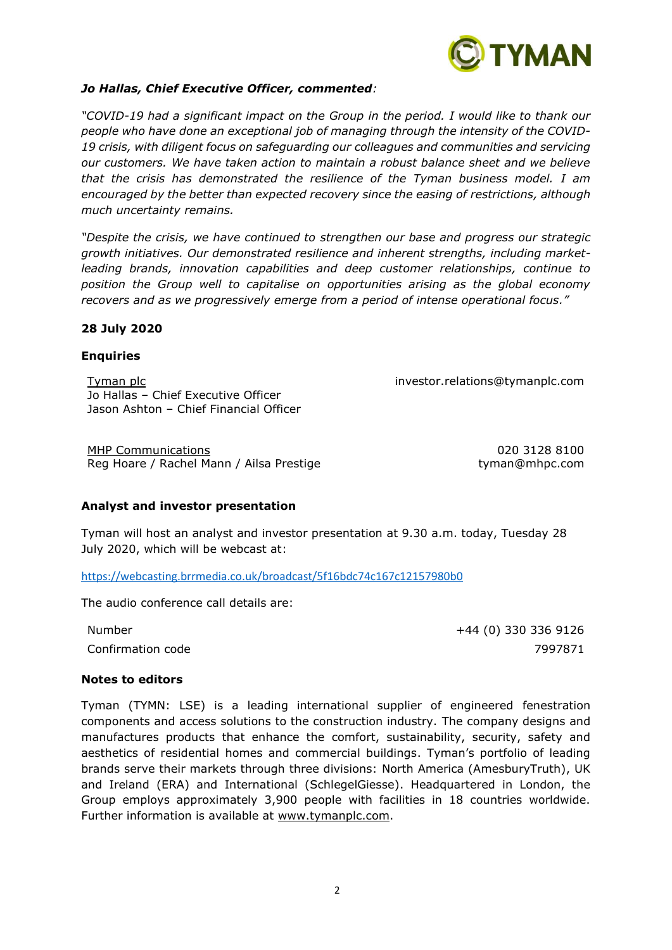

#### *Jo Hallas, Chief Executive Officer, commented:*

*"COVID-19 had a significant impact on the Group in the period. I would like to thank our people who have done an exceptional job of managing through the intensity of the COVID-19 crisis, with diligent focus on safeguarding our colleagues and communities and servicing our customers. We have taken action to maintain a robust balance sheet and we believe that the crisis has demonstrated the resilience of the Tyman business model. I am encouraged by the better than expected recovery since the easing of restrictions, although much uncertainty remains.* 

*"Despite the crisis, we have continued to strengthen our base and progress our strategic growth initiatives. Our demonstrated resilience and inherent strengths, including marketleading brands, innovation capabilities and deep customer relationships, continue to position the Group well to capitalise on opportunities arising as the global economy recovers and as we progressively emerge from a period of intense operational focus."*

#### **28 July 2020**

#### **Enquiries**

Tyman plc investor.relations@tymanplc.com Jo Hallas – Chief Executive Officer Jason Ashton – Chief Financial Officer

MHP Communications 020 3128 8100 Reg Hoare / Rachel Mann / Ailsa Prestige the state of the tyman@mhpc.com

#### **Analyst and investor presentation**

Tyman will host an analyst and investor presentation at 9.30 a.m. today, Tuesday 28 July 2020, which will be webcast at:

<https://webcasting.brrmedia.co.uk/broadcast/5f16bdc74c167c12157980b0>

The audio conference call details are:

Number +44 (0) 330 336 9126 Confirmation code 7997871

#### **Notes to editors**

Tyman (TYMN: LSE) is a leading international supplier of engineered fenestration components and access solutions to the construction industry. The company designs and manufactures products that enhance the comfort, sustainability, security, safety and aesthetics of residential homes and commercial buildings. Tyman's portfolio of leading brands serve their markets through three divisions: North America (AmesburyTruth), UK and Ireland (ERA) and International (SchlegelGiesse). Headquartered in London, the Group employs approximately 3,900 people with facilities in 18 countries worldwide. Further information is available at [www.tymanplc.com.](http://www.tymanplc.com/)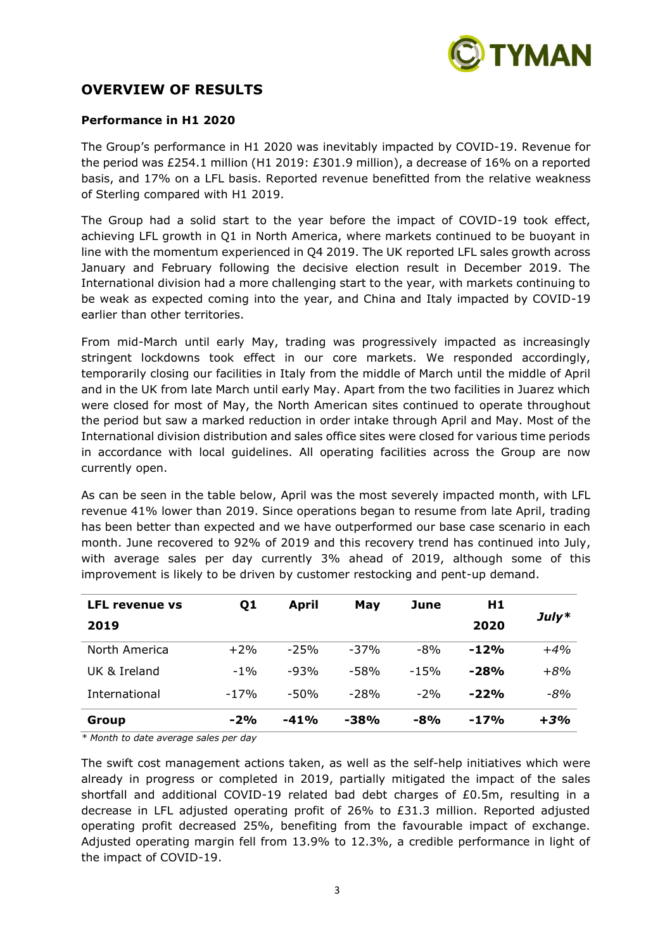

# **OVERVIEW OF RESULTS**

#### **Performance in H1 2020**

The Group's performance in H1 2020 was inevitably impacted by COVID-19. Revenue for the period was £254.1 million (H1 2019: £301.9 million), a decrease of 16% on a reported basis, and 17% on a LFL basis. Reported revenue benefitted from the relative weakness of Sterling compared with H1 2019.

The Group had a solid start to the year before the impact of COVID-19 took effect, achieving LFL growth in Q1 in North America, where markets continued to be buoyant in line with the momentum experienced in Q4 2019. The UK reported LFL sales growth across January and February following the decisive election result in December 2019. The International division had a more challenging start to the year, with markets continuing to be weak as expected coming into the year, and China and Italy impacted by COVID-19 earlier than other territories.

From mid-March until early May, trading was progressively impacted as increasingly stringent lockdowns took effect in our core markets. We responded accordingly, temporarily closing our facilities in Italy from the middle of March until the middle of April and in the UK from late March until early May. Apart from the two facilities in Juarez which were closed for most of May, the North American sites continued to operate throughout the period but saw a marked reduction in order intake through April and May. Most of the International division distribution and sales office sites were closed for various time periods in accordance with local guidelines. All operating facilities across the Group are now currently open.

As can be seen in the table below, April was the most severely impacted month, with LFL revenue 41% lower than 2019. Since operations began to resume from late April, trading has been better than expected and we have outperformed our base case scenario in each month. June recovered to 92% of 2019 and this recovery trend has continued into July, with average sales per day currently 3% ahead of 2019, although some of this improvement is likely to be driven by customer restocking and pent-up demand.

| <b>LFL revenue vs</b> | Q1     | April  | Mav    | June   | H1     |         |  |
|-----------------------|--------|--------|--------|--------|--------|---------|--|
| 2019                  |        |        |        |        | 2020   | $July*$ |  |
| North America         | $+2\%$ | $-25%$ | $-37%$ | $-8%$  | $-12%$ | $+4%$   |  |
| UK & Ireland          | $-1%$  | $-93%$ | $-58%$ | $-15%$ | $-28%$ | $+8%$   |  |
| International         | $-17%$ | $-50%$ | $-28%$ | $-2%$  | $-22%$ | -8%     |  |
| Group                 | $-2%$  | $-41%$ | $-38%$ | $-8%$  | $-17%$ | $+3%$   |  |

*\* Month to date average sales per day*

The swift cost management actions taken, as well as the self-help initiatives which were already in progress or completed in 2019, partially mitigated the impact of the sales shortfall and additional COVID-19 related bad debt charges of £0.5m, resulting in a decrease in LFL adjusted operating profit of 26% to £31.3 million. Reported adjusted operating profit decreased 25%, benefiting from the favourable impact of exchange. Adjusted operating margin fell from 13.9% to 12.3%, a credible performance in light of the impact of COVID-19.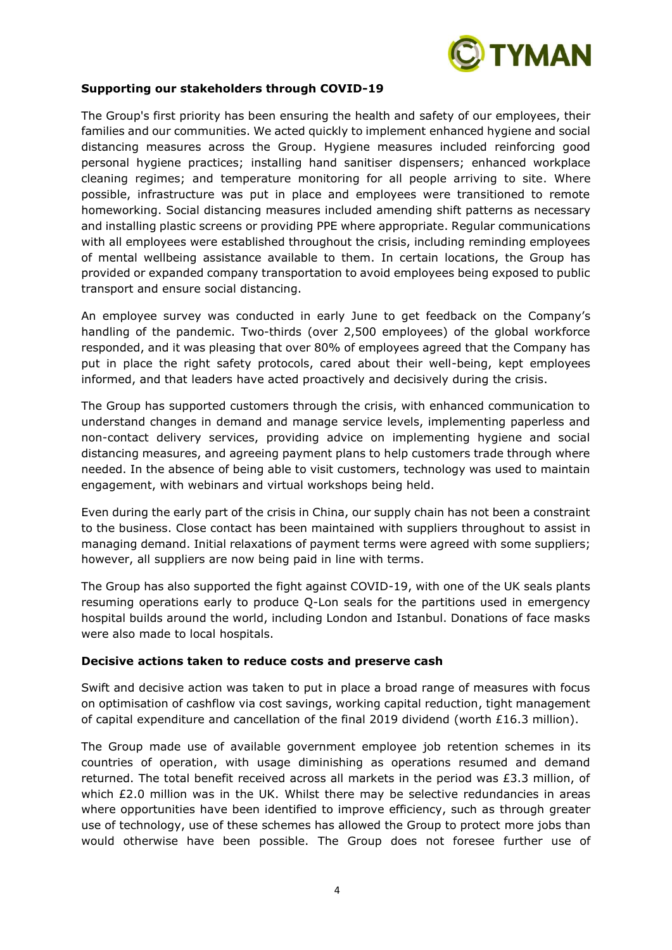

#### **Supporting our stakeholders through COVID-19**

The Group's first priority has been ensuring the health and safety of our employees, their families and our communities. We acted quickly to implement enhanced hygiene and social distancing measures across the Group. Hygiene measures included reinforcing good personal hygiene practices; installing hand sanitiser dispensers; enhanced workplace cleaning regimes; and temperature monitoring for all people arriving to site. Where possible, infrastructure was put in place and employees were transitioned to remote homeworking. Social distancing measures included amending shift patterns as necessary and installing plastic screens or providing PPE where appropriate. Regular communications with all employees were established throughout the crisis, including reminding employees of mental wellbeing assistance available to them. In certain locations, the Group has provided or expanded company transportation to avoid employees being exposed to public transport and ensure social distancing.

An employee survey was conducted in early June to get feedback on the Company's handling of the pandemic. Two-thirds (over 2,500 employees) of the global workforce responded, and it was pleasing that over 80% of employees agreed that the Company has put in place the right safety protocols, cared about their well-being, kept employees informed, and that leaders have acted proactively and decisively during the crisis.

The Group has supported customers through the crisis, with enhanced communication to understand changes in demand and manage service levels, implementing paperless and non-contact delivery services, providing advice on implementing hygiene and social distancing measures, and agreeing payment plans to help customers trade through where needed. In the absence of being able to visit customers, technology was used to maintain engagement, with webinars and virtual workshops being held.

Even during the early part of the crisis in China, our supply chain has not been a constraint to the business. Close contact has been maintained with suppliers throughout to assist in managing demand. Initial relaxations of payment terms were agreed with some suppliers; however, all suppliers are now being paid in line with terms.

The Group has also supported the fight against COVID-19, with one of the UK seals plants resuming operations early to produce Q-Lon seals for the partitions used in emergency hospital builds around the world, including London and Istanbul. Donations of face masks were also made to local hospitals.

#### **Decisive actions taken to reduce costs and preserve cash**

Swift and decisive action was taken to put in place a broad range of measures with focus on optimisation of cashflow via cost savings, working capital reduction, tight management of capital expenditure and cancellation of the final 2019 dividend (worth £16.3 million).

The Group made use of available government employee job retention schemes in its countries of operation, with usage diminishing as operations resumed and demand returned. The total benefit received across all markets in the period was £3.3 million, of which £2.0 million was in the UK. Whilst there may be selective redundancies in areas where opportunities have been identified to improve efficiency, such as through greater use of technology, use of these schemes has allowed the Group to protect more jobs than would otherwise have been possible. The Group does not foresee further use of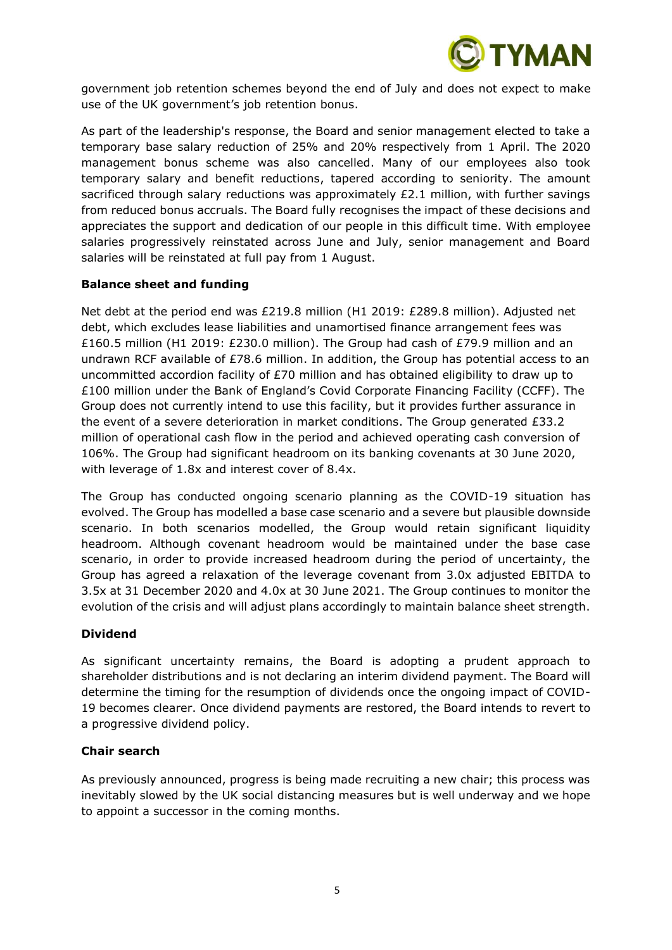

government job retention schemes beyond the end of July and does not expect to make use of the UK government's job retention bonus.

As part of the leadership's response, the Board and senior management elected to take a temporary base salary reduction of 25% and 20% respectively from 1 April. The 2020 management bonus scheme was also cancelled. Many of our employees also took temporary salary and benefit reductions, tapered according to seniority. The amount sacrificed through salary reductions was approximately  $£2.1$  million, with further savings from reduced bonus accruals. The Board fully recognises the impact of these decisions and appreciates the support and dedication of our people in this difficult time. With employee salaries progressively reinstated across June and July, senior management and Board salaries will be reinstated at full pay from 1 August.

# **Balance sheet and funding**

Net debt at the period end was £219.8 million (H1 2019: £289.8 million). Adjusted net debt, which excludes lease liabilities and unamortised finance arrangement fees was £160.5 million (H1 2019: £230.0 million). The Group had cash of £79.9 million and an undrawn RCF available of £78.6 million. In addition, the Group has potential access to an uncommitted accordion facility of £70 million and has obtained eligibility to draw up to £100 million under the Bank of England's Covid Corporate Financing Facility (CCFF). The Group does not currently intend to use this facility, but it provides further assurance in the event of a severe deterioration in market conditions. The Group generated £33.2 million of operational cash flow in the period and achieved operating cash conversion of 106%. The Group had significant headroom on its banking covenants at 30 June 2020, with leverage of 1.8x and interest cover of 8.4x.

The Group has conducted ongoing scenario planning as the COVID-19 situation has evolved. The Group has modelled a base case scenario and a severe but plausible downside scenario. In both scenarios modelled, the Group would retain significant liquidity headroom. Although covenant headroom would be maintained under the base case scenario, in order to provide increased headroom during the period of uncertainty, the Group has agreed a relaxation of the leverage covenant from 3.0x adjusted EBITDA to 3.5x at 31 December 2020 and 4.0x at 30 June 2021. The Group continues to monitor the evolution of the crisis and will adjust plans accordingly to maintain balance sheet strength.

#### **Dividend**

As significant uncertainty remains, the Board is adopting a prudent approach to shareholder distributions and is not declaring an interim dividend payment. The Board will determine the timing for the resumption of dividends once the ongoing impact of COVID-19 becomes clearer. Once dividend payments are restored, the Board intends to revert to a progressive dividend policy.

# **Chair search**

As previously announced, progress is being made recruiting a new chair; this process was inevitably slowed by the UK social distancing measures but is well underway and we hope to appoint a successor in the coming months.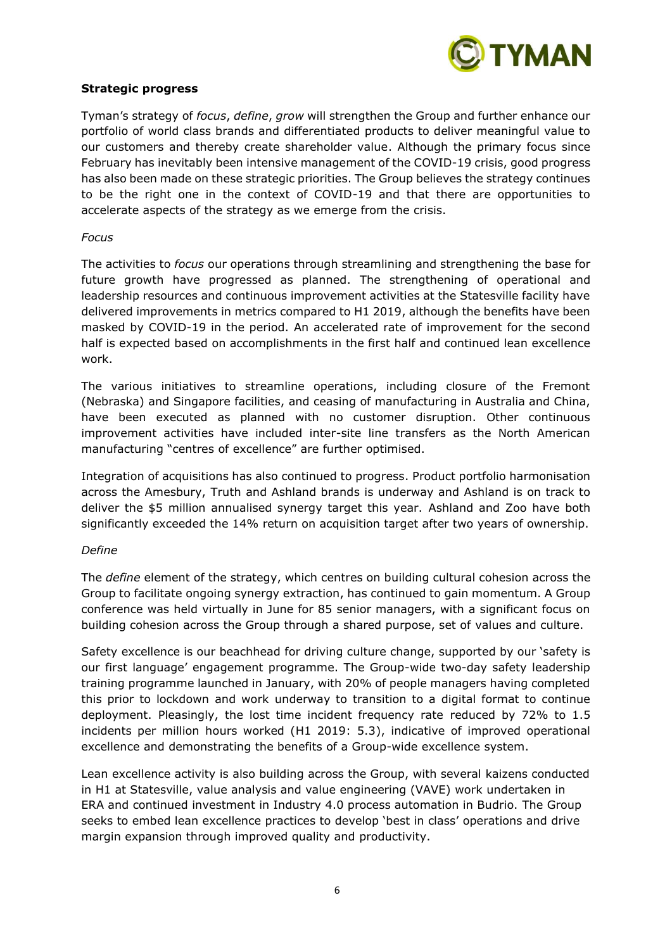

#### **Strategic progress**

Tyman's strategy of *focus*, *define*, *grow* will strengthen the Group and further enhance our portfolio of world class brands and differentiated products to deliver meaningful value to our customers and thereby create shareholder value. Although the primary focus since February has inevitably been intensive management of the COVID-19 crisis, good progress has also been made on these strategic priorities. The Group believes the strategy continues to be the right one in the context of COVID-19 and that there are opportunities to accelerate aspects of the strategy as we emerge from the crisis.

#### *Focus*

The activities to *focus* our operations through streamlining and strengthening the base for future growth have progressed as planned. The strengthening of operational and leadership resources and continuous improvement activities at the Statesville facility have delivered improvements in metrics compared to H1 2019, although the benefits have been masked by COVID-19 in the period. An accelerated rate of improvement for the second half is expected based on accomplishments in the first half and continued lean excellence work.

The various initiatives to streamline operations, including closure of the Fremont (Nebraska) and Singapore facilities, and ceasing of manufacturing in Australia and China, have been executed as planned with no customer disruption. Other continuous improvement activities have included inter-site line transfers as the North American manufacturing "centres of excellence" are further optimised.

Integration of acquisitions has also continued to progress. Product portfolio harmonisation across the Amesbury, Truth and Ashland brands is underway and Ashland is on track to deliver the \$5 million annualised synergy target this year. Ashland and Zoo have both significantly exceeded the 14% return on acquisition target after two years of ownership.

#### *Define*

The *define* element of the strategy, which centres on building cultural cohesion across the Group to facilitate ongoing synergy extraction, has continued to gain momentum. A Group conference was held virtually in June for 85 senior managers, with a significant focus on building cohesion across the Group through a shared purpose, set of values and culture.

Safety excellence is our beachhead for driving culture change, supported by our 'safety is our first language' engagement programme. The Group-wide two-day safety leadership training programme launched in January, with 20% of people managers having completed this prior to lockdown and work underway to transition to a digital format to continue deployment. Pleasingly, the lost time incident frequency rate reduced by 72% to 1.5 incidents per million hours worked (H1 2019: 5.3), indicative of improved operational excellence and demonstrating the benefits of a Group-wide excellence system.

Lean excellence activity is also building across the Group, with several kaizens conducted in H1 at Statesville, value analysis and value engineering (VAVE) work undertaken in ERA and continued investment in Industry 4.0 process automation in Budrio. The Group seeks to embed lean excellence practices to develop 'best in class' operations and drive margin expansion through improved quality and productivity.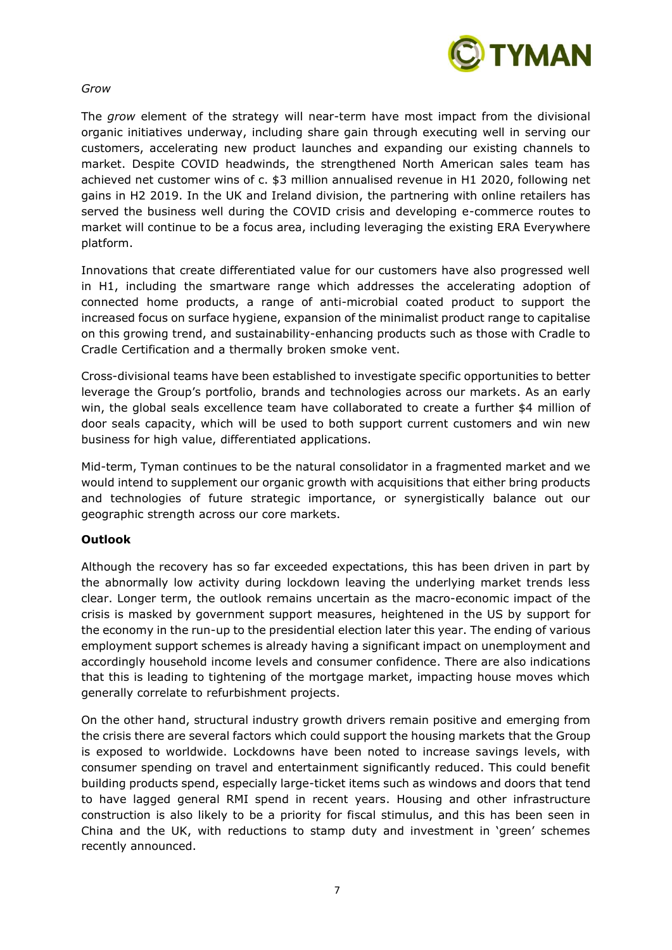

# *Grow*

The *grow* element of the strategy will near-term have most impact from the divisional organic initiatives underway, including share gain through executing well in serving our customers, accelerating new product launches and expanding our existing channels to market. Despite COVID headwinds, the strengthened North American sales team has achieved net customer wins of c. \$3 million annualised revenue in H1 2020, following net gains in H2 2019. In the UK and Ireland division, the partnering with online retailers has served the business well during the COVID crisis and developing e-commerce routes to market will continue to be a focus area, including leveraging the existing ERA Everywhere platform.

Innovations that create differentiated value for our customers have also progressed well in H1, including the smartware range which addresses the accelerating adoption of connected home products, a range of anti-microbial coated product to support the increased focus on surface hygiene, expansion of the minimalist product range to capitalise on this growing trend, and sustainability-enhancing products such as those with Cradle to Cradle Certification and a thermally broken smoke vent.

Cross-divisional teams have been established to investigate specific opportunities to better leverage the Group's portfolio, brands and technologies across our markets. As an early win, the global seals excellence team have collaborated to create a further \$4 million of door seals capacity, which will be used to both support current customers and win new business for high value, differentiated applications.

Mid-term, Tyman continues to be the natural consolidator in a fragmented market and we would intend to supplement our organic growth with acquisitions that either bring products and technologies of future strategic importance, or synergistically balance out our geographic strength across our core markets.

# **Outlook**

Although the recovery has so far exceeded expectations, this has been driven in part by the abnormally low activity during lockdown leaving the underlying market trends less clear. Longer term, the outlook remains uncertain as the macro-economic impact of the crisis is masked by government support measures, heightened in the US by support for the economy in the run-up to the presidential election later this year. The ending of various employment support schemes is already having a significant impact on unemployment and accordingly household income levels and consumer confidence. There are also indications that this is leading to tightening of the mortgage market, impacting house moves which generally correlate to refurbishment projects.

On the other hand, structural industry growth drivers remain positive and emerging from the crisis there are several factors which could support the housing markets that the Group is exposed to worldwide. Lockdowns have been noted to increase savings levels, with consumer spending on travel and entertainment significantly reduced. This could benefit building products spend, especially large-ticket items such as windows and doors that tend to have lagged general RMI spend in recent years. Housing and other infrastructure construction is also likely to be a priority for fiscal stimulus, and this has been seen in China and the UK, with reductions to stamp duty and investment in 'green' schemes recently announced.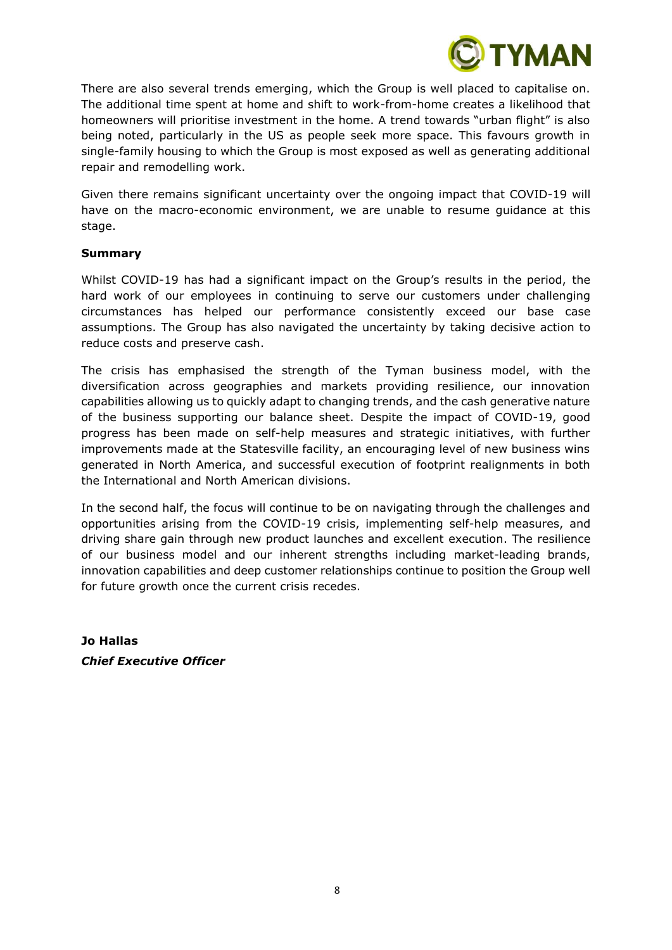

There are also several trends emerging, which the Group is well placed to capitalise on. The additional time spent at home and shift to work-from-home creates a likelihood that homeowners will prioritise investment in the home. A trend towards "urban flight" is also being noted, particularly in the US as people seek more space. This favours growth in single-family housing to which the Group is most exposed as well as generating additional repair and remodelling work.

Given there remains significant uncertainty over the ongoing impact that COVID-19 will have on the macro-economic environment, we are unable to resume guidance at this stage.

#### **Summary**

Whilst COVID-19 has had a significant impact on the Group's results in the period, the hard work of our employees in continuing to serve our customers under challenging circumstances has helped our performance consistently exceed our base case assumptions. The Group has also navigated the uncertainty by taking decisive action to reduce costs and preserve cash.

The crisis has emphasised the strength of the Tyman business model, with the diversification across geographies and markets providing resilience, our innovation capabilities allowing us to quickly adapt to changing trends, and the cash generative nature of the business supporting our balance sheet. Despite the impact of COVID-19, good progress has been made on self-help measures and strategic initiatives, with further improvements made at the Statesville facility, an encouraging level of new business wins generated in North America, and successful execution of footprint realignments in both the International and North American divisions.

In the second half, the focus will continue to be on navigating through the challenges and opportunities arising from the COVID-19 crisis, implementing self-help measures, and driving share gain through new product launches and excellent execution. The resilience of our business model and our inherent strengths including market-leading brands, innovation capabilities and deep customer relationships continue to position the Group well for future growth once the current crisis recedes.

**Jo Hallas** *Chief Executive Officer*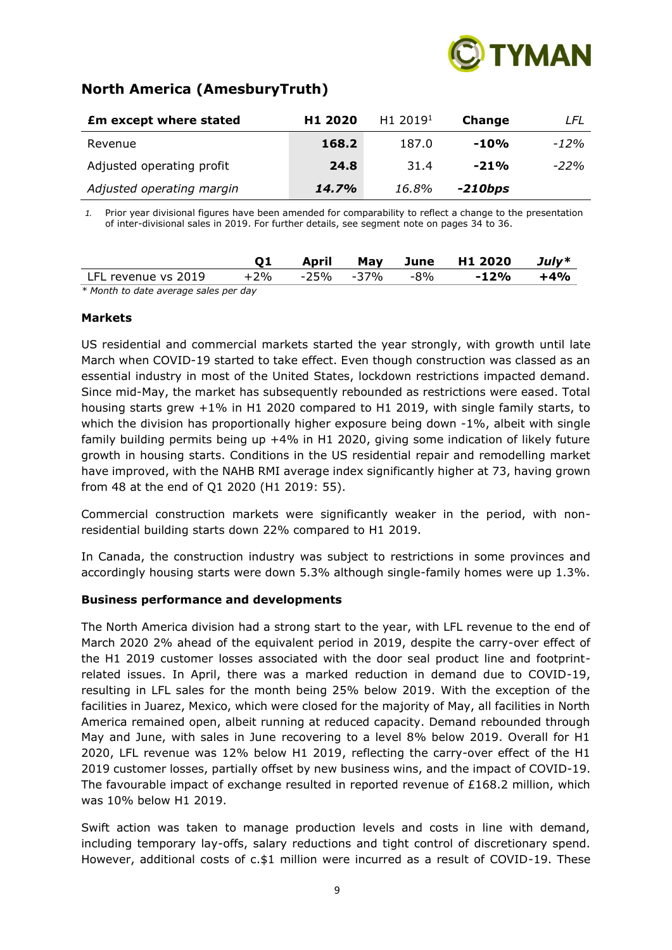

# **North America (AmesburyTruth)**

| <b>Em except where stated</b> | H <sub>1</sub> 2020 | H <sub>1</sub> 2019 <sup>1</sup> | Change  | LFL    |
|-------------------------------|---------------------|----------------------------------|---------|--------|
| Revenue                       | 168.2               | 187.0                            | $-10%$  | -12%   |
| Adjusted operating profit     | 24.8                | 31.4                             | $-21%$  | $-22%$ |
| Adjusted operating margin     | 14.7%               | 16.8%                            | -210bps |        |

*1.* Prior year divisional figures have been amended for comparability to reflect a change to the presentation of inter-divisional sales in 2019. For further details, see segment note on pages 34 to 36.

|                                          |        | April |               | May June H1 2020 | $July*$ |
|------------------------------------------|--------|-------|---------------|------------------|---------|
| LFL revenue vs 2019                      | $+2\%$ |       | -25% -37% -8% | $-12%$           | +4%     |
| $*$ Manth to data average sales nex day. |        |       |               |                  |         |

*\* Month to date average sales per day*

#### **Markets**

US residential and commercial markets started the year strongly, with growth until late March when COVID-19 started to take effect. Even though construction was classed as an essential industry in most of the United States, lockdown restrictions impacted demand. Since mid-May, the market has subsequently rebounded as restrictions were eased. Total housing starts grew +1% in H1 2020 compared to H1 2019, with single family starts, to which the division has proportionally higher exposure being down -1%, albeit with single family building permits being up +4% in H1 2020, giving some indication of likely future growth in housing starts. Conditions in the US residential repair and remodelling market have improved, with the NAHB RMI average index significantly higher at 73, having grown from 48 at the end of Q1 2020 (H1 2019: 55).

Commercial construction markets were significantly weaker in the period, with nonresidential building starts down 22% compared to H1 2019.

In Canada, the construction industry was subject to restrictions in some provinces and accordingly housing starts were down 5.3% although single-family homes were up 1.3%.

# **Business performance and developments**

The North America division had a strong start to the year, with LFL revenue to the end of March 2020 2% ahead of the equivalent period in 2019, despite the carry-over effect of the H1 2019 customer losses associated with the door seal product line and footprintrelated issues. In April, there was a marked reduction in demand due to COVID-19, resulting in LFL sales for the month being 25% below 2019. With the exception of the facilities in Juarez, Mexico, which were closed for the majority of May, all facilities in North America remained open, albeit running at reduced capacity. Demand rebounded through May and June, with sales in June recovering to a level 8% below 2019. Overall for H1 2020, LFL revenue was 12% below H1 2019, reflecting the carry-over effect of the H1 2019 customer losses, partially offset by new business wins, and the impact of COVID-19. The favourable impact of exchange resulted in reported revenue of  $£168.2$  million, which was 10% below H1 2019.

Swift action was taken to manage production levels and costs in line with demand, including temporary lay-offs, salary reductions and tight control of discretionary spend. However, additional costs of c.\$1 million were incurred as a result of COVID-19. These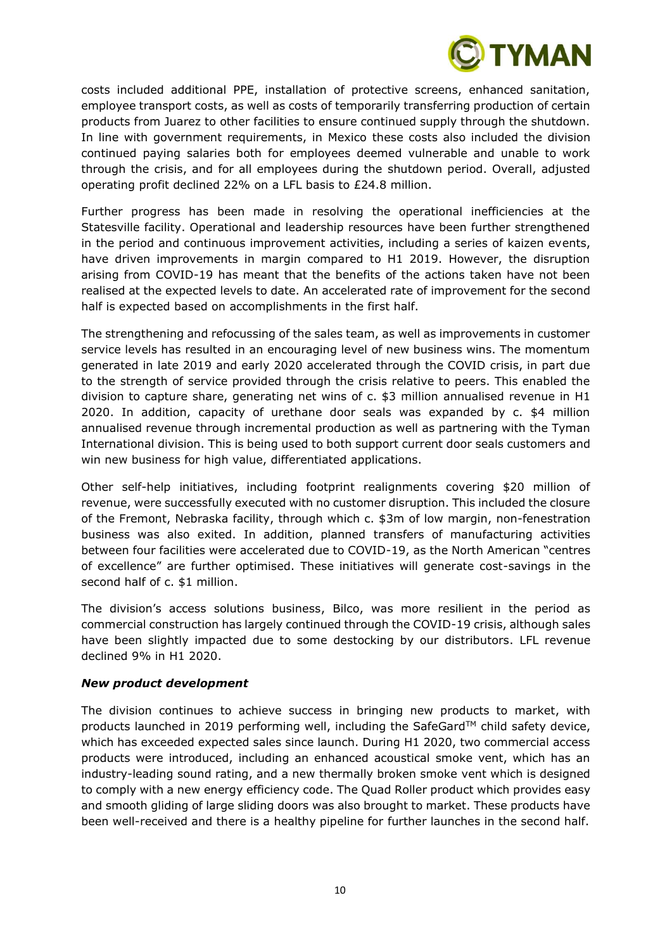

costs included additional PPE, installation of protective screens, enhanced sanitation, employee transport costs, as well as costs of temporarily transferring production of certain products from Juarez to other facilities to ensure continued supply through the shutdown. In line with government requirements, in Mexico these costs also included the division continued paying salaries both for employees deemed vulnerable and unable to work through the crisis, and for all employees during the shutdown period. Overall, adjusted operating profit declined 22% on a LFL basis to £24.8 million.

Further progress has been made in resolving the operational inefficiencies at the Statesville facility. Operational and leadership resources have been further strengthened in the period and continuous improvement activities, including a series of kaizen events, have driven improvements in margin compared to H1 2019. However, the disruption arising from COVID-19 has meant that the benefits of the actions taken have not been realised at the expected levels to date. An accelerated rate of improvement for the second half is expected based on accomplishments in the first half.

The strengthening and refocussing of the sales team, as well as improvements in customer service levels has resulted in an encouraging level of new business wins. The momentum generated in late 2019 and early 2020 accelerated through the COVID crisis, in part due to the strength of service provided through the crisis relative to peers. This enabled the division to capture share, generating net wins of c. \$3 million annualised revenue in H1 2020. In addition, capacity of urethane door seals was expanded by c. \$4 million annualised revenue through incremental production as well as partnering with the Tyman International division. This is being used to both support current door seals customers and win new business for high value, differentiated applications.

Other self-help initiatives, including footprint realignments covering \$20 million of revenue, were successfully executed with no customer disruption. This included the closure of the Fremont, Nebraska facility, through which c. \$3m of low margin, non-fenestration business was also exited. In addition, planned transfers of manufacturing activities between four facilities were accelerated due to COVID-19, as the North American "centres of excellence" are further optimised. These initiatives will generate cost-savings in the second half of c. \$1 million.

The division's access solutions business, Bilco, was more resilient in the period as commercial construction has largely continued through the COVID-19 crisis, although sales have been slightly impacted due to some destocking by our distributors. LFL revenue declined 9% in H1 2020.

# *New product development*

The division continues to achieve success in bringing new products to market, with products launched in 2019 performing well, including the SafeGard™ child safety device, which has exceeded expected sales since launch. During H1 2020, two commercial access products were introduced, including an enhanced acoustical smoke vent, which has an industry-leading sound rating, and a new thermally broken smoke vent which is designed to comply with a new energy efficiency code. The Quad Roller product which provides easy and smooth gliding of large sliding doors was also brought to market. These products have been well-received and there is a healthy pipeline for further launches in the second half.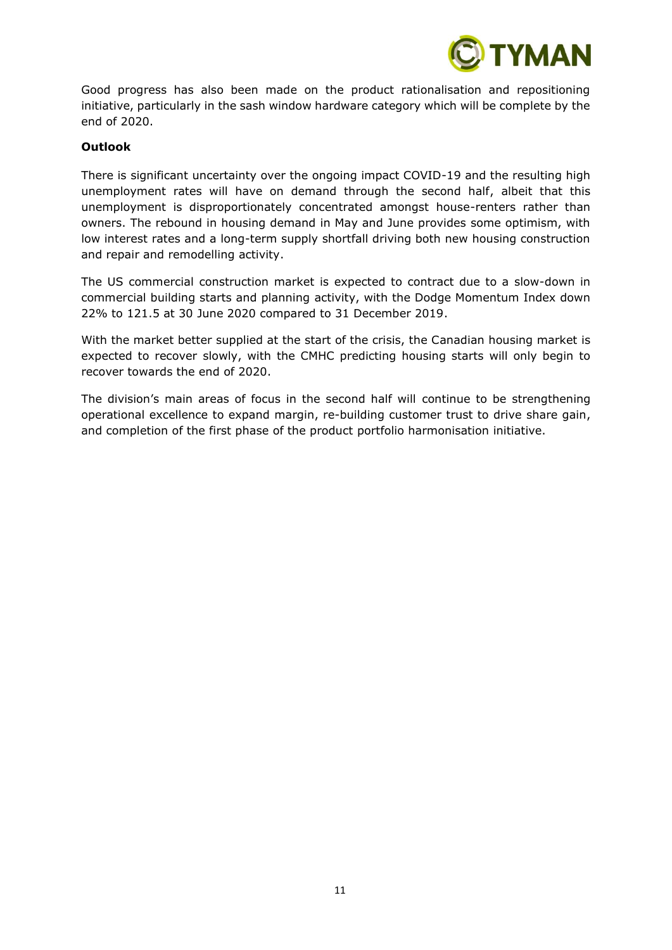

Good progress has also been made on the product rationalisation and repositioning initiative, particularly in the sash window hardware category which will be complete by the end of 2020.

#### **Outlook**

There is significant uncertainty over the ongoing impact COVID-19 and the resulting high unemployment rates will have on demand through the second half, albeit that this unemployment is disproportionately concentrated amongst house-renters rather than owners. The rebound in housing demand in May and June provides some optimism, with low interest rates and a long-term supply shortfall driving both new housing construction and repair and remodelling activity.

The US commercial construction market is expected to contract due to a slow-down in commercial building starts and planning activity, with the Dodge Momentum Index down 22% to 121.5 at 30 June 2020 compared to 31 December 2019.

With the market better supplied at the start of the crisis, the Canadian housing market is expected to recover slowly, with the CMHC predicting housing starts will only begin to recover towards the end of 2020.

The division's main areas of focus in the second half will continue to be strengthening operational excellence to expand margin, re-building customer trust to drive share gain, and completion of the first phase of the product portfolio harmonisation initiative.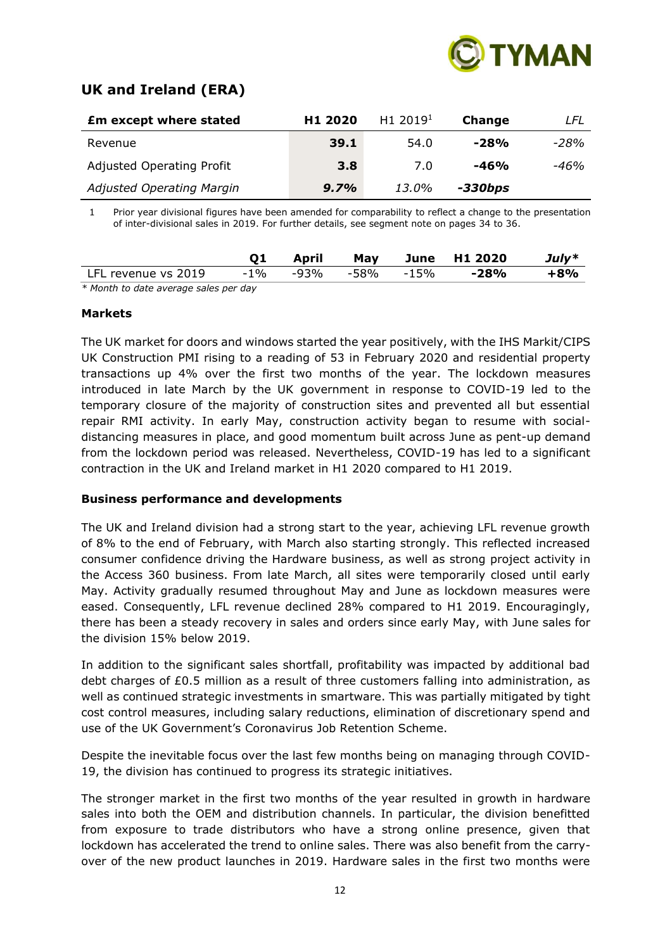

# **UK and Ireland (ERA)**

| <b>£m except where stated</b>    | H1 2020 | H1 2019 <sup>1</sup> | Change  | LFL  |
|----------------------------------|---------|----------------------|---------|------|
| Revenue                          | 39.1    | 54.0                 | $-28%$  | -28% |
| <b>Adjusted Operating Profit</b> | 3.8     | 7.0                  | $-46%$  | -46% |
| <b>Adjusted Operating Margin</b> | 9.7%    | 13.0%                | -330bps |      |

1 Prior year divisional figures have been amended for comparability to reflect a change to the presentation of inter-divisional sales in 2019. For further details, see segment note on pages 34 to 36.

|                     | April | May | , June H1 2020                                   | $July*$ |
|---------------------|-------|-----|--------------------------------------------------|---------|
| LFL revenue vs 2019 |       |     | -1%       -93%       -58%       -15% <b>-28%</b> | +8%     |
|                     |       |     |                                                  |         |

*\* Month to date average sales per day*

#### **Markets**

The UK market for doors and windows started the year positively, with the IHS Markit/CIPS UK Construction PMI rising to a reading of 53 in February 2020 and residential property transactions up 4% over the first two months of the year. The lockdown measures introduced in late March by the UK government in response to COVID-19 led to the temporary closure of the majority of construction sites and prevented all but essential repair RMI activity. In early May, construction activity began to resume with socialdistancing measures in place, and good momentum built across June as pent-up demand from the lockdown period was released. Nevertheless, COVID-19 has led to a significant contraction in the UK and Ireland market in H1 2020 compared to H1 2019.

#### **Business performance and developments**

The UK and Ireland division had a strong start to the year, achieving LFL revenue growth of 8% to the end of February, with March also starting strongly. This reflected increased consumer confidence driving the Hardware business, as well as strong project activity in the Access 360 business. From late March, all sites were temporarily closed until early May. Activity gradually resumed throughout May and June as lockdown measures were eased. Consequently, LFL revenue declined 28% compared to H1 2019. Encouragingly, there has been a steady recovery in sales and orders since early May, with June sales for the division 15% below 2019.

In addition to the significant sales shortfall, profitability was impacted by additional bad debt charges of £0.5 million as a result of three customers falling into administration, as well as continued strategic investments in smartware. This was partially mitigated by tight cost control measures, including salary reductions, elimination of discretionary spend and use of the UK Government's Coronavirus Job Retention Scheme.

Despite the inevitable focus over the last few months being on managing through COVID-19, the division has continued to progress its strategic initiatives.

The stronger market in the first two months of the year resulted in growth in hardware sales into both the OEM and distribution channels. In particular, the division benefitted from exposure to trade distributors who have a strong online presence, given that lockdown has accelerated the trend to online sales. There was also benefit from the carryover of the new product launches in 2019. Hardware sales in the first two months were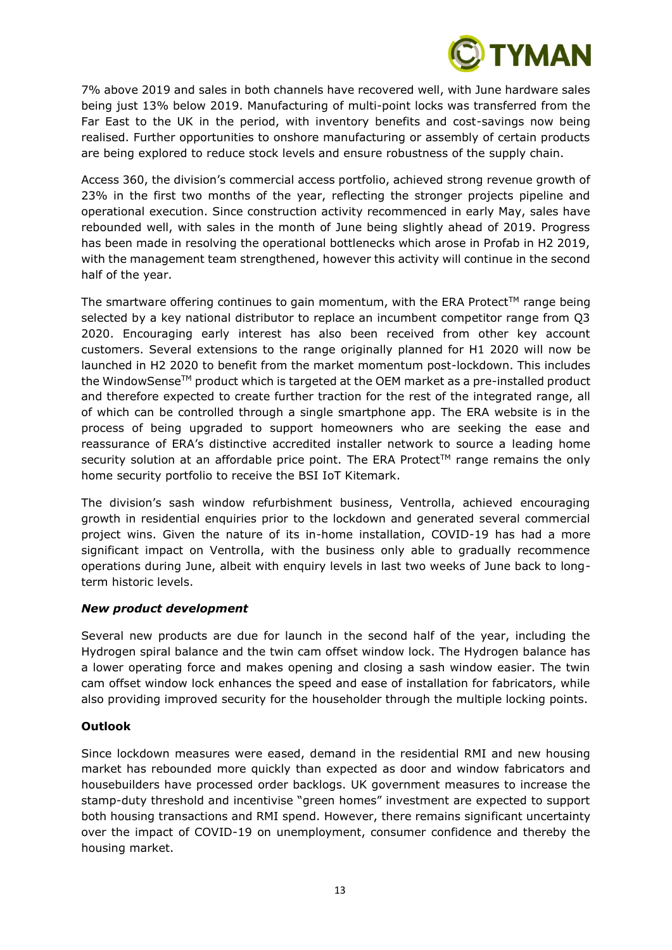

7% above 2019 and sales in both channels have recovered well, with June hardware sales being just 13% below 2019. Manufacturing of multi-point locks was transferred from the Far East to the UK in the period, with inventory benefits and cost-savings now being realised. Further opportunities to onshore manufacturing or assembly of certain products are being explored to reduce stock levels and ensure robustness of the supply chain.

Access 360, the division's commercial access portfolio, achieved strong revenue growth of 23% in the first two months of the year, reflecting the stronger projects pipeline and operational execution. Since construction activity recommenced in early May, sales have rebounded well, with sales in the month of June being slightly ahead of 2019. Progress has been made in resolving the operational bottlenecks which arose in Profab in H2 2019, with the management team strengthened, however this activity will continue in the second half of the year.

The smartware offering continues to gain momentum, with the ERA Protect<sup>TM</sup> range being selected by a key national distributor to replace an incumbent competitor range from Q3 2020. Encouraging early interest has also been received from other key account customers. Several extensions to the range originally planned for H1 2020 will now be launched in H2 2020 to benefit from the market momentum post-lockdown. This includes the WindowSense<sup>TM</sup> product which is targeted at the OEM market as a pre-installed product and therefore expected to create further traction for the rest of the integrated range, all of which can be controlled through a single smartphone app. The ERA website is in the process of being upgraded to support homeowners who are seeking the ease and reassurance of ERA's distinctive accredited installer network to source a leading home security solution at an affordable price point. The ERA Protect™ range remains the only home security portfolio to receive the BSI IoT Kitemark.

The division's sash window refurbishment business, Ventrolla, achieved encouraging growth in residential enquiries prior to the lockdown and generated several commercial project wins. Given the nature of its in-home installation, COVID-19 has had a more significant impact on Ventrolla, with the business only able to gradually recommence operations during June, albeit with enquiry levels in last two weeks of June back to longterm historic levels.

#### *New product development*

Several new products are due for launch in the second half of the year, including the Hydrogen spiral balance and the twin cam offset window lock. The Hydrogen balance has a lower operating force and makes opening and closing a sash window easier. The twin cam offset window lock enhances the speed and ease of installation for fabricators, while also providing improved security for the householder through the multiple locking points.

# **Outlook**

Since lockdown measures were eased, demand in the residential RMI and new housing market has rebounded more quickly than expected as door and window fabricators and housebuilders have processed order backlogs. UK government measures to increase the stamp-duty threshold and incentivise "green homes" investment are expected to support both housing transactions and RMI spend. However, there remains significant uncertainty over the impact of COVID-19 on unemployment, consumer confidence and thereby the housing market.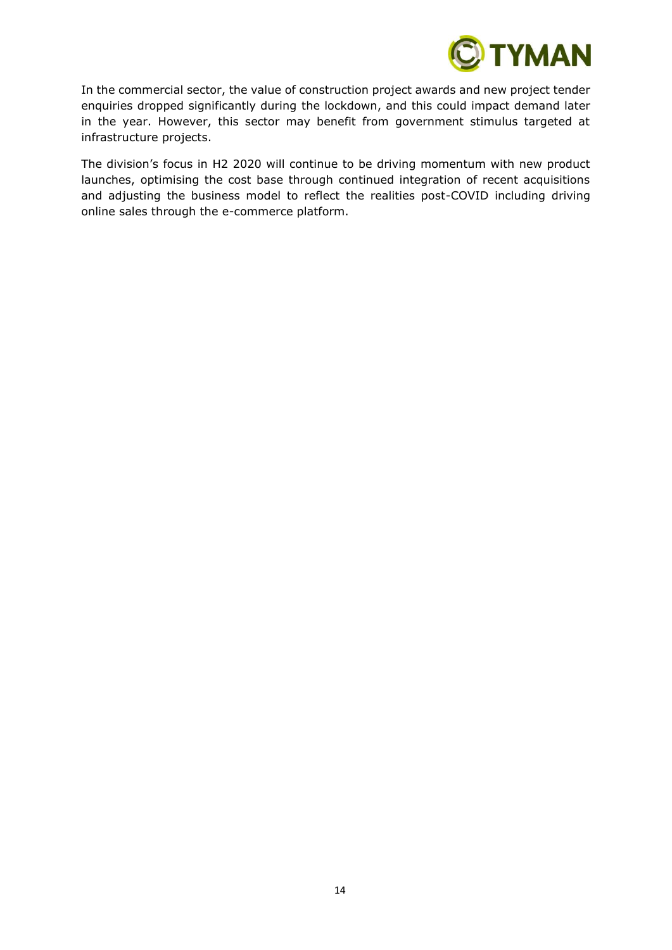

In the commercial sector, the value of construction project awards and new project tender enquiries dropped significantly during the lockdown, and this could impact demand later in the year. However, this sector may benefit from government stimulus targeted at infrastructure projects.

The division's focus in H2 2020 will continue to be driving momentum with new product launches, optimising the cost base through continued integration of recent acquisitions and adjusting the business model to reflect the realities post-COVID including driving online sales through the e-commerce platform.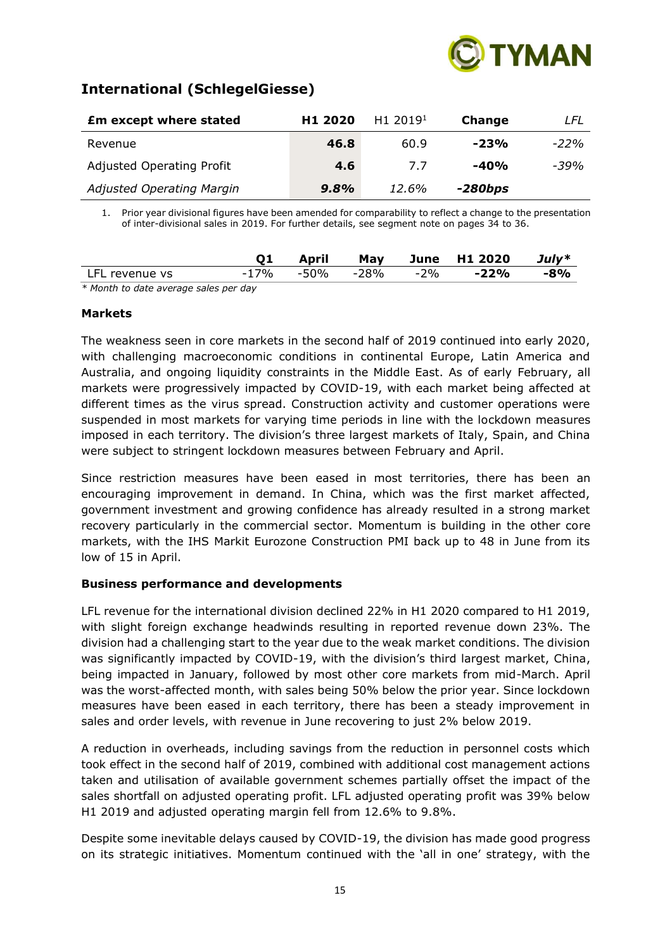

# **International (SchlegelGiesse)**

| <b>£m except where stated</b>    | H <sub>1</sub> 2020 | H <sub>1</sub> 2019 <sup>1</sup> | Change    | LFL    |
|----------------------------------|---------------------|----------------------------------|-----------|--------|
| Revenue                          | 46.8                | 60.9                             | $-23%$    | $-22%$ |
| <b>Adjusted Operating Profit</b> | 4.6                 | 7.7                              | $-40%$    | $-39%$ |
| <b>Adjusted Operating Margin</b> | 9.8%                | 12.6%                            | $-280bps$ |        |

1. Prior year divisional figures have been amended for comparability to reflect a change to the presentation of inter-divisional sales in 2019. For further details, see segment note on pages 34 to 36.

|                |      | April     | May |     | June H1 2020 | July* |
|----------------|------|-----------|-----|-----|--------------|-------|
| LFL revenue vs | -17% | -50% -28% |     | -2% | -22%         | $-8%$ |
|                |      |           |     |     |              |       |

2019 *\* Month to date average sales per day*

#### **Markets**

The weakness seen in core markets in the second half of 2019 continued into early 2020, with challenging macroeconomic conditions in continental Europe, Latin America and Australia, and ongoing liquidity constraints in the Middle East. As of early February, all markets were progressively impacted by COVID-19, with each market being affected at different times as the virus spread. Construction activity and customer operations were suspended in most markets for varying time periods in line with the lockdown measures imposed in each territory. The division's three largest markets of Italy, Spain, and China were subject to stringent lockdown measures between February and April.

Since restriction measures have been eased in most territories, there has been an encouraging improvement in demand. In China, which was the first market affected, government investment and growing confidence has already resulted in a strong market recovery particularly in the commercial sector. Momentum is building in the other core markets, with the IHS Markit Eurozone Construction PMI back up to 48 in June from its low of 15 in April.

#### **Business performance and developments**

LFL revenue for the international division declined 22% in H1 2020 compared to H1 2019, with slight foreign exchange headwinds resulting in reported revenue down 23%. The division had a challenging start to the year due to the weak market conditions. The division was significantly impacted by COVID-19, with the division's third largest market, China, being impacted in January, followed by most other core markets from mid-March. April was the worst-affected month, with sales being 50% below the prior year. Since lockdown measures have been eased in each territory, there has been a steady improvement in sales and order levels, with revenue in June recovering to just 2% below 2019.

A reduction in overheads, including savings from the reduction in personnel costs which took effect in the second half of 2019, combined with additional cost management actions taken and utilisation of available government schemes partially offset the impact of the sales shortfall on adjusted operating profit. LFL adjusted operating profit was 39% below H1 2019 and adjusted operating margin fell from 12.6% to 9.8%.

Despite some inevitable delays caused by COVID-19, the division has made good progress on its strategic initiatives. Momentum continued with the 'all in one' strategy, with the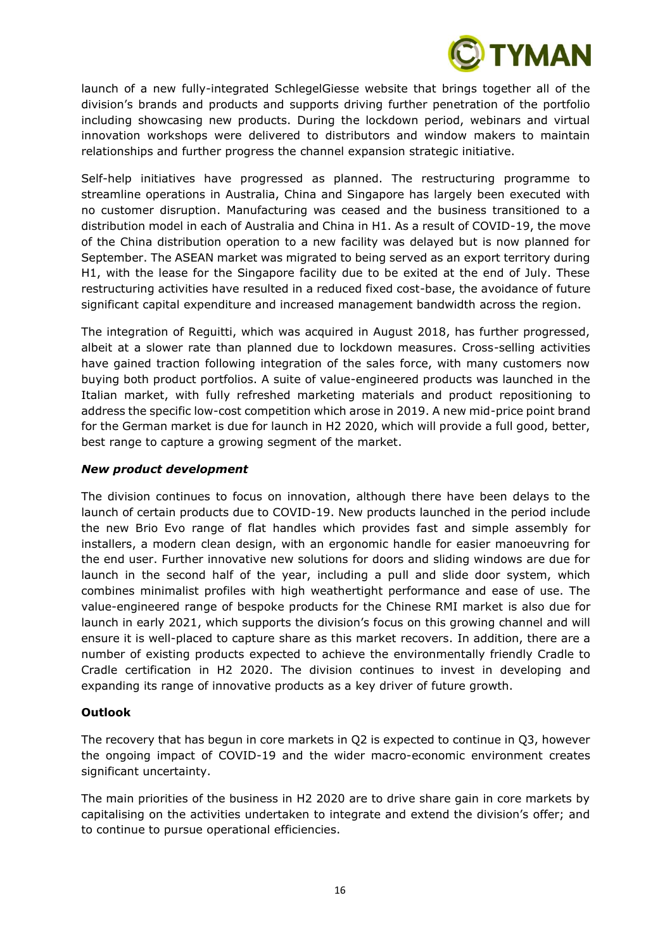

launch of a new fully-integrated SchlegelGiesse website that brings together all of the division's brands and products and supports driving further penetration of the portfolio including showcasing new products. During the lockdown period, webinars and virtual innovation workshops were delivered to distributors and window makers to maintain relationships and further progress the channel expansion strategic initiative.

Self-help initiatives have progressed as planned. The restructuring programme to streamline operations in Australia, China and Singapore has largely been executed with no customer disruption. Manufacturing was ceased and the business transitioned to a distribution model in each of Australia and China in H1. As a result of COVID-19, the move of the China distribution operation to a new facility was delayed but is now planned for September. The ASEAN market was migrated to being served as an export territory during H1, with the lease for the Singapore facility due to be exited at the end of July. These restructuring activities have resulted in a reduced fixed cost-base, the avoidance of future significant capital expenditure and increased management bandwidth across the region.

The integration of Reguitti, which was acquired in August 2018, has further progressed, albeit at a slower rate than planned due to lockdown measures. Cross-selling activities have gained traction following integration of the sales force, with many customers now buying both product portfolios. A suite of value-engineered products was launched in the Italian market, with fully refreshed marketing materials and product repositioning to address the specific low-cost competition which arose in 2019. A new mid-price point brand for the German market is due for launch in H2 2020, which will provide a full good, better, best range to capture a growing segment of the market.

#### *New product development*

The division continues to focus on innovation, although there have been delays to the launch of certain products due to COVID-19. New products launched in the period include the new Brio Evo range of flat handles which provides fast and simple assembly for installers, a modern clean design, with an ergonomic handle for easier manoeuvring for the end user. Further innovative new solutions for doors and sliding windows are due for launch in the second half of the year, including a pull and slide door system, which combines minimalist profiles with high weathertight performance and ease of use. The value-engineered range of bespoke products for the Chinese RMI market is also due for launch in early 2021, which supports the division's focus on this growing channel and will ensure it is well-placed to capture share as this market recovers. In addition, there are a number of existing products expected to achieve the environmentally friendly Cradle to Cradle certification in H2 2020. The division continues to invest in developing and expanding its range of innovative products as a key driver of future growth.

# **Outlook**

The recovery that has begun in core markets in Q2 is expected to continue in Q3, however the ongoing impact of COVID-19 and the wider macro-economic environment creates significant uncertainty.

The main priorities of the business in H2 2020 are to drive share gain in core markets by capitalising on the activities undertaken to integrate and extend the division's offer; and to continue to pursue operational efficiencies.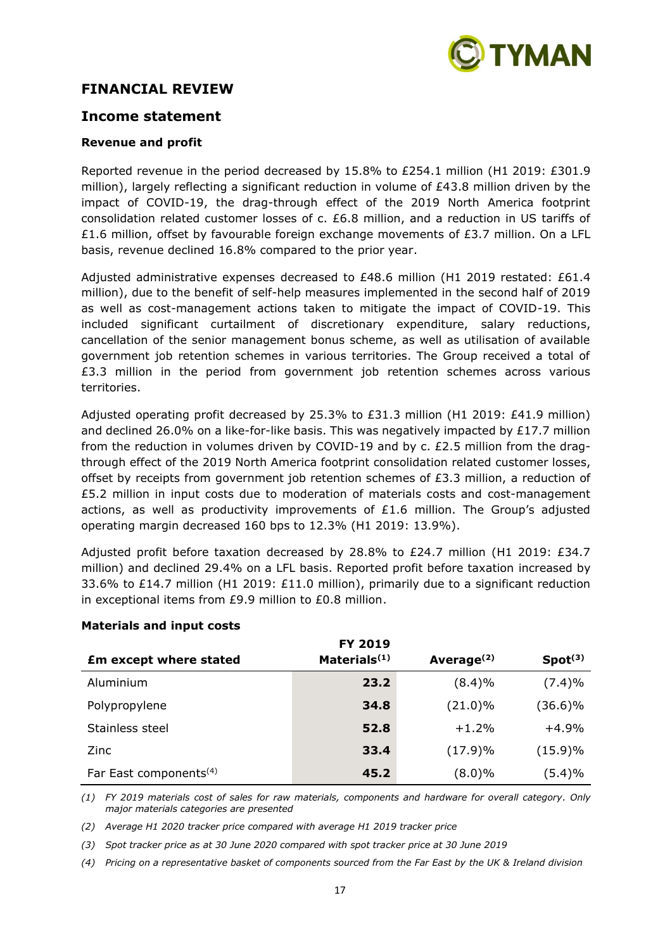

# **FINANCIAL REVIEW**

# **Income statement**

#### **Revenue and profit**

Reported revenue in the period decreased by 15.8% to £254.1 million (H1 2019: £301.9 million), largely reflecting a significant reduction in volume of £43.8 million driven by the impact of COVID-19, the drag-through effect of the 2019 North America footprint consolidation related customer losses of c. £6.8 million, and a reduction in US tariffs of £1.6 million, offset by favourable foreign exchange movements of £3.7 million. On a LFL basis, revenue declined 16.8% compared to the prior year.

Adjusted administrative expenses decreased to £48.6 million (H1 2019 restated: £61.4 million), due to the benefit of self-help measures implemented in the second half of 2019 as well as cost-management actions taken to mitigate the impact of COVID-19. This included significant curtailment of discretionary expenditure, salary reductions, cancellation of the senior management bonus scheme, as well as utilisation of available government job retention schemes in various territories. The Group received a total of £3.3 million in the period from government job retention schemes across various territories.

Adjusted operating profit decreased by 25.3% to £31.3 million (H1 2019: £41.9 million) and declined 26.0% on a like-for-like basis. This was negatively impacted by £17.7 million from the reduction in volumes driven by COVID-19 and by c. £2.5 million from the dragthrough effect of the 2019 North America footprint consolidation related customer losses, offset by receipts from government job retention schemes of  $E3.3$  million, a reduction of £5.2 million in input costs due to moderation of materials costs and cost-management actions, as well as productivity improvements of  $E1.6$  million. The Group's adjusted operating margin decreased 160 bps to 12.3% (H1 2019: 13.9%).

Adjusted profit before taxation decreased by 28.8% to £24.7 million (H1 2019: £34.7 million) and declined 29.4% on a LFL basis. Reported profit before taxation increased by 33.6% to £14.7 million (H1 2019: £11.0 million), primarily due to a significant reduction in exceptional items from £9.9 million to £0.8 million.

|                                    | <b>FY 2019</b>           |                        |                     |
|------------------------------------|--------------------------|------------------------|---------------------|
| <b>£m except where stated</b>      | Materials <sup>(1)</sup> | Average <sup>(2)</sup> | Spot <sup>(3)</sup> |
| Aluminium                          | 23.2                     | (8.4)%                 | (7.4)%              |
| Polypropylene                      | 34.8                     | $(21.0)\%$             | (36.6)%             |
| Stainless steel                    | 52.8                     | $+1.2%$                | $+4.9%$             |
| Zinc                               | 33.4                     | (17.9)%                | $(15.9)\%$          |
| Far East components <sup>(4)</sup> | 45.2                     | $(8.0)\%$              | (5.4)%              |

# **Materials and input costs**

*(1) FY 2019 materials cost of sales for raw materials, components and hardware for overall category. Only major materials categories are presented*

*(2) Average H1 2020 tracker price compared with average H1 2019 tracker price* 

*(3) Spot tracker price as at 30 June 2020 compared with spot tracker price at 30 June 2019*

*(4) Pricing on a representative basket of components sourced from the Far East by the UK & Ireland division*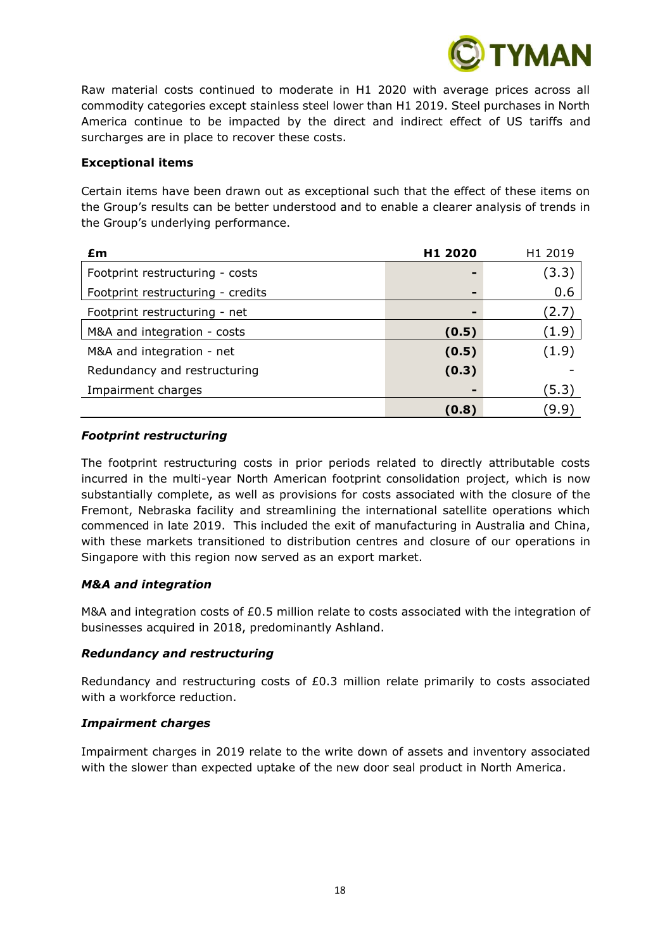

Raw material costs continued to moderate in H1 2020 with average prices across all commodity categories except stainless steel lower than H1 2019. Steel purchases in North America continue to be impacted by the direct and indirect effect of US tariffs and surcharges are in place to recover these costs.

#### **Exceptional items**

Certain items have been drawn out as exceptional such that the effect of these items on the Group's results can be better understood and to enable a clearer analysis of trends in the Group's underlying performance.

| £m                                | H <sub>1</sub> 2020 | H <sub>1</sub> 2019 |
|-----------------------------------|---------------------|---------------------|
| Footprint restructuring - costs   |                     | (3.3)               |
| Footprint restructuring - credits | ٠                   | 0.6                 |
| Footprint restructuring - net     | $\blacksquare$      | (2.7)               |
| M&A and integration - costs       | (0.5)               | (1.9)               |
| M&A and integration - net         | (0.5)               | (1.9)               |
| Redundancy and restructuring      | (0.3)               |                     |
| Impairment charges                | -                   | (5.3)               |
|                                   | (0.8)               | (9.9)               |

# *Footprint restructuring*

The footprint restructuring costs in prior periods related to directly attributable costs incurred in the multi-year North American footprint consolidation project, which is now substantially complete, as well as provisions for costs associated with the closure of the Fremont, Nebraska facility and streamlining the international satellite operations which commenced in late 2019. This included the exit of manufacturing in Australia and China, with these markets transitioned to distribution centres and closure of our operations in Singapore with this region now served as an export market.

# *M&A and integration*

M&A and integration costs of £0.5 million relate to costs associated with the integration of businesses acquired in 2018, predominantly Ashland.

# *Redundancy and restructuring*

Redundancy and restructuring costs of £0.3 million relate primarily to costs associated with a workforce reduction.

#### *Impairment charges*

Impairment charges in 2019 relate to the write down of assets and inventory associated with the slower than expected uptake of the new door seal product in North America.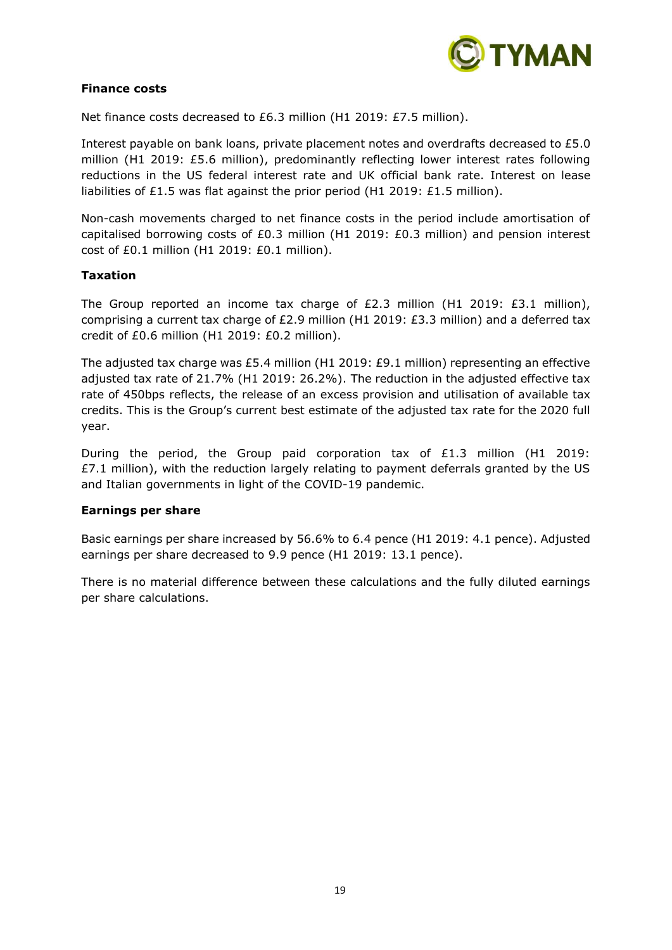

#### **Finance costs**

Net finance costs decreased to £6.3 million (H1 2019: £7.5 million).

Interest payable on bank loans, private placement notes and overdrafts decreased to £5.0 million (H1 2019: £5.6 million), predominantly reflecting lower interest rates following reductions in the US federal interest rate and UK official bank rate. Interest on lease liabilities of £1.5 was flat against the prior period (H1 2019: £1.5 million).

Non-cash movements charged to net finance costs in the period include amortisation of capitalised borrowing costs of £0.3 million (H1 2019: £0.3 million) and pension interest cost of £0.1 million (H1 2019: £0.1 million).

#### **Taxation**

The Group reported an income tax charge of £2.3 million (H1 2019: £3.1 million), comprising a current tax charge of £2.9 million (H1 2019: £3.3 million) and a deferred tax credit of £0.6 million (H1 2019: £0.2 million).

The adjusted tax charge was £5.4 million (H1 2019: £9.1 million) representing an effective adjusted tax rate of 21.7% (H1 2019: 26.2%). The reduction in the adjusted effective tax rate of 450bps reflects, the release of an excess provision and utilisation of available tax credits. This is the Group's current best estimate of the adjusted tax rate for the 2020 full year.

During the period, the Group paid corporation tax of £1.3 million (H1 2019:  $£7.1$  million), with the reduction largely relating to payment deferrals granted by the US and Italian governments in light of the COVID-19 pandemic.

# **Earnings per share**

Basic earnings per share increased by 56.6% to 6.4 pence (H1 2019: 4.1 pence). Adjusted earnings per share decreased to 9.9 pence (H1 2019: 13.1 pence).

There is no material difference between these calculations and the fully diluted earnings per share calculations.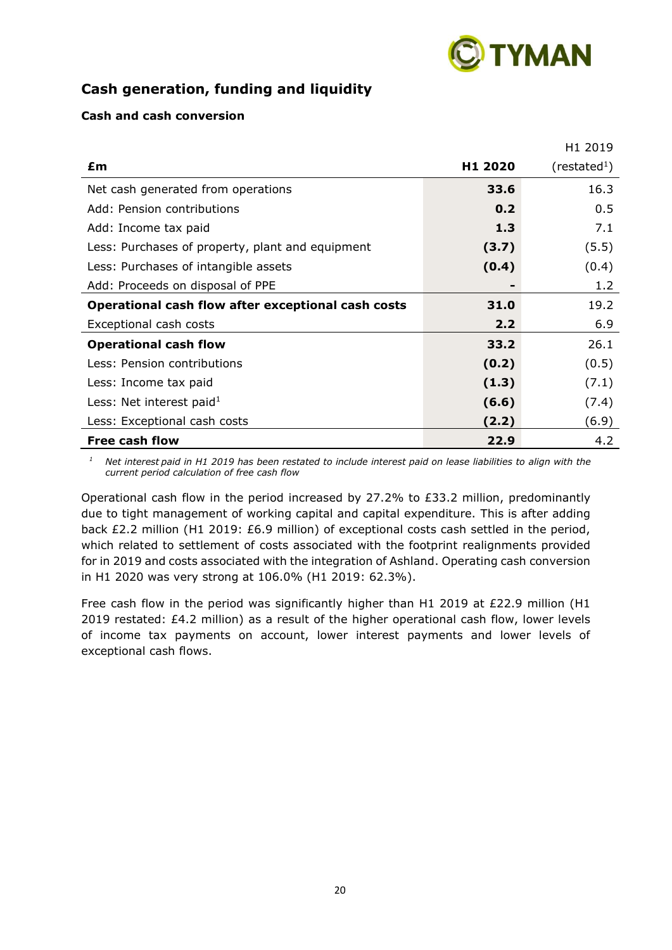

# **Cash generation, funding and liquidity**

# **Cash and cash conversion**

|                                                    |                     | H1 2019                  |
|----------------------------------------------------|---------------------|--------------------------|
| £m                                                 | H <sub>1</sub> 2020 | (restated <sup>1</sup> ) |
| Net cash generated from operations                 | 33.6                | 16.3                     |
| Add: Pension contributions                         | 0.2                 | 0.5                      |
| Add: Income tax paid                               | 1.3                 | 7.1                      |
| Less: Purchases of property, plant and equipment   | (3.7)               | (5.5)                    |
| Less: Purchases of intangible assets               | (0.4)               | (0.4)                    |
| Add: Proceeds on disposal of PPE                   |                     | 1.2                      |
| Operational cash flow after exceptional cash costs | 31.0                | 19.2                     |
| Exceptional cash costs                             | 2.2                 | 6.9                      |
| <b>Operational cash flow</b>                       | 33.2                | 26.1                     |
| Less: Pension contributions                        | (0.2)               | (0.5)                    |
| Less: Income tax paid                              | (1.3)               | (7.1)                    |
| Less: Net interest paid $1$                        | (6.6)               | (7.4)                    |
| Less: Exceptional cash costs                       | (2.2)               | (6.9)                    |
| <b>Free cash flow</b>                              | 22.9                | 4.2                      |

*<sup>1</sup>Net interest paid in H1 2019 has been restated to include interest paid on lease liabilities to align with the current period calculation of free cash flow*

Operational cash flow in the period increased by 27.2% to £33.2 million, predominantly due to tight management of working capital and capital expenditure. This is after adding back £2.2 million (H1 2019: £6.9 million) of exceptional costs cash settled in the period, which related to settlement of costs associated with the footprint realignments provided for in 2019 and costs associated with the integration of Ashland. Operating cash conversion in H1 2020 was very strong at 106.0% (H1 2019: 62.3%).

Free cash flow in the period was significantly higher than H1 2019 at £22.9 million (H1 2019 restated: £4.2 million) as a result of the higher operational cash flow, lower levels of income tax payments on account, lower interest payments and lower levels of exceptional cash flows.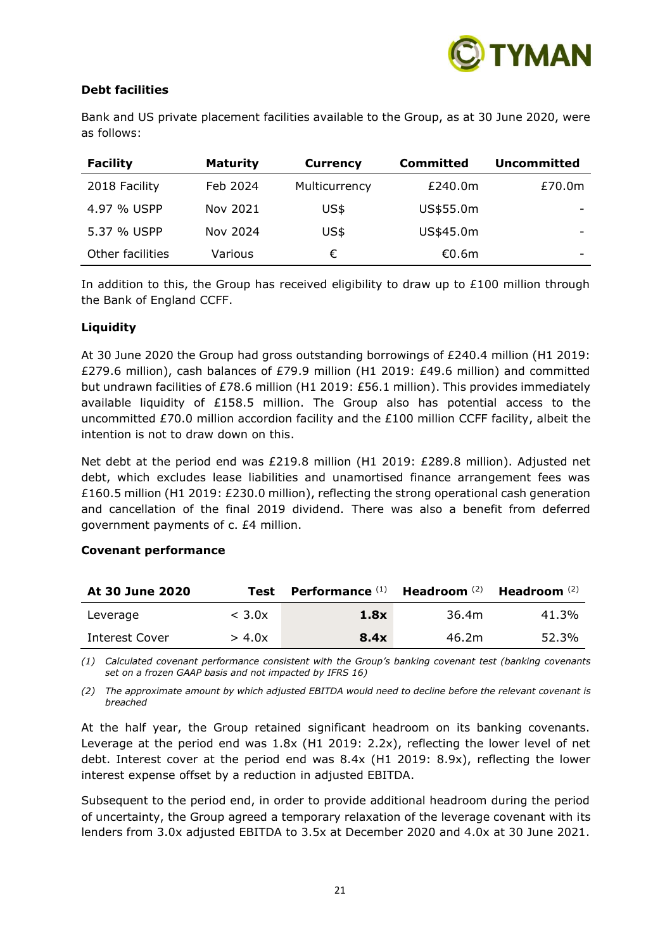

# **Debt facilities**

Bank and US private placement facilities available to the Group, as at 30 June 2020, were as follows:

| <b>Facility</b>  | <b>Maturity</b> | <b>Currency</b> | Committed | <b>Uncommitted</b> |
|------------------|-----------------|-----------------|-----------|--------------------|
| 2018 Facility    | Feb 2024        | Multicurrency   | £240.0m   | £70.0m             |
| 4.97 % USPP      | Nov 2021        | US\$            | US\$55.0m | -                  |
| 5.37 % USPP      | Nov 2024        | US\$            | US\$45.0m |                    |
| Other facilities | Various         | €               | €0.6m     | -                  |

In addition to this, the Group has received eligibility to draw up to  $£100$  million through the Bank of England CCFF.

#### **Liquidity**

At 30 June 2020 the Group had gross outstanding borrowings of £240.4 million (H1 2019: £279.6 million), cash balances of £79.9 million (H1 2019: £49.6 million) and committed but undrawn facilities of £78.6 million (H1 2019: £56.1 million). This provides immediately available liquidity of £158.5 million. The Group also has potential access to the uncommitted £70.0 million accordion facility and the £100 million CCFF facility, albeit the intention is not to draw down on this.

Net debt at the period end was £219.8 million (H1 2019: £289.8 million). Adjusted net debt, which excludes lease liabilities and unamortised finance arrangement fees was £160.5 million (H1 2019: £230.0 million), reflecting the strong operational cash generation and cancellation of the final 2019 dividend. There was also a benefit from deferred government payments of c. £4 million.

#### **Covenant performance**

| At 30 June 2020 | Test             | Performance $(1)$ Headroom $(2)$ Headroom $(2)$ |       |       |
|-----------------|------------------|-------------------------------------------------|-------|-------|
| Leverage        | $<$ 3.0 $\times$ | 1.8x                                            | 36.4m | 41.3% |
| Interest Cover  | > 4.0x           | 8.4x                                            | 46.2m | 52.3% |

*(1) Calculated covenant performance consistent with the Group's banking covenant test (banking covenants set on a frozen GAAP basis and not impacted by IFRS 16)*

*(2) The approximate amount by which adjusted EBITDA would need to decline before the relevant covenant is breached*

At the half year, the Group retained significant headroom on its banking covenants. Leverage at the period end was 1.8x (H1 2019: 2.2x), reflecting the lower level of net debt. Interest cover at the period end was 8.4x (H1 2019: 8.9x), reflecting the lower interest expense offset by a reduction in adjusted EBITDA.

Subsequent to the period end, in order to provide additional headroom during the period of uncertainty, the Group agreed a temporary relaxation of the leverage covenant with its lenders from 3.0x adjusted EBITDA to 3.5x at December 2020 and 4.0x at 30 June 2021.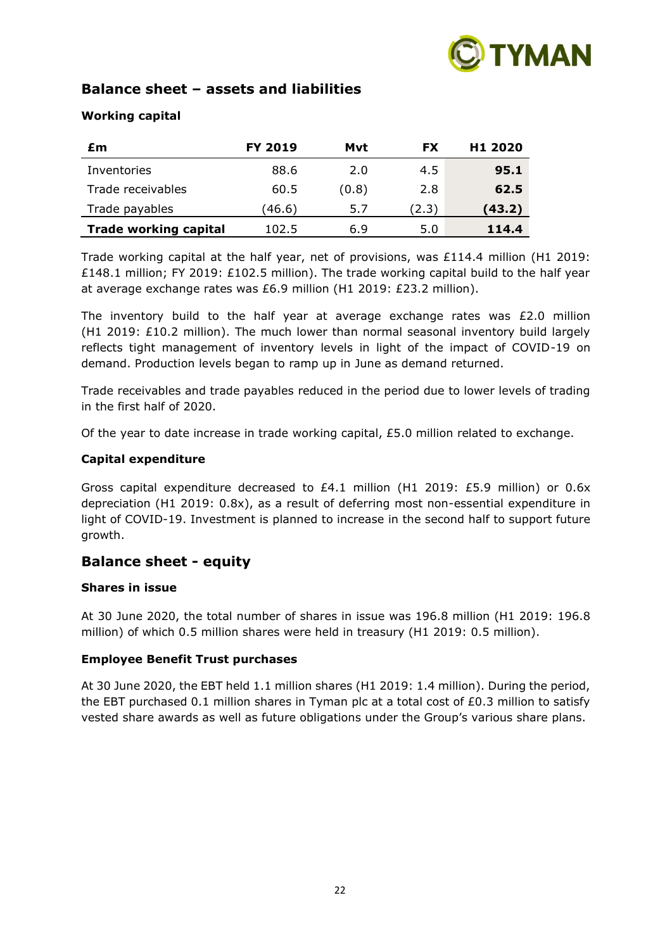

# **Balance sheet – assets and liabilities**

# **Working capital**

| £m                           | <b>FY 2019</b> | Mvt   | <b>FX</b> | H <sub>1</sub> 2020 |
|------------------------------|----------------|-------|-----------|---------------------|
| Inventories                  | 88.6           | 2.0   | 4.5       | 95.1                |
| Trade receivables            | 60.5           | (0.8) | 2.8       | 62.5                |
| Trade payables               | (46.6)         | 5.7   | (2.3)     | (43.2)              |
| <b>Trade working capital</b> | 102.5          | 6.9   | 5.0       | 114.4               |

Trade working capital at the half year, net of provisions, was £114.4 million (H1 2019: £148.1 million; FY 2019: £102.5 million). The trade working capital build to the half year at average exchange rates was £6.9 million (H1 2019: £23.2 million).

The inventory build to the half year at average exchange rates was  $£2.0$  million (H1 2019:  $£10.2$  million). The much lower than normal seasonal inventory build largely reflects tight management of inventory levels in light of the impact of COVID-19 on demand. Production levels began to ramp up in June as demand returned.

Trade receivables and trade payables reduced in the period due to lower levels of trading in the first half of 2020.

Of the year to date increase in trade working capital, £5.0 million related to exchange.

# **Capital expenditure**

Gross capital expenditure decreased to £4.1 million (H1 2019: £5.9 million) or 0.6x depreciation (H1 2019: 0.8x), as a result of deferring most non-essential expenditure in light of COVID-19. Investment is planned to increase in the second half to support future growth.

# **Balance sheet - equity**

# **Shares in issue**

At 30 June 2020, the total number of shares in issue was 196.8 million (H1 2019: 196.8 million) of which 0.5 million shares were held in treasury (H1 2019: 0.5 million).

# **Employee Benefit Trust purchases**

At 30 June 2020, the EBT held 1.1 million shares (H1 2019: 1.4 million). During the period, the EBT purchased 0.1 million shares in Tyman plc at a total cost of  $E$ 0.3 million to satisfy vested share awards as well as future obligations under the Group's various share plans.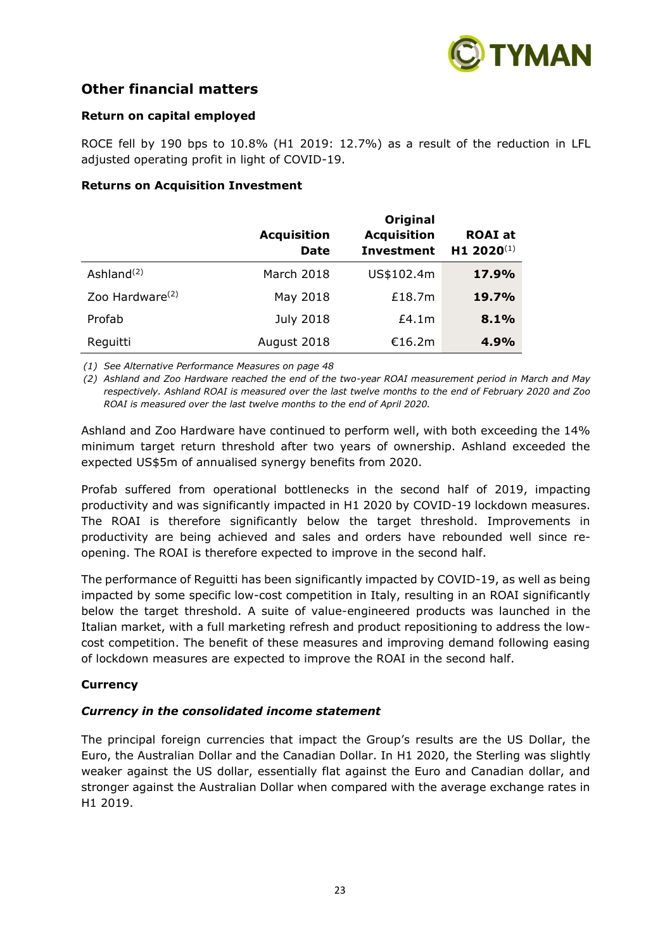

# **Other financial matters**

# **Return on capital employed**

ROCE fell by 190 bps to 10.8% (H1 2019: 12.7%) as a result of the reduction in LFL adjusted operating profit in light of COVID-19.

#### **Returns on Acquisition Investment**

|                             | <b>Acquisition</b><br><b>Date</b> | Original<br><b>Acquisition</b><br><b>Investment</b> | <b>ROAI</b> at<br>H1 2020(1) |
|-----------------------------|-----------------------------------|-----------------------------------------------------|------------------------------|
| Ashland $(2)$               | March 2018                        | US\$102.4m                                          | 17.9%                        |
| Zoo Hardware <sup>(2)</sup> | May 2018                          | £18.7m                                              | <b>19.7%</b>                 |
| Profab                      | <b>July 2018</b>                  | £4.1m                                               | 8.1%                         |
| Reguitti                    | August 2018                       | €16.2m                                              | 4.9%                         |

*(1) See Alternative Performance Measures on page 48*

*(2) Ashland and Zoo Hardware reached the end of the two-year ROAI measurement period in March and May respectively. Ashland ROAI is measured over the last twelve months to the end of February 2020 and Zoo ROAI is measured over the last twelve months to the end of April 2020.*

Ashland and Zoo Hardware have continued to perform well, with both exceeding the 14% minimum target return threshold after two years of ownership. Ashland exceeded the expected US\$5m of annualised synergy benefits from 2020.

Profab suffered from operational bottlenecks in the second half of 2019, impacting productivity and was significantly impacted in H1 2020 by COVID-19 lockdown measures. The ROAI is therefore significantly below the target threshold. Improvements in productivity are being achieved and sales and orders have rebounded well since reopening. The ROAI is therefore expected to improve in the second half.

The performance of Reguitti has been significantly impacted by COVID-19, as well as being impacted by some specific low-cost competition in Italy, resulting in an ROAI significantly below the target threshold. A suite of value-engineered products was launched in the Italian market, with a full marketing refresh and product repositioning to address the lowcost competition. The benefit of these measures and improving demand following easing of lockdown measures are expected to improve the ROAI in the second half.

# **Currency**

# *Currency in the consolidated income statement*

The principal foreign currencies that impact the Group's results are the US Dollar, the Euro, the Australian Dollar and the Canadian Dollar. In H1 2020, the Sterling was slightly weaker against the US dollar, essentially flat against the Euro and Canadian dollar, and stronger against the Australian Dollar when compared with the average exchange rates in H1 2019.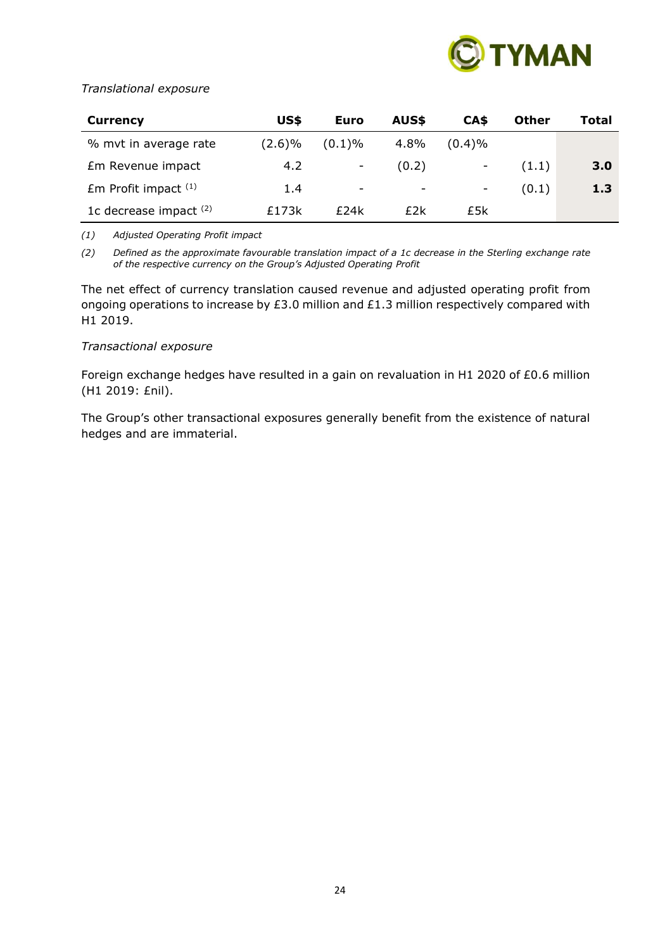

# *Translational exposure*

| Currency                 | US\$   | Euro                     | AUS\$ | CA\$                     | <b>Other</b> | Total |
|--------------------------|--------|--------------------------|-------|--------------------------|--------------|-------|
| % mvt in average rate    | (2.6)% | (0.1)%                   | 4.8%  | $(0.4)\%$                |              |       |
| Em Revenue impact        | 4.2    |                          | (0.2) | $\overline{\phantom{a}}$ | (1.1)        | 3.0   |
| $Em$ Profit impact $(1)$ | 1.4    | $\overline{\phantom{0}}$ | -     | -                        | (0.1)        | 1.3   |
| 1c decrease impact $(2)$ | £173k  | £24k                     | £2k   | £5k                      |              |       |

*(1) Adjusted Operating Profit impact*

*(2) Defined as the approximate favourable translation impact of a 1c decrease in the Sterling exchange rate of the respective currency on the Group's Adjusted Operating Profit*

The net effect of currency translation caused revenue and adjusted operating profit from ongoing operations to increase by £3.0 million and £1.3 million respectively compared with H1 2019.

#### *Transactional exposure*

Foreign exchange hedges have resulted in a gain on revaluation in H1 2020 of £0.6 million (H1 2019: £nil).

The Group's other transactional exposures generally benefit from the existence of natural hedges and are immaterial.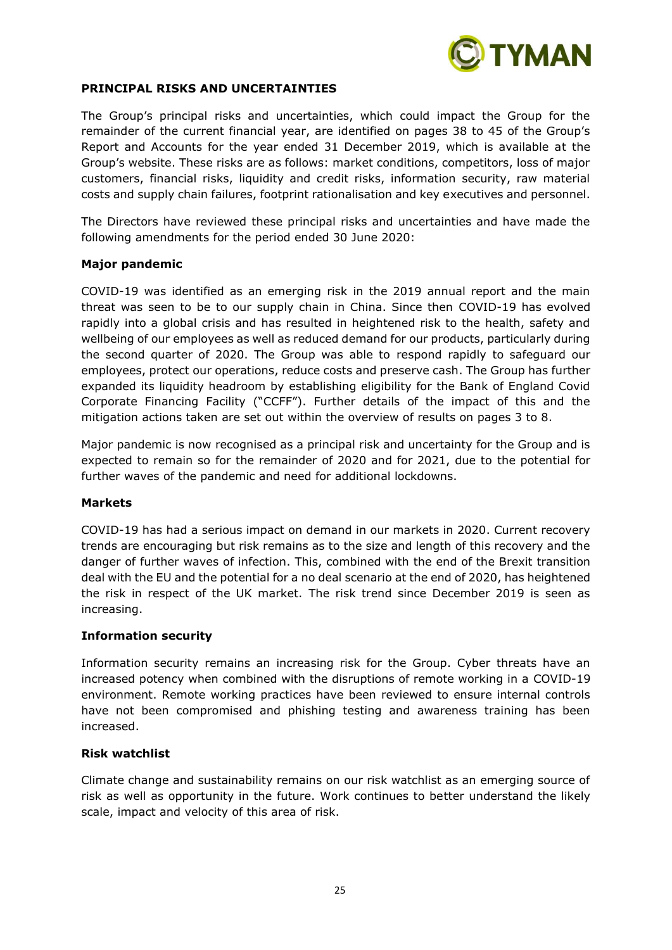

#### **PRINCIPAL RISKS AND UNCERTAINTIES**

The Group's principal risks and uncertainties, which could impact the Group for the remainder of the current financial year, are identified on pages 38 to 45 of the Group's Report and Accounts for the year ended 31 December 2019, which is available at the Group's website. These risks are as follows: market conditions, competitors, loss of major customers, financial risks, liquidity and credit risks, information security, raw material costs and supply chain failures, footprint rationalisation and key executives and personnel.

The Directors have reviewed these principal risks and uncertainties and have made the following amendments for the period ended 30 June 2020:

#### **Major pandemic**

COVID-19 was identified as an emerging risk in the 2019 annual report and the main threat was seen to be to our supply chain in China. Since then COVID-19 has evolved rapidly into a global crisis and has resulted in heightened risk to the health, safety and wellbeing of our employees as well as reduced demand for our products, particularly during the second quarter of 2020. The Group was able to respond rapidly to safeguard our employees, protect our operations, reduce costs and preserve cash. The Group has further expanded its liquidity headroom by establishing eligibility for the Bank of England Covid Corporate Financing Facility ("CCFF"). Further details of the impact of this and the mitigation actions taken are set out within the overview of results on pages 3 to 8.

Major pandemic is now recognised as a principal risk and uncertainty for the Group and is expected to remain so for the remainder of 2020 and for 2021, due to the potential for further waves of the pandemic and need for additional lockdowns.

#### **Markets**

COVID-19 has had a serious impact on demand in our markets in 2020. Current recovery trends are encouraging but risk remains as to the size and length of this recovery and the danger of further waves of infection. This, combined with the end of the Brexit transition deal with the EU and the potential for a no deal scenario at the end of 2020, has heightened the risk in respect of the UK market. The risk trend since December 2019 is seen as increasing.

#### **Information security**

Information security remains an increasing risk for the Group. Cyber threats have an increased potency when combined with the disruptions of remote working in a COVID-19 environment. Remote working practices have been reviewed to ensure internal controls have not been compromised and phishing testing and awareness training has been increased.

#### **Risk watchlist**

Climate change and sustainability remains on our risk watchlist as an emerging source of risk as well as opportunity in the future. Work continues to better understand the likely scale, impact and velocity of this area of risk.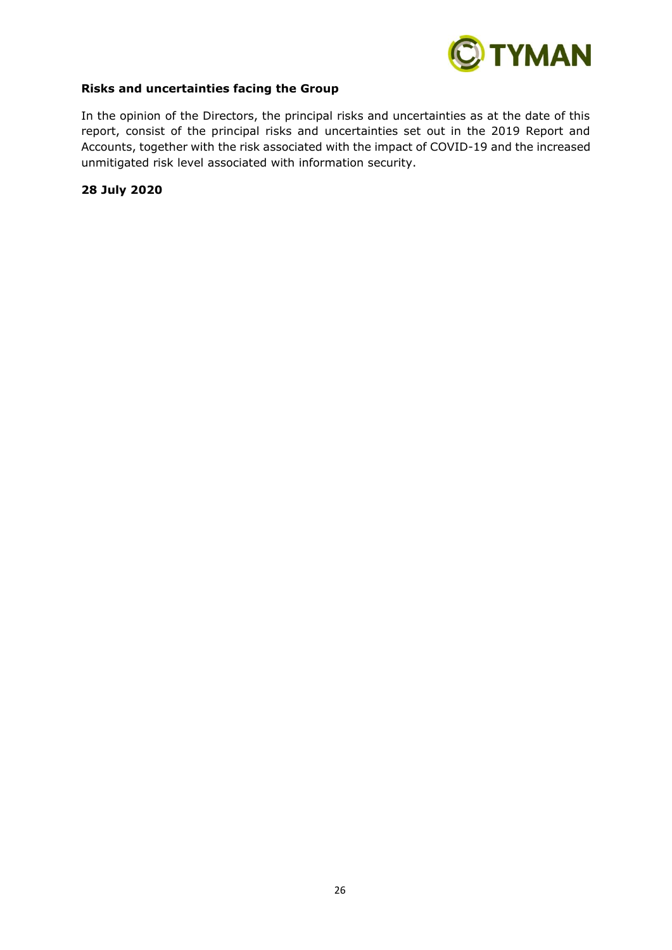

#### **Risks and uncertainties facing the Group**

In the opinion of the Directors, the principal risks and uncertainties as at the date of this report, consist of the principal risks and uncertainties set out in the 2019 Report and Accounts, together with the risk associated with the impact of COVID-19 and the increased unmitigated risk level associated with information security.

**28 July 2020**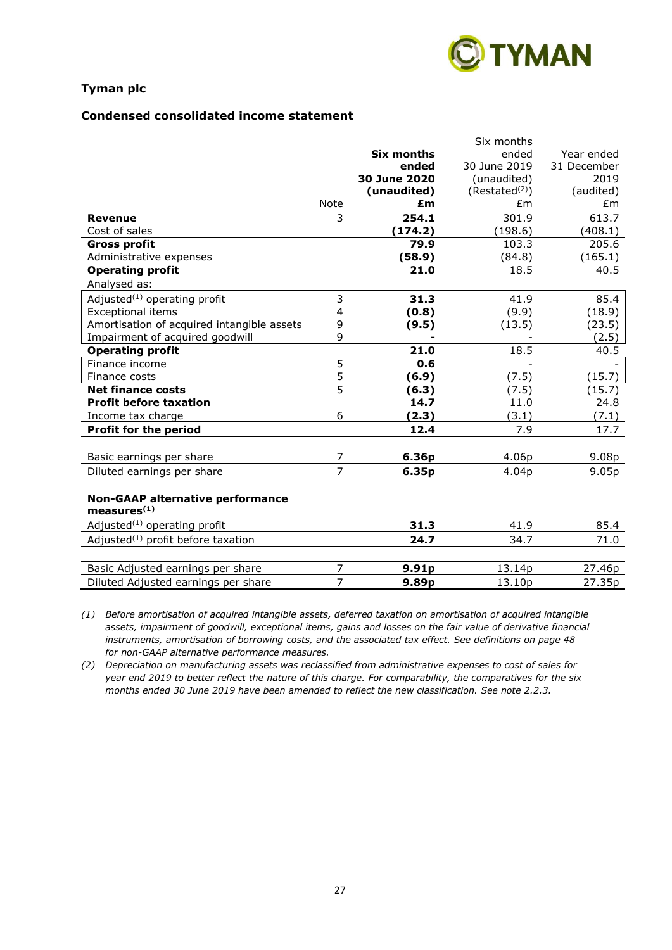

# **Condensed consolidated income statement**

|                                            |                |                   | Six months                 |                   |
|--------------------------------------------|----------------|-------------------|----------------------------|-------------------|
|                                            |                | <b>Six months</b> | ended                      | Year ended        |
|                                            |                | ended             | 30 June 2019               | 31 December       |
|                                            |                | 30 June 2020      | (unaudited)                | 2019              |
|                                            |                | (unaudited)       | (Restated <sup>(2)</sup> ) | (audited)         |
|                                            | Note           | £m                | £m                         | £m                |
| <b>Revenue</b>                             | 3              | 254.1             | 301.9                      | 613.7             |
| Cost of sales                              |                | (174.2)           | (198.6)                    | (408.1)           |
| <b>Gross profit</b>                        |                | 79.9              | 103.3                      | 205.6             |
| Administrative expenses                    |                | (58.9)            | (84.8)                     | (165.1)           |
| <b>Operating profit</b>                    |                | 21.0              | 18.5                       | 40.5              |
| Analysed as:                               |                |                   |                            |                   |
| Adjusted <sup>(1)</sup> operating profit   | 3              | 31.3              | 41.9                       | 85.4              |
| <b>Exceptional items</b>                   | 4              | (0.8)             | (9.9)                      | (18.9)            |
| Amortisation of acquired intangible assets | 9              | (9.5)             | (13.5)                     | (23.5)            |
| Impairment of acquired goodwill            | 9              |                   |                            | (2.5)             |
| <b>Operating profit</b>                    |                | 21.0              | 18.5                       | 40.5              |
| Finance income                             | $\overline{5}$ | 0.6               |                            |                   |
| Finance costs                              | 5              | (6.9)             | (7.5)                      | (15.7)            |
| <b>Net finance costs</b>                   | 5              | (6.3)             | (7.5)                      | (15.7)            |
| <b>Profit before taxation</b>              |                | 14.7              | 11.0                       | 24.8              |
| Income tax charge                          | 6              | (2.3)             | (3.1)                      | (7.1)             |
| <b>Profit for the period</b>               |                | 12.4              | 7.9                        | 17.7              |
|                                            |                |                   |                            |                   |
| Basic earnings per share                   | 7              | 6.36p             | 4.06p                      | 9.08 <sub>p</sub> |
| Diluted earnings per share                 | $\overline{7}$ | 6.35p             | 4.04p                      | 9.05p             |
|                                            |                |                   |                            |                   |
| <b>Non-GAAP alternative performance</b>    |                |                   |                            |                   |
| measures <sup>(1)</sup>                    |                |                   |                            |                   |
| Adjusted <sup>(1)</sup> operating profit   |                | 31.3              | 41.9                       | 85.4              |
| Adjusted $(1)$ profit before taxation      |                | 24.7              | 34.7                       | 71.0              |
|                                            |                |                   |                            |                   |
| Basic Adjusted earnings per share          | $\overline{7}$ | 9.91p             | 13.14p                     | 27.46p            |
| Diluted Adjusted earnings per share        | $\overline{7}$ | 9.89p             | 13.10p                     | 27.35p            |
|                                            |                |                   |                            |                   |

*(1) Before amortisation of acquired intangible assets, deferred taxation on amortisation of acquired intangible assets, impairment of goodwill, exceptional items, gains and losses on the fair value of derivative financial instruments, amortisation of borrowing costs, and the associated tax effect. See definitions on page 48 for non-GAAP alternative performance measures.*

*(2) Depreciation on manufacturing assets was reclassified from administrative expenses to cost of sales for year end 2019 to better reflect the nature of this charge. For comparability, the comparatives for the six months ended 30 June 2019 have been amended to reflect the new classification. See note 2.2.3.*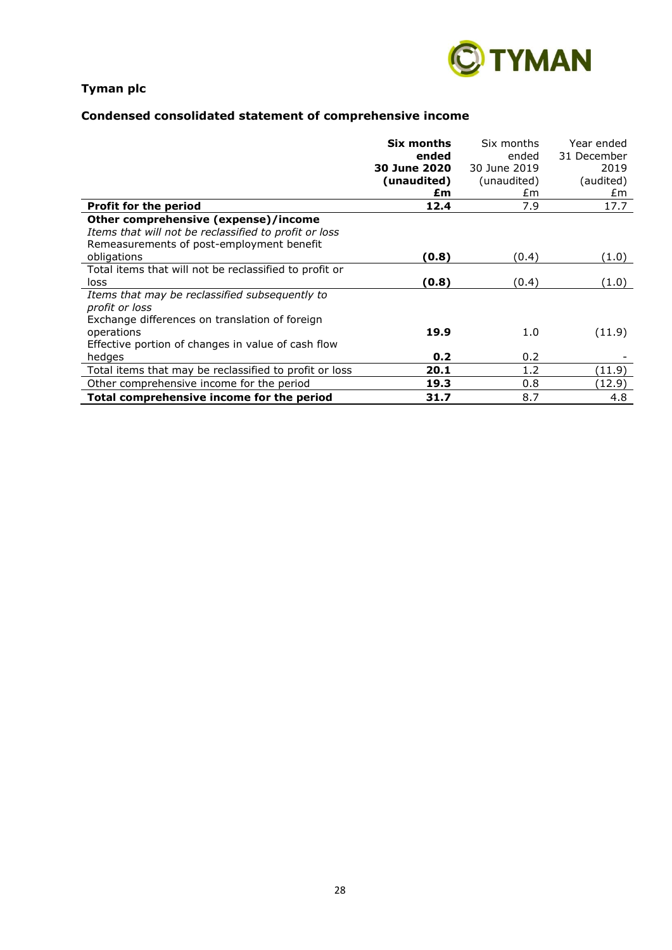

# **Condensed consolidated statement of comprehensive income**

|                                                        | Six months<br>ended | Six months   | Year ended          |
|--------------------------------------------------------|---------------------|--------------|---------------------|
|                                                        | 30 June 2020        | ended        | 31 December<br>2019 |
|                                                        |                     | 30 June 2019 |                     |
|                                                        | (unaudited)         | (unaudited)  | (audited)           |
|                                                        | £m                  | £m           | £m                  |
| <b>Profit for the period</b>                           | 12.4                | 7.9          | 17.7                |
| Other comprehensive (expense)/income                   |                     |              |                     |
| Items that will not be reclassified to profit or loss  |                     |              |                     |
| Remeasurements of post-employment benefit              |                     |              |                     |
| obligations                                            | (0.8)               | (0.4)        | (1.0)               |
| Total items that will not be reclassified to profit or |                     |              |                     |
| loss                                                   | (0.8)               | (0.4)        | (1.0)               |
| Items that may be reclassified subsequently to         |                     |              |                     |
| profit or loss                                         |                     |              |                     |
| Exchange differences on translation of foreign         |                     |              |                     |
| operations                                             | 19.9                | 1.0          | (11.9)              |
| Effective portion of changes in value of cash flow     |                     |              |                     |
| hedges                                                 | 0.2                 | 0.2          |                     |
| Total items that may be reclassified to profit or loss | 20.1                | 1.2          | (11.9)              |
| Other comprehensive income for the period              | 19.3                | 0.8          | (12.9)              |
| Total comprehensive income for the period              | 31.7                | 8.7          | 4.8                 |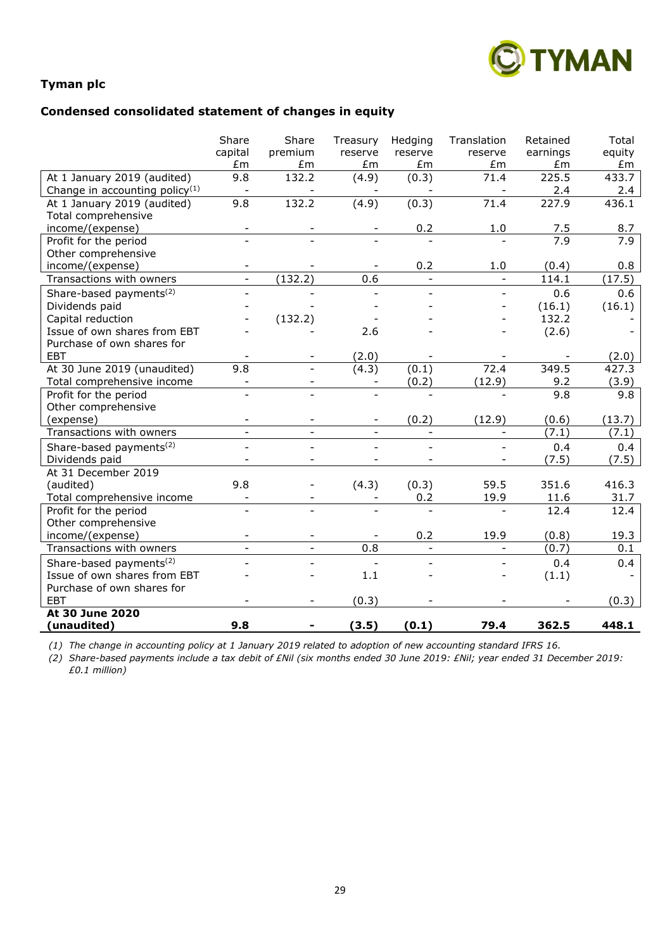

# **Condensed consolidated statement of changes in equity**

|                                     | Share<br>capital | Share<br>premium | Treasury<br>reserve | Hedging<br>reserve       | Translation<br>reserve   | Retained<br>earnings | Total<br>equity |
|-------------------------------------|------------------|------------------|---------------------|--------------------------|--------------------------|----------------------|-----------------|
|                                     | £m               | £m               | £m                  | £m                       | £m                       | Em                   | £m              |
| At 1 January 2019 (audited)         | 9.8              | 132.2            | (4.9)               | (0.3)                    | 71.4                     | 225.5                | 433.7           |
| Change in accounting policy $(1)$   | $\blacksquare$   |                  |                     |                          |                          | 2.4                  | 2.4             |
| At 1 January 2019 (audited)         | 9.8              | 132.2            | (4.9)               | (0.3)                    | 71.4                     | 227.9                | 436.1           |
| Total comprehensive                 |                  |                  |                     |                          |                          |                      |                 |
| income/(expense)                    |                  |                  |                     | 0.2                      | 1.0                      | 7.5                  | 8.7             |
| Profit for the period               |                  |                  |                     |                          |                          | 7.9                  | 7.9             |
| Other comprehensive                 |                  |                  |                     |                          |                          |                      |                 |
| income/(expense)                    |                  |                  |                     | 0.2                      | 1.0                      | (0.4)                | 0.8             |
| Transactions with owners            |                  | (132.2)          | 0.6                 | $\overline{\phantom{a}}$ |                          | 114.1                | (17.5)          |
| Share-based payments <sup>(2)</sup> |                  |                  |                     |                          |                          | 0.6                  | 0.6             |
| Dividends paid                      |                  |                  |                     |                          |                          | (16.1)               | (16.1)          |
| Capital reduction                   |                  | (132.2)          |                     |                          |                          | 132.2                |                 |
| Issue of own shares from EBT        |                  |                  | 2.6                 |                          |                          | (2.6)                |                 |
| Purchase of own shares for          |                  |                  |                     |                          |                          |                      |                 |
| EBT                                 |                  |                  | (2.0)               |                          |                          |                      | (2.0)           |
| At 30 June 2019 (unaudited)         | 9.8              |                  | (4.3)               | (0.1)                    | 72.4                     | 349.5                | 427.3           |
| Total comprehensive income          |                  |                  |                     | (0.2)                    | (12.9)                   | 9.2                  | (3.9)           |
| Profit for the period               |                  |                  |                     |                          |                          | 9.8                  | 9.8             |
| Other comprehensive                 |                  |                  |                     |                          |                          |                      |                 |
| (expense)                           |                  |                  |                     | (0.2)                    | (12.9)                   | (0.6)                | (13.7)          |
| Transactions with owners            |                  |                  |                     | $\overline{\phantom{a}}$ |                          | (7.1)                | (7.1)           |
| Share-based payments <sup>(2)</sup> |                  |                  |                     |                          |                          | 0.4                  | 0.4             |
| Dividends paid                      |                  |                  |                     |                          |                          | (7.5)                | (7.5)           |
| At 31 December 2019                 |                  |                  |                     |                          |                          |                      |                 |
| (audited)                           | 9.8              |                  | (4.3)               | (0.3)                    | 59.5                     | 351.6                | 416.3           |
| Total comprehensive income          |                  |                  |                     | 0.2                      | 19.9                     | 11.6                 | 31.7            |
| Profit for the period               |                  |                  |                     |                          |                          | 12.4                 | 12.4            |
| Other comprehensive                 |                  |                  |                     |                          |                          |                      |                 |
| income/(expense)                    |                  |                  |                     | 0.2                      | 19.9                     | (0.8)                | 19.3            |
| Transactions with owners            | $\blacksquare$   | $\blacksquare$   | 0.8                 | $\overline{\phantom{a}}$ | $\overline{\phantom{a}}$ | (0.7)                | 0.1             |
| Share-based payments <sup>(2)</sup> |                  |                  |                     |                          |                          | 0.4                  | 0.4             |
| Issue of own shares from EBT        |                  |                  | 1.1                 |                          |                          | (1.1)                |                 |
| Purchase of own shares for          |                  |                  |                     |                          |                          |                      |                 |
| <b>EBT</b>                          |                  |                  | (0.3)               |                          |                          |                      | (0.3)           |
| <b>At 30 June 2020</b>              |                  |                  |                     |                          |                          |                      |                 |
| (unaudited)                         | 9.8              |                  | (3.5)               | (0.1)                    | 79.4                     | 362.5                | 448.1           |

*(1) The change in accounting policy at 1 January 2019 related to adoption of new accounting standard IFRS 16.* 

*(2) Share-based payments include a tax debit of £Nil (six months ended 30 June 2019: £Nil; year ended 31 December 2019: £0.1 million)*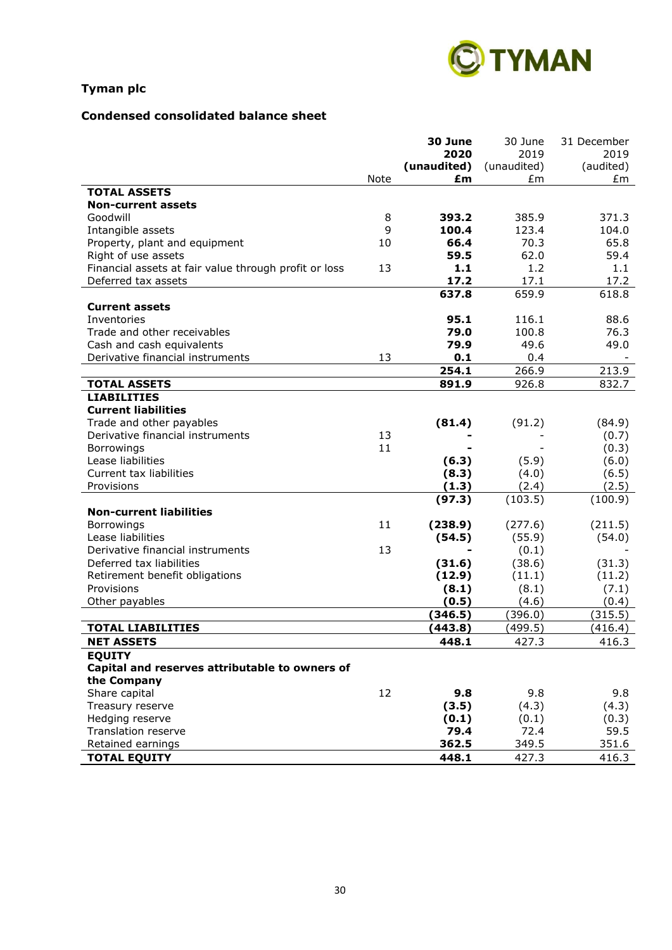

# **Condensed consolidated balance sheet**

|                                                       |      | 30 June     | 30 June     | 31 December |
|-------------------------------------------------------|------|-------------|-------------|-------------|
|                                                       |      | 2020        | 2019        | 2019        |
|                                                       |      | (unaudited) | (unaudited) | (audited)   |
|                                                       | Note | £m          | £m          | £m          |
| <b>TOTAL ASSETS</b>                                   |      |             |             |             |
| <b>Non-current assets</b>                             |      |             |             |             |
| Goodwill                                              | 8    | 393.2       | 385.9       | 371.3       |
| Intangible assets                                     | 9    | 100.4       | 123.4       | 104.0       |
| Property, plant and equipment                         | 10   | 66.4        | 70.3        | 65.8        |
| Right of use assets                                   |      | 59.5        | 62.0        | 59.4        |
| Financial assets at fair value through profit or loss | 13   | 1.1         | 1.2         | 1.1         |
| Deferred tax assets                                   |      | 17.2        | 17.1        | 17.2        |
|                                                       |      | 637.8       | 659.9       | 618.8       |
| <b>Current assets</b>                                 |      |             |             |             |
| Inventories                                           |      | 95.1        | 116.1       | 88.6        |
| Trade and other receivables                           |      | 79.0        | 100.8       | 76.3        |
| Cash and cash equivalents                             |      | 79.9        | 49.6        | 49.0        |
| Derivative financial instruments                      | 13   | 0.1         | 0.4         |             |
|                                                       |      | 254.1       | 266.9       | 213.9       |
| <b>TOTAL ASSETS</b>                                   |      | 891.9       | 926.8       | 832.7       |
| <b>LIABILITIES</b>                                    |      |             |             |             |
| <b>Current liabilities</b>                            |      |             |             |             |
| Trade and other payables                              |      | (81.4)      | (91.2)      | (84.9)      |
| Derivative financial instruments                      | 13   |             |             | (0.7)       |
| Borrowings                                            | 11   |             |             | (0.3)       |
| Lease liabilities                                     |      | (6.3)       | (5.9)       | (6.0)       |
| Current tax liabilities                               |      | (8.3)       | (4.0)       | (6.5)       |
| Provisions                                            |      | (1.3)       | (2.4)       | (2.5)       |
|                                                       |      | (97.3)      | (103.5)     | (100.9)     |
| <b>Non-current liabilities</b>                        |      |             |             |             |
| Borrowings                                            | 11   | (238.9)     | (277.6)     | (211.5)     |
| Lease liabilities                                     |      | (54.5)      | (55.9)      | (54.0)      |
| Derivative financial instruments                      | 13   |             | (0.1)       |             |
| Deferred tax liabilities                              |      | (31.6)      | (38.6)      | (31.3)      |
| Retirement benefit obligations                        |      | (12.9)      | (11.1)      | (11.2)      |
| Provisions                                            |      | (8.1)       | (8.1)       | (7.1)       |
| Other payables                                        |      | (0.5)       | (4.6)       | (0.4)       |
|                                                       |      | (346.5)     | (396.0)     | (315.5)     |
| <b>TOTAL LIABILITIES</b>                              |      | (443.8)     | (499.5)     | (416.4)     |
| <b>NET ASSETS</b>                                     |      | 448.1       | 427.3       | 416.3       |
| <b>EQUITY</b>                                         |      |             |             |             |
| Capital and reserves attributable to owners of        |      |             |             |             |
| the Company                                           |      |             |             |             |
| Share capital                                         | 12   | 9.8         | 9.8         | 9.8         |
| Treasury reserve                                      |      | (3.5)       | (4.3)       | (4.3)       |
| Hedging reserve                                       |      | (0.1)       | (0.1)       | (0.3)       |
| Translation reserve                                   |      | 79.4        | 72.4        | 59.5        |
| Retained earnings                                     |      | 362.5       | 349.5       | 351.6       |
|                                                       |      |             |             |             |
| <b>TOTAL EQUITY</b>                                   |      | 448.1       | 427.3       | 416.3       |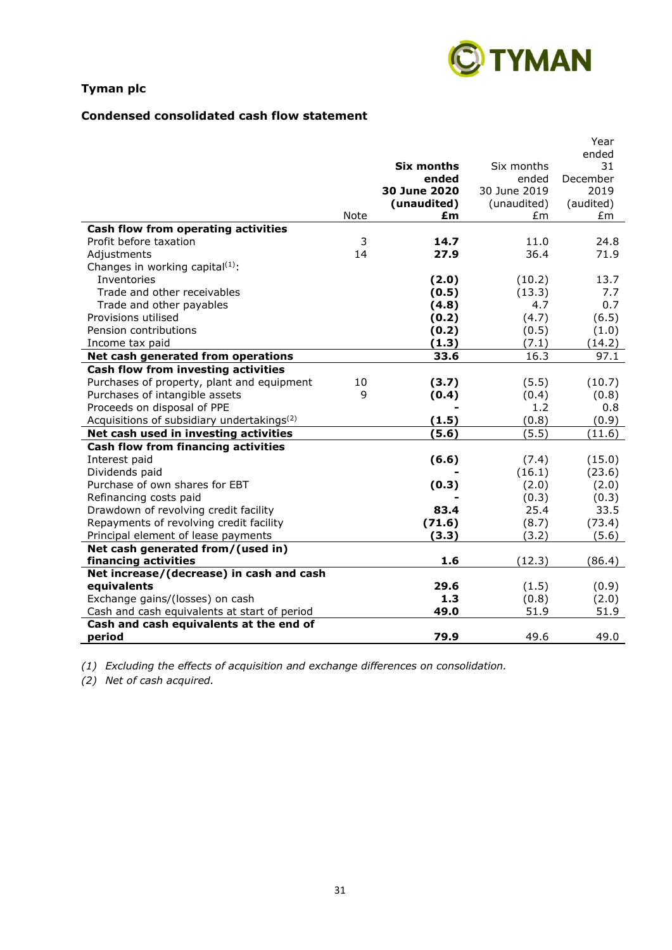

# **Condensed consolidated cash flow statement**

|                                                        |              |              |              | Year      |
|--------------------------------------------------------|--------------|--------------|--------------|-----------|
|                                                        |              |              |              | ended     |
|                                                        |              | Six months   | Six months   | 31        |
|                                                        |              | ended        | ended        | December  |
|                                                        |              | 30 June 2020 | 30 June 2019 | 2019      |
|                                                        |              | (unaudited)  | (unaudited)  | (audited) |
|                                                        | <b>Note</b>  | £m           | £m           | £m        |
| Cash flow from operating activities                    |              |              |              |           |
| Profit before taxation                                 | 3            | 14.7         | 11.0         | 24.8      |
| Adjustments                                            | 14           | 27.9         | 36.4         | 71.9      |
| Changes in working capital $(1)$ :                     |              |              |              |           |
| Inventories                                            |              | (2.0)        | (10.2)       | 13.7      |
| Trade and other receivables                            |              | (0.5)        | (13.3)       | 7.7       |
| Trade and other payables                               |              | (4.8)        | 4.7          | 0.7       |
| Provisions utilised                                    |              | (0.2)        | (4.7)        | (6.5)     |
| Pension contributions                                  |              | (0.2)        | (0.5)        | (1.0)     |
| Income tax paid                                        |              | (1.3)        | (7.1)        | (14.2)    |
| Net cash generated from operations                     |              | 33.6         | 16.3         | 97.1      |
| Cash flow from investing activities                    |              |              |              |           |
| Purchases of property, plant and equipment             | 10           | (3.7)        | (5.5)        | (10.7)    |
| Purchases of intangible assets                         | $\mathsf{q}$ | (0.4)        | (0.4)        | (0.8)     |
| Proceeds on disposal of PPE                            |              |              | 1.2          | 0.8       |
| Acquisitions of subsidiary undertakings <sup>(2)</sup> |              | (1.5)        | (0.8)        | (0.9)     |
| Net cash used in investing activities                  |              | (5.6)        | (5.5)        | (11.6)    |
| Cash flow from financing activities                    |              |              |              |           |
| Interest paid                                          |              | (6.6)        | (7.4)        | (15.0)    |
| Dividends paid                                         |              |              | (16.1)       | (23.6)    |
| Purchase of own shares for EBT                         |              | (0.3)        | (2.0)        | (2.0)     |
| Refinancing costs paid                                 |              |              | (0.3)        | (0.3)     |
| Drawdown of revolving credit facility                  |              | 83.4         | 25.4         | 33.5      |
| Repayments of revolving credit facility                |              | (71.6)       | (8.7)        | (73.4)    |
| Principal element of lease payments                    |              | (3.3)        | (3.2)        | (5.6)     |
| Net cash generated from/(used in)                      |              |              |              |           |
| financing activities                                   |              | 1.6          | (12.3)       | (86.4)    |
| Net increase/(decrease) in cash and cash               |              |              |              |           |
| equivalents                                            |              | 29.6         | (1.5)        | (0.9)     |
| Exchange gains/(losses) on cash                        |              | 1.3          | (0.8)        | (2.0)     |
| Cash and cash equivalents at start of period           |              | 49.0         | 51.9         | 51.9      |
| Cash and cash equivalents at the end of                |              |              |              |           |
| period                                                 |              | 79.9         | 49.6         | 49.0      |

*(1) Excluding the effects of acquisition and exchange differences on consolidation.*

*(2) Net of cash acquired.*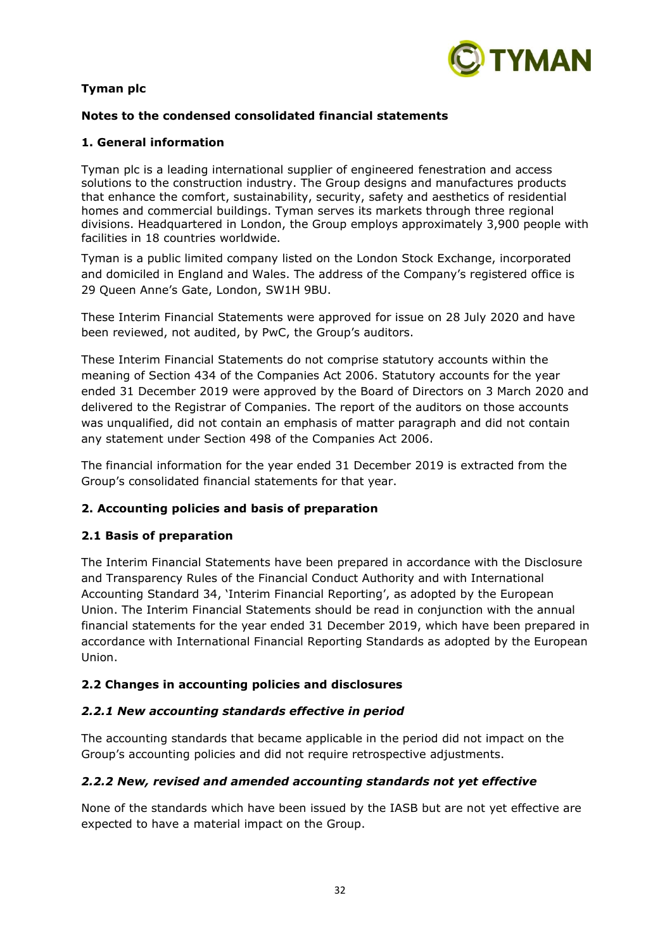

# **Notes to the condensed consolidated financial statements**

# **1. General information**

Tyman plc is a leading international supplier of engineered fenestration and access solutions to the construction industry. The Group designs and manufactures products that enhance the comfort, sustainability, security, safety and aesthetics of residential homes and commercial buildings. Tyman serves its markets through three regional divisions. Headquartered in London, the Group employs approximately 3,900 people with facilities in 18 countries worldwide.

Tyman is a public limited company listed on the London Stock Exchange, incorporated and domiciled in England and Wales. The address of the Company's registered office is 29 Queen Anne's Gate, London, SW1H 9BU.

These Interim Financial Statements were approved for issue on 28 July 2020 and have been reviewed, not audited, by PwC, the Group's auditors.

These Interim Financial Statements do not comprise statutory accounts within the meaning of Section 434 of the Companies Act 2006. Statutory accounts for the year ended 31 December 2019 were approved by the Board of Directors on 3 March 2020 and delivered to the Registrar of Companies. The report of the auditors on those accounts was unqualified, did not contain an emphasis of matter paragraph and did not contain any statement under Section 498 of the Companies Act 2006.

The financial information for the year ended 31 December 2019 is extracted from the Group's consolidated financial statements for that year.

# **2. Accounting policies and basis of preparation**

# **2.1 Basis of preparation**

The Interim Financial Statements have been prepared in accordance with the Disclosure and Transparency Rules of the Financial Conduct Authority and with International Accounting Standard 34, 'Interim Financial Reporting', as adopted by the European Union. The Interim Financial Statements should be read in conjunction with the annual financial statements for the year ended 31 December 2019, which have been prepared in accordance with International Financial Reporting Standards as adopted by the European Union.

# **2.2 Changes in accounting policies and disclosures**

# *2.2.1 New accounting standards effective in period*

The accounting standards that became applicable in the period did not impact on the Group's accounting policies and did not require retrospective adjustments.

# *2.2.2 New, revised and amended accounting standards not yet effective*

None of the standards which have been issued by the IASB but are not yet effective are expected to have a material impact on the Group.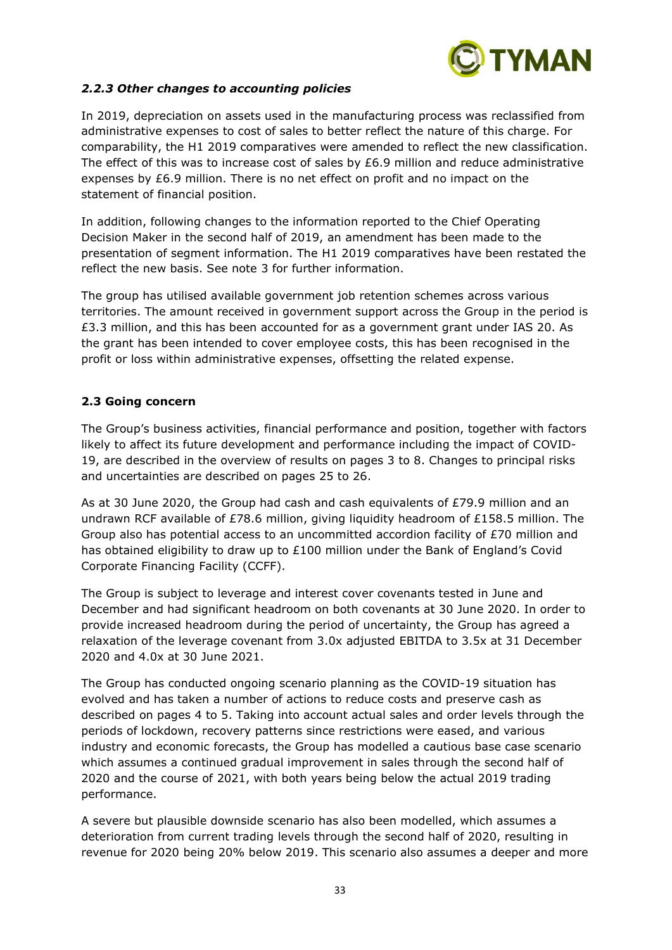

# *2.2.3 Other changes to accounting policies*

In 2019, depreciation on assets used in the manufacturing process was reclassified from administrative expenses to cost of sales to better reflect the nature of this charge. For comparability, the H1 2019 comparatives were amended to reflect the new classification. The effect of this was to increase cost of sales by  $£6.9$  million and reduce administrative expenses by £6.9 million. There is no net effect on profit and no impact on the statement of financial position.

In addition, following changes to the information reported to the Chief Operating Decision Maker in the second half of 2019, an amendment has been made to the presentation of segment information. The H1 2019 comparatives have been restated the reflect the new basis. See note 3 for further information.

The group has utilised available government job retention schemes across various territories. The amount received in government support across the Group in the period is £3.3 million, and this has been accounted for as a government grant under IAS 20. As the grant has been intended to cover employee costs, this has been recognised in the profit or loss within administrative expenses, offsetting the related expense.

# **2.3 Going concern**

The Group's business activities, financial performance and position, together with factors likely to affect its future development and performance including the impact of COVID-19, are described in the overview of results on pages 3 to 8. Changes to principal risks and uncertainties are described on pages 25 to 26.

As at 30 June 2020, the Group had cash and cash equivalents of £79.9 million and an undrawn RCF available of £78.6 million, giving liquidity headroom of £158.5 million. The Group also has potential access to an uncommitted accordion facility of £70 million and has obtained eligibility to draw up to £100 million under the Bank of England's Covid Corporate Financing Facility (CCFF).

The Group is subject to leverage and interest cover covenants tested in June and December and had significant headroom on both covenants at 30 June 2020. In order to provide increased headroom during the period of uncertainty, the Group has agreed a relaxation of the leverage covenant from 3.0x adjusted EBITDA to 3.5x at 31 December 2020 and 4.0x at 30 June 2021.

The Group has conducted ongoing scenario planning as the COVID-19 situation has evolved and has taken a number of actions to reduce costs and preserve cash as described on pages 4 to 5. Taking into account actual sales and order levels through the periods of lockdown, recovery patterns since restrictions were eased, and various industry and economic forecasts, the Group has modelled a cautious base case scenario which assumes a continued gradual improvement in sales through the second half of 2020 and the course of 2021, with both years being below the actual 2019 trading performance.

A severe but plausible downside scenario has also been modelled, which assumes a deterioration from current trading levels through the second half of 2020, resulting in revenue for 2020 being 20% below 2019. This scenario also assumes a deeper and more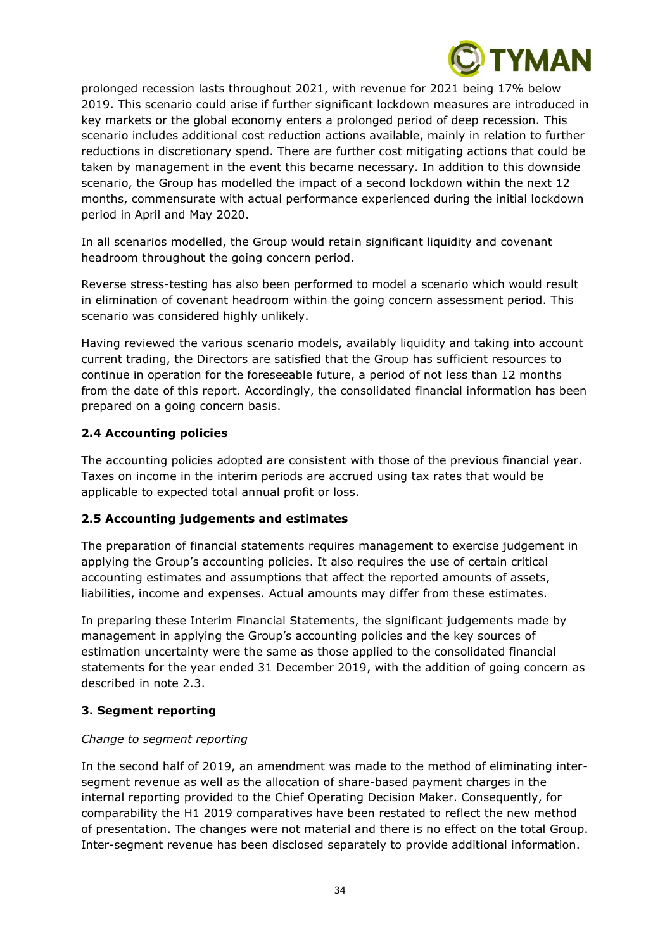

prolonged recession lasts throughout 2021, with revenue for 2021 being 17% below 2019. This scenario could arise if further significant lockdown measures are introduced in key markets or the global economy enters a prolonged period of deep recession. This scenario includes additional cost reduction actions available, mainly in relation to further reductions in discretionary spend. There are further cost mitigating actions that could be taken by management in the event this became necessary. In addition to this downside scenario, the Group has modelled the impact of a second lockdown within the next 12 months, commensurate with actual performance experienced during the initial lockdown period in April and May 2020.

In all scenarios modelled, the Group would retain significant liquidity and covenant headroom throughout the going concern period.

Reverse stress-testing has also been performed to model a scenario which would result in elimination of covenant headroom within the going concern assessment period. This scenario was considered highly unlikely.

Having reviewed the various scenario models, availably liquidity and taking into account current trading, the Directors are satisfied that the Group has sufficient resources to continue in operation for the foreseeable future, a period of not less than 12 months from the date of this report. Accordingly, the consolidated financial information has been prepared on a going concern basis.

# **2.4 Accounting policies**

The accounting policies adopted are consistent with those of the previous financial year. Taxes on income in the interim periods are accrued using tax rates that would be applicable to expected total annual profit or loss.

# **2.5 Accounting judgements and estimates**

The preparation of financial statements requires management to exercise judgement in applying the Group's accounting policies. It also requires the use of certain critical accounting estimates and assumptions that affect the reported amounts of assets, liabilities, income and expenses. Actual amounts may differ from these estimates.

In preparing these Interim Financial Statements, the significant judgements made by management in applying the Group's accounting policies and the key sources of estimation uncertainty were the same as those applied to the consolidated financial statements for the year ended 31 December 2019, with the addition of going concern as described in note 2.3.

# **3. Segment reporting**

# *Change to segment reporting*

In the second half of 2019, an amendment was made to the method of eliminating intersegment revenue as well as the allocation of share-based payment charges in the internal reporting provided to the Chief Operating Decision Maker. Consequently, for comparability the H1 2019 comparatives have been restated to reflect the new method of presentation. The changes were not material and there is no effect on the total Group. Inter-segment revenue has been disclosed separately to provide additional information.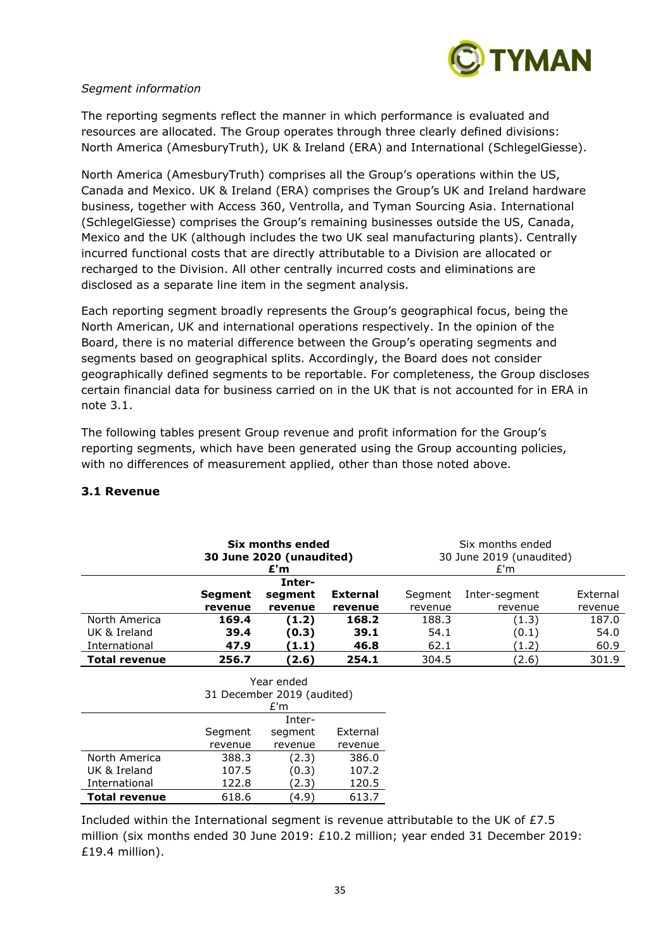

#### *Segment information*

The reporting segments reflect the manner in which performance is evaluated and resources are allocated. The Group operates through three clearly defined divisions: North America (AmesburyTruth), UK & Ireland (ERA) and International (SchlegelGiesse).

North America (AmesburyTruth) comprises all the Group's operations within the US, Canada and Mexico. UK & Ireland (ERA) comprises the Group's UK and Ireland hardware business, together with Access 360, Ventrolla, and Tyman Sourcing Asia. International (SchlegelGiesse) comprises the Group's remaining businesses outside the US, Canada, Mexico and the UK (although includes the two UK seal manufacturing plants). Centrally incurred functional costs that are directly attributable to a Division are allocated or recharged to the Division. All other centrally incurred costs and eliminations are disclosed as a separate line item in the segment analysis.

Each reporting segment broadly represents the Group's geographical focus, being the North American, UK and international operations respectively. In the opinion of the Board, there is no material difference between the Group's operating segments and segments based on geographical splits. Accordingly, the Board does not consider geographically defined segments to be reportable. For completeness, the Group discloses certain financial data for business carried on in the UK that is not accounted for in ERA in note 3.1.

The following tables present Group revenue and profit information for the Group's reporting segments, which have been generated using the Group accounting policies, with no differences of measurement applied, other than those noted above.

|                      | Six months ended<br>30 June 2020 (unaudited)<br>£'m |         |                 |         | Six months ended<br>30 June 2019 (unaudited)<br>E'm |          |
|----------------------|-----------------------------------------------------|---------|-----------------|---------|-----------------------------------------------------|----------|
|                      |                                                     | Inter-  |                 |         |                                                     |          |
|                      | <b>Segment</b>                                      | segment | <b>External</b> | Segment | Inter-segment                                       | External |
|                      | revenue                                             | revenue | revenue         | revenue | revenue                                             | revenue  |
| North America        | 169.4                                               | (1.2)   | 168.2           | 188.3   | (1.3)                                               | 187.0    |
| UK & Ireland         | 39.4                                                | (0.3)   | 39.1            | 54.1    | (0.1)                                               | 54.0     |
| International        | 47.9                                                | (1.1)   | 46.8            | 62.1    | (1.2)                                               | 60.9     |
| <b>Total revenue</b> | 256.7                                               | (2.6)   | 254.1           | 304.5   | (2.6)                                               | 301.9    |

# **3.1 Revenue**

|                      | Year ended<br>31 December 2019 (audited)<br>f'm |         |          |  |  |
|----------------------|-------------------------------------------------|---------|----------|--|--|
|                      | Inter-                                          |         |          |  |  |
|                      | Segment                                         | segment | External |  |  |
|                      | revenue<br>revenue<br>revenue                   |         |          |  |  |
| North America        | 388.3                                           | (2.3)   | 386.0    |  |  |
| UK & Ireland         | 107.5                                           | (0.3)   | 107.2    |  |  |
| International        | 122.8                                           | (2.3)   | 120.5    |  |  |
| <b>Total revenue</b> | 618.6                                           | 4.9     | 613.7    |  |  |

Included within the International segment is revenue attributable to the UK of £7.5 million (six months ended 30 June 2019: £10.2 million; year ended 31 December 2019: £19.4 million).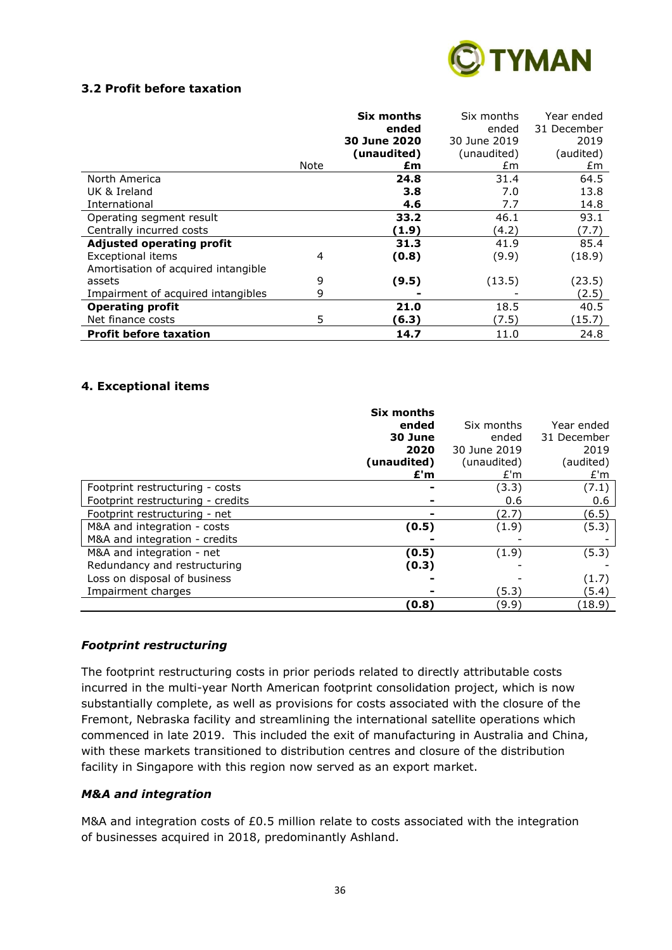

# **3.2 Profit before taxation**

|                                     |      | <b>Six months</b> | Six months   | Year ended  |
|-------------------------------------|------|-------------------|--------------|-------------|
|                                     |      | ended             | ended        | 31 December |
|                                     |      | 30 June 2020      | 30 June 2019 | 2019        |
|                                     |      | (unaudited)       | (unaudited)  | (audited)   |
|                                     | Note | £m                | £m           | £m          |
| North America                       |      | 24.8              | 31.4         | 64.5        |
| UK & Ireland                        |      | 3.8               | 7.0          | 13.8        |
| International                       |      | 4.6               | 7.7          | 14.8        |
| Operating segment result            |      | 33.2              | 46.1         | 93.1        |
| Centrally incurred costs            |      | (1.9)             | (4.2)        | (7.7)       |
| <b>Adjusted operating profit</b>    |      | 31.3              | 41.9         | 85.4        |
| <b>Exceptional items</b>            | 4    | (0.8)             | (9.9)        | (18.9)      |
| Amortisation of acquired intangible |      |                   |              |             |
| assets                              | 9    | (9.5)             | (13.5)       | (23.5)      |
| Impairment of acquired intangibles  | 9    |                   |              | (2.5)       |
| <b>Operating profit</b>             |      | 21.0              | 18.5         | 40.5        |
| Net finance costs                   | 5    | (6.3)             | (7.5)        | (15.7)      |
| <b>Profit before taxation</b>       |      | 14.7              | 11.0         | 24.8        |

#### **4. Exceptional items**

|                                   | Six months<br>ended<br>30 June<br>2020<br>(unaudited) | Six months<br>ended<br>30 June 2019<br>(unaudited) | Year ended<br>31 December<br>2019<br>(audited) |
|-----------------------------------|-------------------------------------------------------|----------------------------------------------------|------------------------------------------------|
|                                   | E'm                                                   | E'm                                                | £'m                                            |
| Footprint restructuring - costs   |                                                       | (3.3)                                              | (7.1)                                          |
| Footprint restructuring - credits |                                                       | 0.6                                                | 0.6                                            |
| Footprint restructuring - net     |                                                       | (2.7)                                              | (6.5)                                          |
| M&A and integration - costs       | (0.5)                                                 | (1.9)                                              | (5.3)                                          |
| M&A and integration - credits     |                                                       |                                                    |                                                |
| M&A and integration - net         | (0.5)                                                 | (1.9)                                              | (5.3)                                          |
| Redundancy and restructuring      | (0.3)                                                 |                                                    |                                                |
| Loss on disposal of business      |                                                       |                                                    | (1.7)                                          |
| Impairment charges                |                                                       | (5.3)                                              | (5.4)                                          |
|                                   | (0.8)                                                 | (9.9)                                              | (18.9)                                         |

#### *Footprint restructuring*

The footprint restructuring costs in prior periods related to directly attributable costs incurred in the multi-year North American footprint consolidation project, which is now substantially complete, as well as provisions for costs associated with the closure of the Fremont, Nebraska facility and streamlining the international satellite operations which commenced in late 2019. This included the exit of manufacturing in Australia and China, with these markets transitioned to distribution centres and closure of the distribution facility in Singapore with this region now served as an export market.

#### *M&A and integration*

M&A and integration costs of £0.5 million relate to costs associated with the integration of businesses acquired in 2018, predominantly Ashland.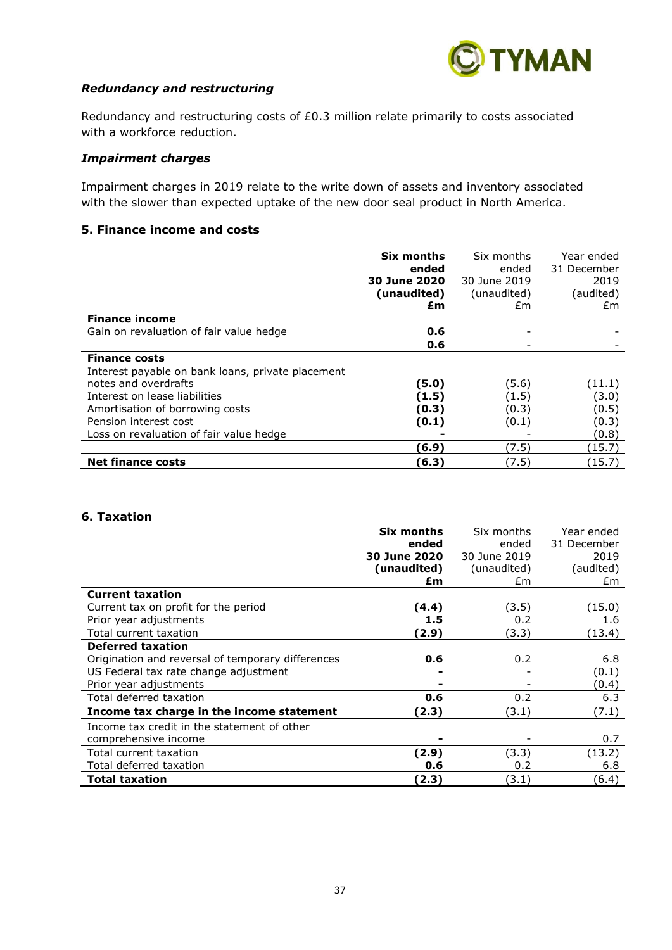

#### *Redundancy and restructuring*

Redundancy and restructuring costs of £0.3 million relate primarily to costs associated with a workforce reduction.

#### *Impairment charges*

Impairment charges in 2019 relate to the write down of assets and inventory associated with the slower than expected uptake of the new door seal product in North America.

# **5. Finance income and costs**

|                                                   | <b>Six months</b>   | Six months   | Year ended  |
|---------------------------------------------------|---------------------|--------------|-------------|
|                                                   | ended               | ended        | 31 December |
|                                                   | <b>30 June 2020</b> | 30 June 2019 | 2019        |
|                                                   | (unaudited)         | (unaudited)  | (audited)   |
|                                                   | £m                  | £m           | £m.         |
| <b>Finance income</b>                             |                     |              |             |
| Gain on revaluation of fair value hedge           | 0.6                 |              |             |
|                                                   | 0.6                 |              |             |
| <b>Finance costs</b>                              |                     |              |             |
| Interest payable on bank loans, private placement |                     |              |             |
| notes and overdrafts                              | (5.0)               | (5.6)        | (11.1)      |
| Interest on lease liabilities                     | (1.5)               | (1.5)        | (3.0)       |
| Amortisation of borrowing costs                   | (0.3)               | (0.3)        | (0.5)       |
| Pension interest cost                             | (0.1)               | (0.1)        | (0.3)       |
| Loss on revaluation of fair value hedge           |                     |              | (0.8)       |
|                                                   | (6.9)               | (7.5)        | (15.7)      |
| <b>Net finance costs</b>                          | (6.3)               | (7.5)        | (15.7)      |

#### **6. Taxation**

|                                                   | Six months   | Six months   | Year ended  |
|---------------------------------------------------|--------------|--------------|-------------|
|                                                   | ended        | ended        | 31 December |
|                                                   | 30 June 2020 | 30 June 2019 | 2019        |
|                                                   | (unaudited)  | (unaudited)  | (audited)   |
|                                                   | £m           | £m           | £m          |
| <b>Current taxation</b>                           |              |              |             |
| Current tax on profit for the period              | (4.4)        | (3.5)        | (15.0)      |
| Prior year adjustments                            | 1.5          | 0.2          | 1.6         |
| Total current taxation                            | (2.9)        | (3.3)        | (13.4)      |
| <b>Deferred taxation</b>                          |              |              |             |
| Origination and reversal of temporary differences | 0.6          | 0.2          | 6.8         |
| US Federal tax rate change adjustment             |              |              | (0.1)       |
| Prior year adjustments                            |              |              | (0.4)       |
| Total deferred taxation                           | 0.6          | 0.2          | 6.3         |
| Income tax charge in the income statement         | (2.3)        | (3.1)        | (7.1)       |
| Income tax credit in the statement of other       |              |              |             |
| comprehensive income                              | -            |              | 0.7         |
| Total current taxation                            | (2.9)        | (3.3)        | (13.2)      |
| Total deferred taxation                           | 0.6          | 0.2          | 6.8         |
| <b>Total taxation</b>                             | (2.3)        | (3.1)        | (6.4)       |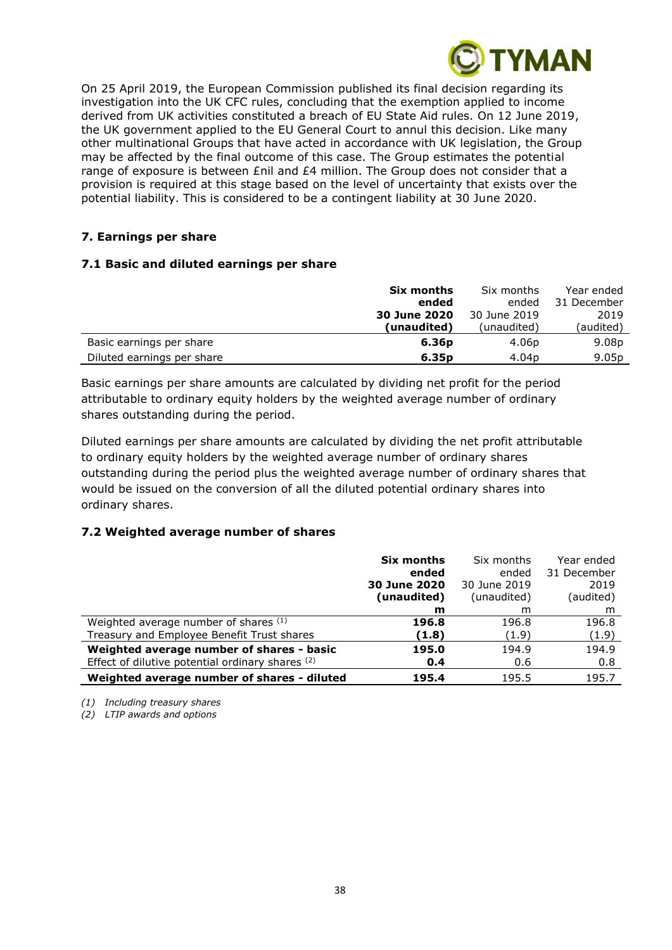

On 25 April 2019, the European Commission published its final decision regarding its investigation into the UK CFC rules, concluding that the exemption applied to income derived from UK activities constituted a breach of EU State Aid rules. On 12 June 2019, the UK government applied to the EU General Court to annul this decision. Like many other multinational Groups that have acted in accordance with UK legislation, the Group may be affected by the final outcome of this case. The Group estimates the potential range of exposure is between  $\epsilon$ nil and  $\epsilon$ 4 million. The Group does not consider that a provision is required at this stage based on the level of uncertainty that exists over the potential liability. This is considered to be a contingent liability at 30 June 2020.

# **7. Earnings per share**

# **7.1 Basic and diluted earnings per share**

|                            | Six months          | Six months        | Year ended        |
|----------------------------|---------------------|-------------------|-------------------|
|                            | ended               | ended             | 31 December       |
|                            | <b>30 June 2020</b> | 30 June 2019      | 2019              |
|                            | (unaudited)         | (unaudited)       | (audited)         |
| Basic earnings per share   | 6.36 <sub>p</sub>   | 4.06 <sub>p</sub> | 9.08p             |
| Diluted earnings per share | 6.35 <sub>p</sub>   | 4.04 <sub>p</sub> | 9.05 <sub>p</sub> |

Basic earnings per share amounts are calculated by dividing net profit for the period attributable to ordinary equity holders by the weighted average number of ordinary shares outstanding during the period.

Diluted earnings per share amounts are calculated by dividing the net profit attributable to ordinary equity holders by the weighted average number of ordinary shares outstanding during the period plus the weighted average number of ordinary shares that would be issued on the conversion of all the diluted potential ordinary shares into ordinary shares.

# **7.2 Weighted average number of shares**

|                                                  | Six months          | Six months   | Year ended  |
|--------------------------------------------------|---------------------|--------------|-------------|
|                                                  | ended               | ended        | 31 December |
|                                                  | <b>30 June 2020</b> | 30 June 2019 | 2019        |
|                                                  | (unaudited)         | (unaudited)  | (audited)   |
|                                                  | m                   | m            | m           |
| Weighted average number of shares (1)            | 196.8               | 196.8        | 196.8       |
| Treasury and Employee Benefit Trust shares       | (1.8)               | (1.9)        | (1.9)       |
| Weighted average number of shares - basic        | 195.0               | 194.9        | 194.9       |
| Effect of dilutive potential ordinary shares (2) | 0.4                 | 0.6          | 0.8         |
| Weighted average number of shares - diluted      | 195.4               | 195.5        | 195.7       |

*(1) Including treasury shares*

*(2) LTIP awards and options*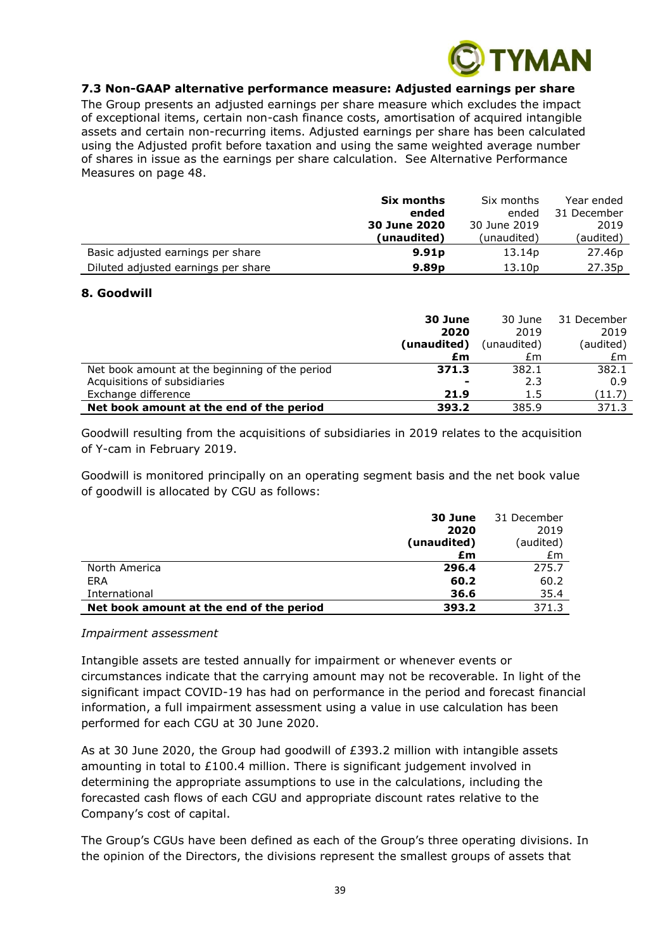

#### **7.3 Non-GAAP alternative performance measure: Adjusted earnings per share**

The Group presents an adjusted earnings per share measure which excludes the impact of exceptional items, certain non-cash finance costs, amortisation of acquired intangible assets and certain non-recurring items. Adjusted earnings per share has been calculated using the Adjusted profit before taxation and using the same weighted average number of shares in issue as the earnings per share calculation. See Alternative Performance Measures on page 48.

|                                     | Six months        | Six months   | Year ended         |
|-------------------------------------|-------------------|--------------|--------------------|
|                                     | ended             | ended        | 31 December        |
|                                     | 30 June 2020      | 30 June 2019 | 2019               |
|                                     | (unaudited)       | (unaudited)  | (audited)          |
| Basic adjusted earnings per share   | 9.91 <sub>p</sub> | 13.14p       | 27.46p             |
| Diluted adjusted earnings per share | 9.89 <sub>p</sub> | 13.10p       | 27.35 <sub>p</sub> |

#### **8. Goodwill**

|                                                | 30 June<br>2020          | 30 June<br>2019 | 31 December<br>2019 |
|------------------------------------------------|--------------------------|-----------------|---------------------|
|                                                | (unaudited)              | (unaudited)     | (audited)           |
|                                                | £m                       | £m              | £m                  |
| Net book amount at the beginning of the period | 371.3                    | 382.1           | 382.1               |
| Acquisitions of subsidiaries                   | $\overline{\phantom{a}}$ | 2.3             | 0.9                 |
| Exchange difference                            | 21.9                     | 1.5             | (11.7)              |
| Net book amount at the end of the period       | 393.2                    | 385.9           | 371.3               |

Goodwill resulting from the acquisitions of subsidiaries in 2019 relates to the acquisition of Y-cam in February 2019.

Goodwill is monitored principally on an operating segment basis and the net book value of goodwill is allocated by CGU as follows:

|                                          | 30 June     | 31 December |
|------------------------------------------|-------------|-------------|
|                                          | 2020        | 2019        |
|                                          | (unaudited) | (audited)   |
|                                          | £m          | £m          |
| North America                            | 296.4       | 275.7       |
| ERA                                      | 60.2        | 60.2        |
| International                            | 36.6        | 35.4        |
| Net book amount at the end of the period | 393.2       | 371.3       |

#### *Impairment assessment*

Intangible assets are tested annually for impairment or whenever events or circumstances indicate that the carrying amount may not be recoverable. In light of the significant impact COVID-19 has had on performance in the period and forecast financial information, a full impairment assessment using a value in use calculation has been performed for each CGU at 30 June 2020.

As at 30 June 2020, the Group had goodwill of £393.2 million with intangible assets amounting in total to £100.4 million. There is significant judgement involved in determining the appropriate assumptions to use in the calculations, including the forecasted cash flows of each CGU and appropriate discount rates relative to the Company's cost of capital.

The Group's CGUs have been defined as each of the Group's three operating divisions. In the opinion of the Directors, the divisions represent the smallest groups of assets that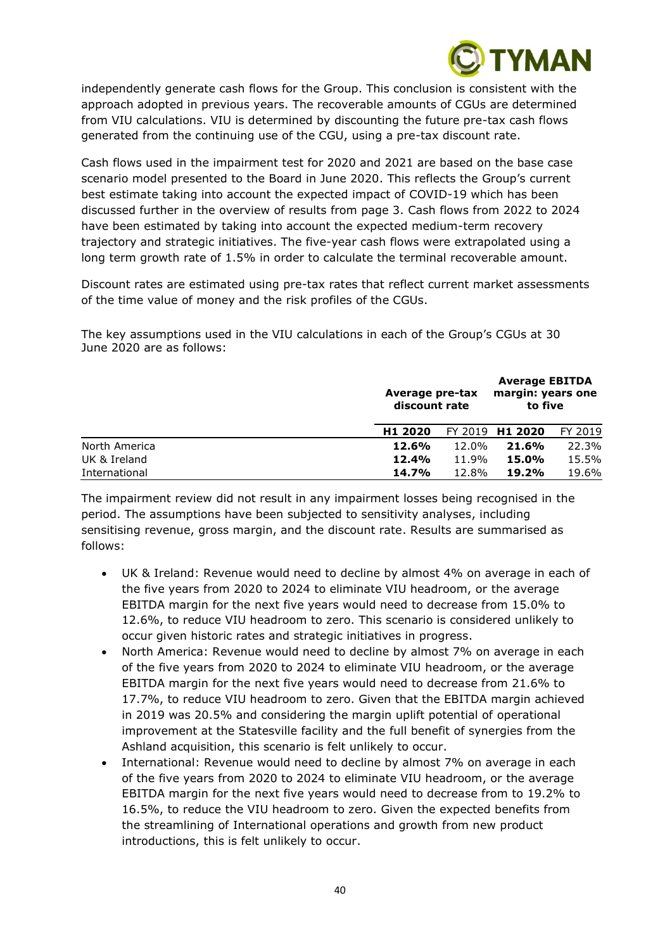

independently generate cash flows for the Group. This conclusion is consistent with the approach adopted in previous years. The recoverable amounts of CGUs are determined from VIU calculations. VIU is determined by discounting the future pre-tax cash flows generated from the continuing use of the CGU, using a pre-tax discount rate.

Cash flows used in the impairment test for 2020 and 2021 are based on the base case scenario model presented to the Board in June 2020. This reflects the Group's current best estimate taking into account the expected impact of COVID-19 which has been discussed further in the overview of results from page 3. Cash flows from 2022 to 2024 have been estimated by taking into account the expected medium-term recovery trajectory and strategic initiatives. The five-year cash flows were extrapolated using a long term growth rate of 1.5% in order to calculate the terminal recoverable amount.

Discount rates are estimated using pre-tax rates that reflect current market assessments of the time value of money and the risk profiles of the CGUs.

The key assumptions used in the VIU calculations in each of the Group's CGUs at 30 June 2020 are as follows:

|               |                     | Average pre-tax<br>discount rate |                 | <b>Average EBITDA</b><br>margin: years one<br>to five |
|---------------|---------------------|----------------------------------|-----------------|-------------------------------------------------------|
|               | H <sub>1</sub> 2020 |                                  | FY 2019 H1 2020 | FY 2019                                               |
| North America | 12.6%               | 12.0%                            | 21.6%           | 22.3%                                                 |
| UK & Ireland  | 12.4%               | 11.9%                            | 15.0%           | 15.5%                                                 |
| International | 14.7%               | 12.8%                            | 19.2%           | 19.6%                                                 |

The impairment review did not result in any impairment losses being recognised in the period. The assumptions have been subjected to sensitivity analyses, including sensitising revenue, gross margin, and the discount rate. Results are summarised as follows:

- UK & Ireland: Revenue would need to decline by almost 4% on average in each of the five years from 2020 to 2024 to eliminate VIU headroom, or the average EBITDA margin for the next five years would need to decrease from 15.0% to 12.6%, to reduce VIU headroom to zero. This scenario is considered unlikely to occur given historic rates and strategic initiatives in progress.
- North America: Revenue would need to decline by almost 7% on average in each of the five years from 2020 to 2024 to eliminate VIU headroom, or the average EBITDA margin for the next five years would need to decrease from 21.6% to 17.7%, to reduce VIU headroom to zero. Given that the EBITDA margin achieved in 2019 was 20.5% and considering the margin uplift potential of operational improvement at the Statesville facility and the full benefit of synergies from the Ashland acquisition, this scenario is felt unlikely to occur.
- International: Revenue would need to decline by almost 7% on average in each of the five years from 2020 to 2024 to eliminate VIU headroom, or the average EBITDA margin for the next five years would need to decrease from to 19.2% to 16.5%, to reduce the VIU headroom to zero. Given the expected benefits from the streamlining of International operations and growth from new product introductions, this is felt unlikely to occur.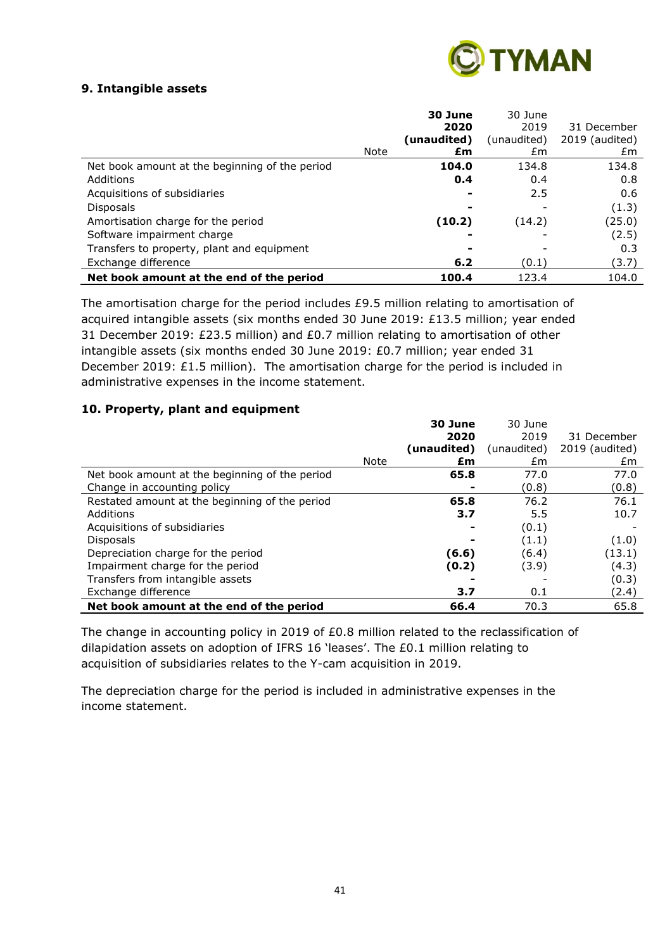

# **9. Intangible assets**

|                                                |      | 30 June     | 30 June     |                |
|------------------------------------------------|------|-------------|-------------|----------------|
|                                                |      | 2020        | 2019        | 31 December    |
|                                                |      | (unaudited) | (unaudited) | 2019 (audited) |
|                                                | Note | £m          | £m          | £m             |
| Net book amount at the beginning of the period |      | 104.0       | 134.8       | 134.8          |
| Additions                                      |      | 0.4         | 0.4         | 0.8            |
| Acquisitions of subsidiaries                   |      |             | 2.5         | 0.6            |
| <b>Disposals</b>                               |      |             |             | (1.3)          |
| Amortisation charge for the period             |      | (10.2)      | (14.2)      | (25.0)         |
| Software impairment charge                     |      |             |             | (2.5)          |
| Transfers to property, plant and equipment     |      |             |             | 0.3            |
| Exchange difference                            |      | 6.2         | (0.1)       | (3.7)          |
| Net book amount at the end of the period       |      | 100.4       | 123.4       | 104.0          |

The amortisation charge for the period includes £9.5 million relating to amortisation of acquired intangible assets (six months ended 30 June 2019: £13.5 million; year ended 31 December 2019: £23.5 million) and £0.7 million relating to amortisation of other intangible assets (six months ended 30 June 2019: £0.7 million; year ended 31 December 2019:  $£1.5$  million). The amortisation charge for the period is included in administrative expenses in the income statement.

# **10. Property, plant and equipment**

|                                                |      | 30 June     | 30 June     |                |
|------------------------------------------------|------|-------------|-------------|----------------|
|                                                |      | 2020        | 2019        | 31 December    |
|                                                |      | (unaudited) | (unaudited) | 2019 (audited) |
|                                                | Note | £m          | £m          | £m             |
| Net book amount at the beginning of the period |      | 65.8        | 77.0        | 77.0           |
| Change in accounting policy                    |      |             | (0.8)       | (0.8)          |
| Restated amount at the beginning of the period |      | 65.8        | 76.2        | 76.1           |
| Additions                                      |      | 3.7         | 5.5         | 10.7           |
| Acquisitions of subsidiaries                   |      |             | (0.1)       |                |
| <b>Disposals</b>                               |      |             | (1.1)       | (1.0)          |
| Depreciation charge for the period             |      | (6.6)       | (6.4)       | (13.1)         |
| Impairment charge for the period               |      | (0.2)       | (3.9)       | (4.3)          |
| Transfers from intangible assets               |      |             |             | (0.3)          |
| Exchange difference                            |      | 3.7         | 0.1         | (2.4)          |
| Net book amount at the end of the period       |      | 66.4        | 70.3        | 65.8           |

The change in accounting policy in 2019 of £0.8 million related to the reclassification of dilapidation assets on adoption of IFRS 16 'leases'. The £0.1 million relating to acquisition of subsidiaries relates to the Y-cam acquisition in 2019.

The depreciation charge for the period is included in administrative expenses in the income statement.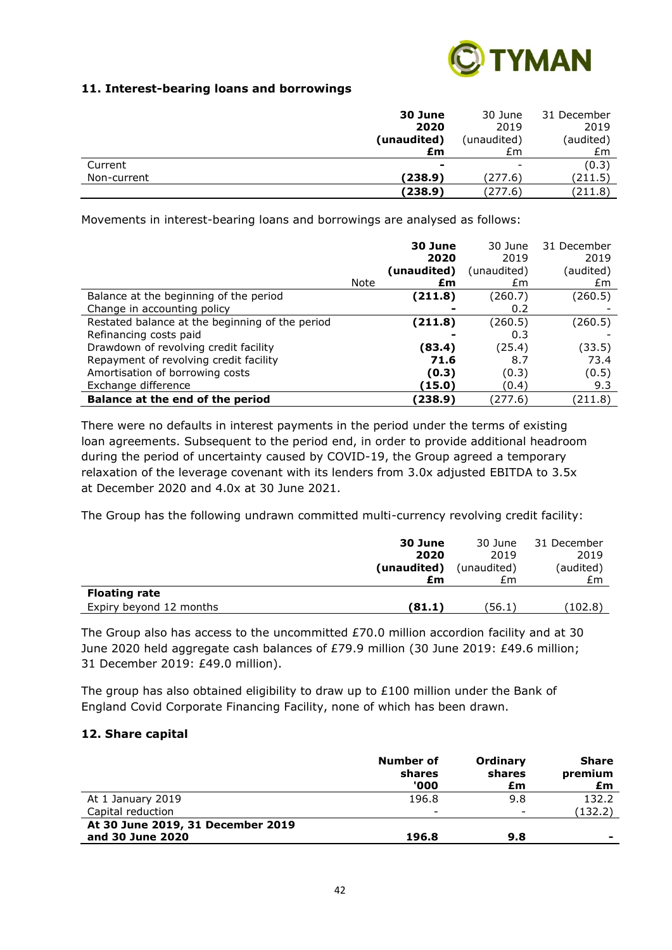

# **11. Interest-bearing loans and borrowings**

|             | 30 June        | 30 June                  | 31 December |
|-------------|----------------|--------------------------|-------------|
|             | 2020           | 2019                     | 2019        |
|             | (unaudited)    | (unaudited)              | (audited)   |
|             | £m             | £m                       | £m          |
| Current     | $\blacksquare$ | $\overline{\phantom{0}}$ | (0.3)       |
| Non-current | (238.9)        | (277.6)                  | (211.5)     |
|             | (238.9)        | (277.6)                  | (211.8)     |

Movements in interest-bearing loans and borrowings are analysed as follows:

|                                                 |      | 30 June<br>2020 | 30 June<br>2019 | 31 December<br>2019 |
|-------------------------------------------------|------|-----------------|-----------------|---------------------|
|                                                 |      | (unaudited)     | (unaudited)     | (audited)           |
|                                                 | Note | £m              | £m              | £m                  |
| Balance at the beginning of the period          |      | (211.8)         | (260.7)         | (260.5)             |
| Change in accounting policy                     |      |                 | 0.2             |                     |
| Restated balance at the beginning of the period |      | (211.8)         | (260.5)         | (260.5)             |
| Refinancing costs paid                          |      |                 | 0.3             |                     |
| Drawdown of revolving credit facility           |      | (83.4)          | (25.4)          | (33.5)              |
| Repayment of revolving credit facility          |      | 71.6            | 8.7             | 73.4                |
| Amortisation of borrowing costs                 |      | (0.3)           | (0.3)           | (0.5)               |
| Exchange difference                             |      | (15.0)          | (0.4)           | 9.3                 |
| Balance at the end of the period                |      | (238.9)         | (277.6)         | (211.8)             |

There were no defaults in interest payments in the period under the terms of existing loan agreements. Subsequent to the period end, in order to provide additional headroom during the period of uncertainty caused by COVID-19, the Group agreed a temporary relaxation of the leverage covenant with its lenders from 3.0x adjusted EBITDA to 3.5x at December 2020 and 4.0x at 30 June 2021.

The Group has the following undrawn committed multi-currency revolving credit facility:

|                         | 30 June     | 30 June     | 31 December |
|-------------------------|-------------|-------------|-------------|
|                         | 2020        | 2019        | 2019        |
|                         | (unaudited) | (unaudited) | (audited)   |
|                         | £m          | £m          | £m          |
| <b>Floating rate</b>    |             |             |             |
| Expiry beyond 12 months | (81.1)      | (56.1)      | (102.8)     |

The Group also has access to the uncommitted £70.0 million accordion facility and at 30 June 2020 held aggregate cash balances of £79.9 million (30 June 2019: £49.6 million; 31 December 2019: £49.0 million).

The group has also obtained eligibility to draw up to £100 million under the Bank of England Covid Corporate Financing Facility, none of which has been drawn.

# **12. Share capital**

|                                   | Number of<br>shares<br>'000 | Ordinary<br>shares<br>£m | <b>Share</b><br>premium<br>£m |
|-----------------------------------|-----------------------------|--------------------------|-------------------------------|
| At 1 January 2019                 | 196.8                       | 9.8                      | 132.2                         |
| Capital reduction                 | -                           | $\overline{\phantom{a}}$ | (132.2)                       |
| At 30 June 2019, 31 December 2019 |                             |                          |                               |
| and 30 June 2020                  | 196.8                       | 9.8                      | -                             |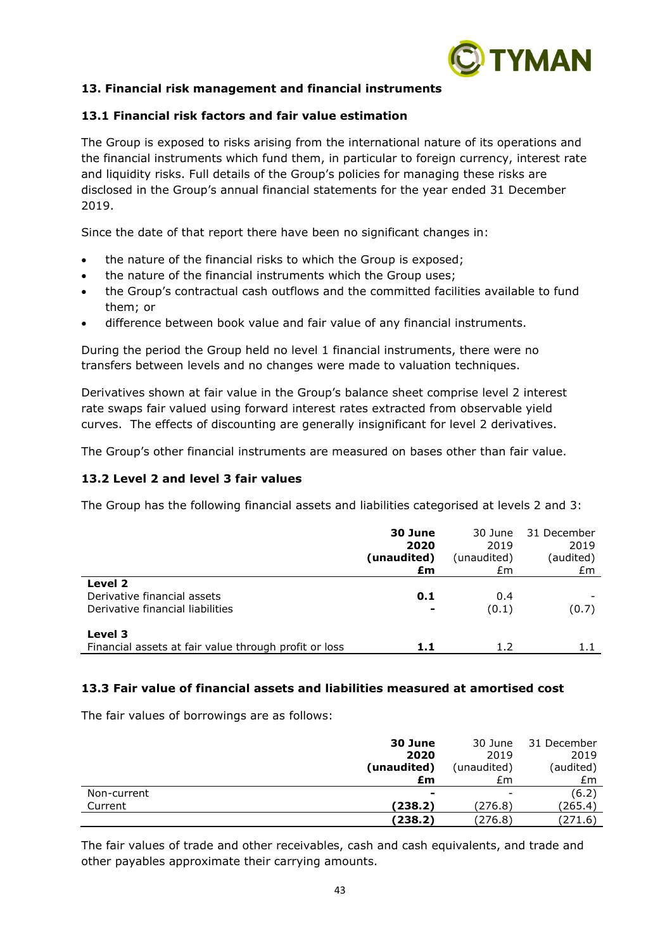

# **13. Financial risk management and financial instruments**

#### **13.1 Financial risk factors and fair value estimation**

The Group is exposed to risks arising from the international nature of its operations and the financial instruments which fund them, in particular to foreign currency, interest rate and liquidity risks. Full details of the Group's policies for managing these risks are disclosed in the Group's annual financial statements for the year ended 31 December 2019.

Since the date of that report there have been no significant changes in:

- the nature of the financial risks to which the Group is exposed;
- the nature of the financial instruments which the Group uses;
- the Group's contractual cash outflows and the committed facilities available to fund them; or
- difference between book value and fair value of any financial instruments.

During the period the Group held no level 1 financial instruments, there were no transfers between levels and no changes were made to valuation techniques.

Derivatives shown at fair value in the Group's balance sheet comprise level 2 interest rate swaps fair valued using forward interest rates extracted from observable yield curves. The effects of discounting are generally insignificant for level 2 derivatives.

The Group's other financial instruments are measured on bases other than fair value.

# **13.2 Level 2 and level 3 fair values**

The Group has the following financial assets and liabilities categorised at levels 2 and 3:

|                                                       | 30 June     | 30 June     | 31 December |
|-------------------------------------------------------|-------------|-------------|-------------|
|                                                       | 2020        | 2019        | 2019        |
|                                                       | (unaudited) | (unaudited) | (audited)   |
|                                                       | £m          | £m          | £m          |
| Level 2                                               |             |             |             |
| Derivative financial assets                           | 0.1         | 0.4         |             |
| Derivative financial liabilities                      | $\,$        | (0.1)       | (0.7)       |
| Level 3                                               |             |             |             |
| Financial assets at fair value through profit or loss | 1.1         | 1.2         | 1.1         |

#### **13.3 Fair value of financial assets and liabilities measured at amortised cost**

The fair values of borrowings are as follows:

|             | 30 June     | 30 June                  | 31 December |
|-------------|-------------|--------------------------|-------------|
|             | 2020        | 2019                     | 2019        |
|             | (unaudited) | (unaudited)              | (audited)   |
|             | £m          | £m                       | £m          |
| Non-current |             | $\overline{\phantom{a}}$ | (6.2)       |
| Current     | (238.2)     | (276.8)                  | (265.4)     |
|             | (238.2)     | (276.8)                  | (271.6)     |

The fair values of trade and other receivables, cash and cash equivalents, and trade and other payables approximate their carrying amounts.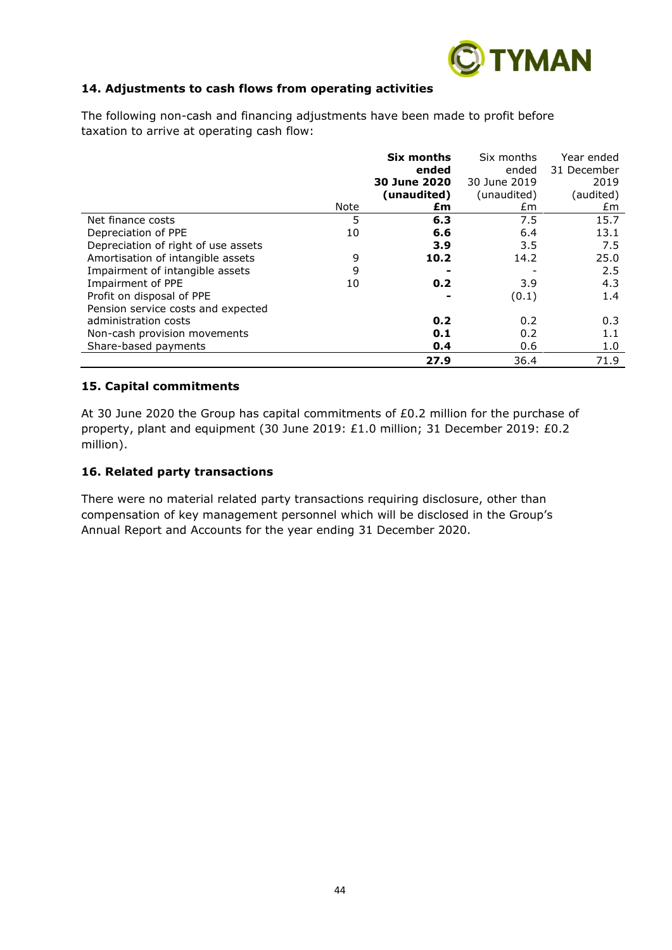

# **14. Adjustments to cash flows from operating activities**

|                                     |      | Six months   | Six months   | Year ended  |
|-------------------------------------|------|--------------|--------------|-------------|
|                                     |      | ended        | ended        | 31 December |
|                                     |      | 30 June 2020 | 30 June 2019 | 2019        |
|                                     |      | (unaudited)  | (unaudited)  | (audited)   |
|                                     | Note | £m           | £m.          | £m          |
| Net finance costs                   | 5    | 6.3          | 7.5          | 15.7        |
| Depreciation of PPE                 | 10   | 6.6          | 6.4          | 13.1        |
| Depreciation of right of use assets |      | 3.9          | 3.5          | 7.5         |
| Amortisation of intangible assets   | 9    | 10.2         | 14.2         | 25.0        |
| Impairment of intangible assets     | 9    |              |              | 2.5         |
| Impairment of PPE                   | 10   | 0.2          | 3.9          | 4.3         |
| Profit on disposal of PPE           |      |              | (0.1)        | 1.4         |
| Pension service costs and expected  |      |              |              |             |
| administration costs                |      | 0.2          | 0.2          | 0.3         |
| Non-cash provision movements        |      | 0.1          | 0.2          | 1.1         |
| Share-based payments                |      | 0.4          | 0.6          | 1.0         |
|                                     |      | 27.9         | 36.4         | 71.9        |

The following non-cash and financing adjustments have been made to profit before taxation to arrive at operating cash flow:

#### **15. Capital commitments**

At 30 June 2020 the Group has capital commitments of £0.2 million for the purchase of property, plant and equipment (30 June 2019: £1.0 million; 31 December 2019: £0.2 million).

#### **16. Related party transactions**

There were no material related party transactions requiring disclosure, other than compensation of key management personnel which will be disclosed in the Group's Annual Report and Accounts for the year ending 31 December 2020.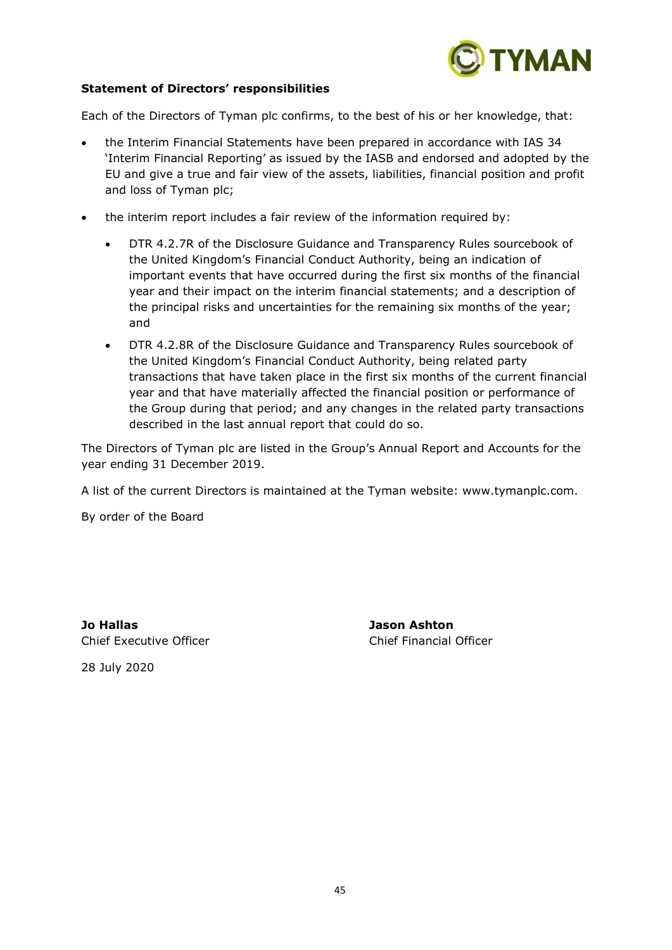

#### **Statement of Directors' responsibilities**

Each of the Directors of Tyman plc confirms, to the best of his or her knowledge, that:

- the Interim Financial Statements have been prepared in accordance with IAS 34 'Interim Financial Reporting' as issued by the IASB and endorsed and adopted by the EU and give a true and fair view of the assets, liabilities, financial position and profit and loss of Tyman plc;
- the interim report includes a fair review of the information required by:
	- DTR 4.2.7R of the Disclosure Guidance and Transparency Rules sourcebook of the United Kingdom's Financial Conduct Authority, being an indication of important events that have occurred during the first six months of the financial year and their impact on the interim financial statements; and a description of the principal risks and uncertainties for the remaining six months of the year; and
	- DTR 4.2.8R of the Disclosure Guidance and Transparency Rules sourcebook of the United Kingdom's Financial Conduct Authority, being related party transactions that have taken place in the first six months of the current financial year and that have materially affected the financial position or performance of the Group during that period; and any changes in the related party transactions described in the last annual report that could do so.

The Directors of Tyman plc are listed in the Group's Annual Report and Accounts for the year ending 31 December 2019.

A list of the current Directors is maintained at the Tyman website: www.tymanplc.com.

By order of the Board

**Jo Hallas Jason Ashton** Chief Executive Officer Chief Financial Officer

28 July 2020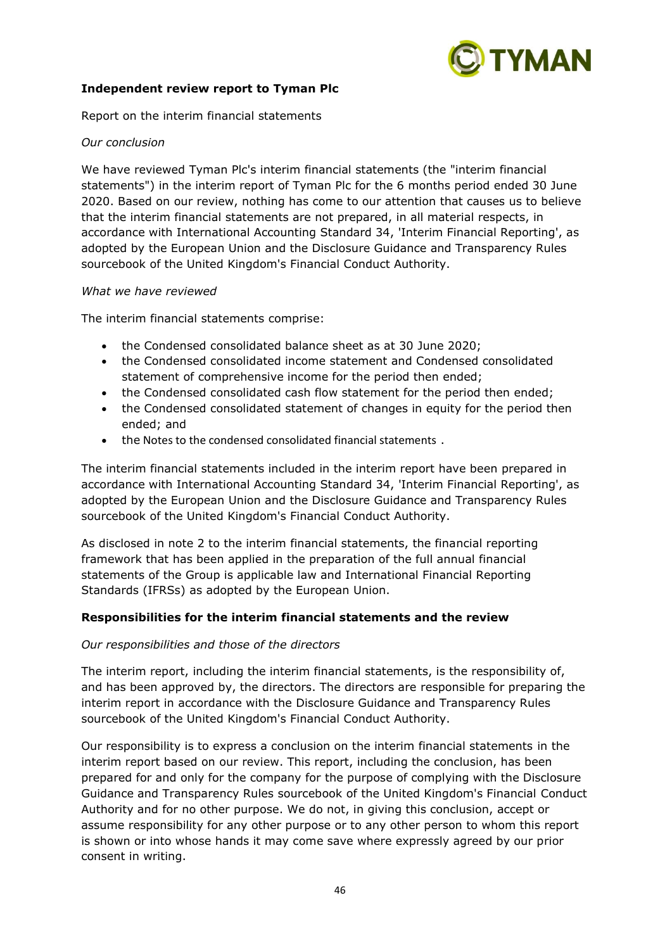

# **Independent review report to Tyman Plc**

Report on the interim financial statements

#### *Our conclusion*

We have reviewed Tyman Plc's interim financial statements (the "interim financial statements") in the interim report of Tyman Plc for the 6 months period ended 30 June 2020. Based on our review, nothing has come to our attention that causes us to believe that the interim financial statements are not prepared, in all material respects, in accordance with International Accounting Standard 34, 'Interim Financial Reporting', as adopted by the European Union and the Disclosure Guidance and Transparency Rules sourcebook of the United Kingdom's Financial Conduct Authority.

#### *What we have reviewed*

The interim financial statements comprise:

- the Condensed consolidated balance sheet as at 30 June 2020;
- the Condensed consolidated income statement and Condensed consolidated statement of comprehensive income for the period then ended;
- the Condensed consolidated cash flow statement for the period then ended;
- the Condensed consolidated statement of changes in equity for the period then ended; and
- the Notes to the condensed consolidated financial statements .

The interim financial statements included in the interim report have been prepared in accordance with International Accounting Standard 34, 'Interim Financial Reporting', as adopted by the European Union and the Disclosure Guidance and Transparency Rules sourcebook of the United Kingdom's Financial Conduct Authority.

As disclosed in note 2 to the interim financial statements, the financial reporting framework that has been applied in the preparation of the full annual financial statements of the Group is applicable law and International Financial Reporting Standards (IFRSs) as adopted by the European Union.

# **Responsibilities for the interim financial statements and the review**

#### *Our responsibilities and those of the directors*

The interim report, including the interim financial statements, is the responsibility of, and has been approved by, the directors. The directors are responsible for preparing the interim report in accordance with the Disclosure Guidance and Transparency Rules sourcebook of the United Kingdom's Financial Conduct Authority.

Our responsibility is to express a conclusion on the interim financial statements in the interim report based on our review. This report, including the conclusion, has been prepared for and only for the company for the purpose of complying with the Disclosure Guidance and Transparency Rules sourcebook of the United Kingdom's Financial Conduct Authority and for no other purpose. We do not, in giving this conclusion, accept or assume responsibility for any other purpose or to any other person to whom this report is shown or into whose hands it may come save where expressly agreed by our prior consent in writing.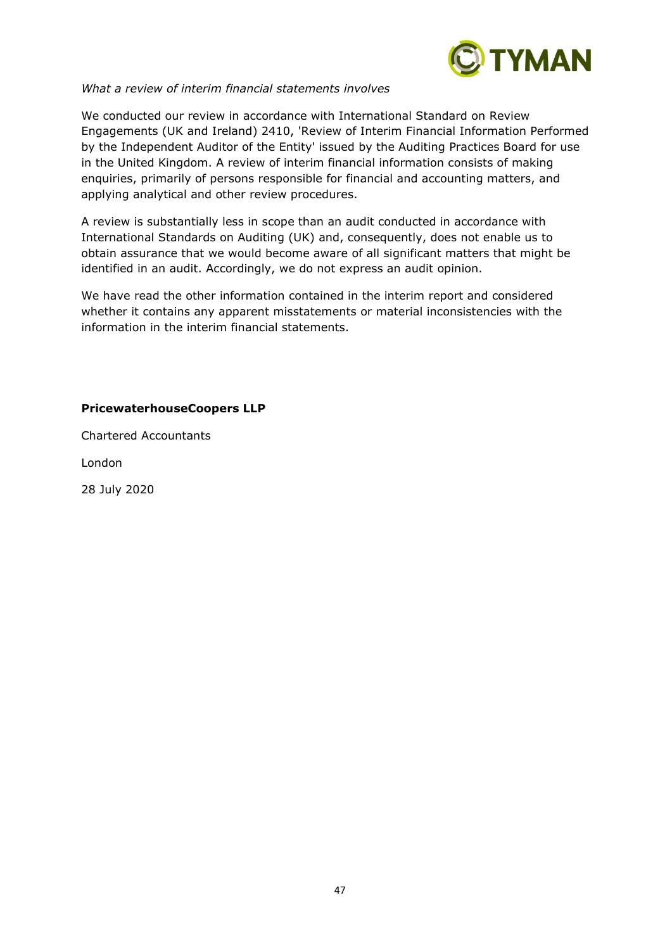

#### *What a review of interim financial statements involves*

We conducted our review in accordance with International Standard on Review Engagements (UK and Ireland) 2410, 'Review of Interim Financial Information Performed by the Independent Auditor of the Entity' issued by the Auditing Practices Board for use in the United Kingdom. A review of interim financial information consists of making enquiries, primarily of persons responsible for financial and accounting matters, and applying analytical and other review procedures.

A review is substantially less in scope than an audit conducted in accordance with International Standards on Auditing (UK) and, consequently, does not enable us to obtain assurance that we would become aware of all significant matters that might be identified in an audit. Accordingly, we do not express an audit opinion.

We have read the other information contained in the interim report and considered whether it contains any apparent misstatements or material inconsistencies with the information in the interim financial statements.

# **PricewaterhouseCoopers LLP**

Chartered Accountants

London

28 July 2020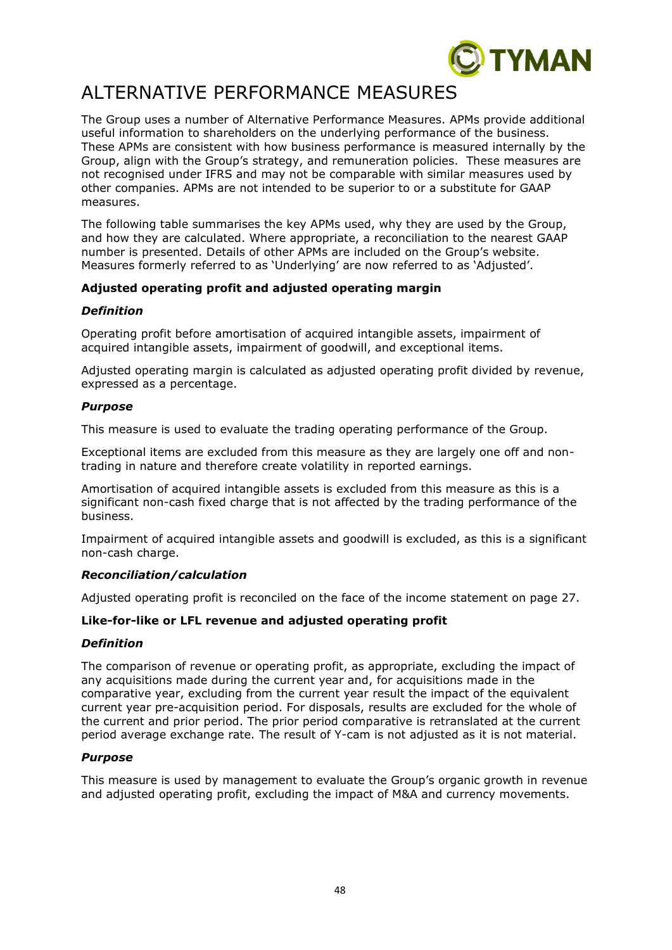

# ALTERNATIVE PERFORMANCE MEASURES

The Group uses a number of Alternative Performance Measures. APMs provide additional useful information to shareholders on the underlying performance of the business. These APMs are consistent with how business performance is measured internally by the Group, align with the Group's strategy, and remuneration policies. These measures are not recognised under IFRS and may not be comparable with similar measures used by other companies. APMs are not intended to be superior to or a substitute for GAAP measures.

The following table summarises the key APMs used, why they are used by the Group, and how they are calculated. Where appropriate, a reconciliation to the nearest GAAP number is presented. Details of other APMs are included on the Group's website. Measures formerly referred to as 'Underlying' are now referred to as 'Adjusted'.

# **Adjusted operating profit and adjusted operating margin**

# *Definition*

Operating profit before amortisation of acquired intangible assets, impairment of acquired intangible assets, impairment of goodwill, and exceptional items.

Adjusted operating margin is calculated as adjusted operating profit divided by revenue, expressed as a percentage.

# *Purpose*

This measure is used to evaluate the trading operating performance of the Group.

Exceptional items are excluded from this measure as they are largely one off and nontrading in nature and therefore create volatility in reported earnings.

Amortisation of acquired intangible assets is excluded from this measure as this is a significant non-cash fixed charge that is not affected by the trading performance of the business.

Impairment of acquired intangible assets and goodwill is excluded, as this is a significant non-cash charge.

# *Reconciliation/calculation*

Adjusted operating profit is reconciled on the face of the income statement on page 27.

# **Like-for-like or LFL revenue and adjusted operating profit**

# *Definition*

The comparison of revenue or operating profit, as appropriate, excluding the impact of any acquisitions made during the current year and, for acquisitions made in the comparative year, excluding from the current year result the impact of the equivalent current year pre-acquisition period. For disposals, results are excluded for the whole of the current and prior period. The prior period comparative is retranslated at the current period average exchange rate. The result of Y-cam is not adjusted as it is not material.

# *Purpose*

This measure is used by management to evaluate the Group's organic growth in revenue and adjusted operating profit, excluding the impact of M&A and currency movements.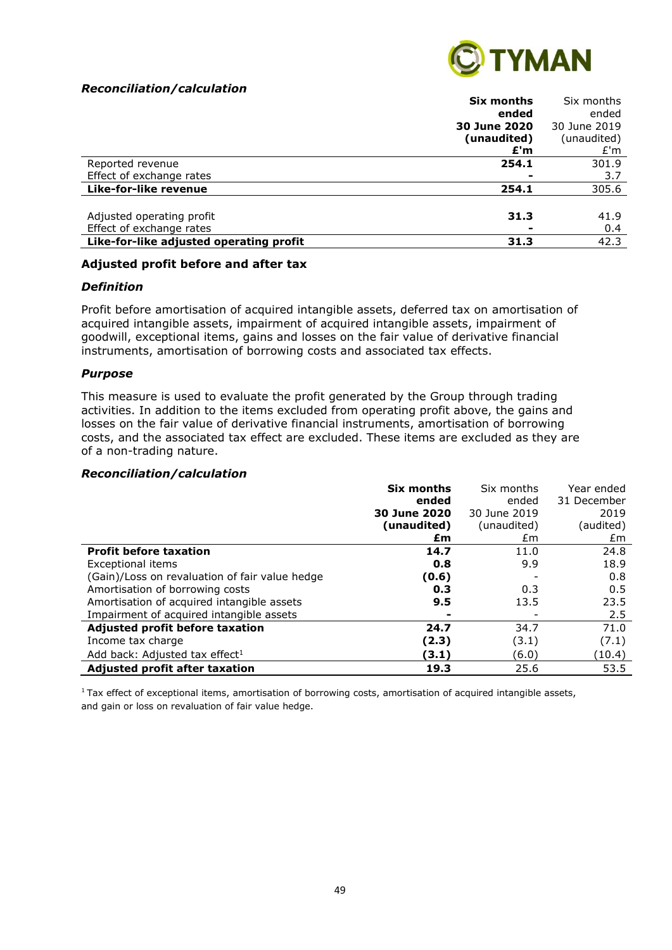#### *Reconciliation/calculation*



| ended<br>ended<br>30 June 2020<br>30 June 2019<br>(unaudited)<br>(unaudited)<br>£'m<br>£'m<br>301.9<br>254.1<br>Reported revenue<br>Effect of exchange rates<br>3.7<br>Like-for-like revenue<br>305.6<br>254.1 |
|----------------------------------------------------------------------------------------------------------------------------------------------------------------------------------------------------------------|
|                                                                                                                                                                                                                |
|                                                                                                                                                                                                                |
|                                                                                                                                                                                                                |
|                                                                                                                                                                                                                |
|                                                                                                                                                                                                                |
|                                                                                                                                                                                                                |
|                                                                                                                                                                                                                |
|                                                                                                                                                                                                                |
| Adjusted operating profit<br>41.9<br>31.3                                                                                                                                                                      |
| Effect of exchange rates<br>0.4                                                                                                                                                                                |
| Like-for-like adjusted operating profit<br>42.3<br>31.3                                                                                                                                                        |

#### **Adjusted profit before and after tax**

#### *Definition*

Profit before amortisation of acquired intangible assets, deferred tax on amortisation of acquired intangible assets, impairment of acquired intangible assets, impairment of goodwill, exceptional items, gains and losses on the fair value of derivative financial instruments, amortisation of borrowing costs and associated tax effects.

#### *Purpose*

This measure is used to evaluate the profit generated by the Group through trading activities. In addition to the items excluded from operating profit above, the gains and losses on the fair value of derivative financial instruments, amortisation of borrowing costs, and the associated tax effect are excluded. These items are excluded as they are of a non-trading nature.

#### *Reconciliation/calculation*

|                                                | Six months   | Six months   | Year ended  |
|------------------------------------------------|--------------|--------------|-------------|
|                                                | ended        | ended        | 31 December |
|                                                | 30 June 2020 | 30 June 2019 | 2019        |
|                                                | (unaudited)  | (unaudited)  | (audited)   |
|                                                | £m           | £m           | £m          |
| <b>Profit before taxation</b>                  | 14.7         | 11.0         | 24.8        |
| Exceptional items                              | 0.8          | 9.9          | 18.9        |
| (Gain)/Loss on revaluation of fair value hedge | (0.6)        |              | 0.8         |
| Amortisation of borrowing costs                | 0.3          | 0.3          | 0.5         |
| Amortisation of acquired intangible assets     | 9.5          | 13.5         | 23.5        |
| Impairment of acquired intangible assets       |              |              | 2.5         |
| Adjusted profit before taxation                | 24.7         | 34.7         | 71.0        |
| Income tax charge                              | (2.3)        | (3.1)        | (7.1)       |
| Add back: Adjusted tax effect <sup>1</sup>     | (3.1)        | (6.0)        | (10.4)      |
| <b>Adjusted profit after taxation</b>          | 19.3         | 25.6         | 53.5        |

 $1$ Tax effect of exceptional items, amortisation of borrowing costs, amortisation of acquired intangible assets, and gain or loss on revaluation of fair value hedge.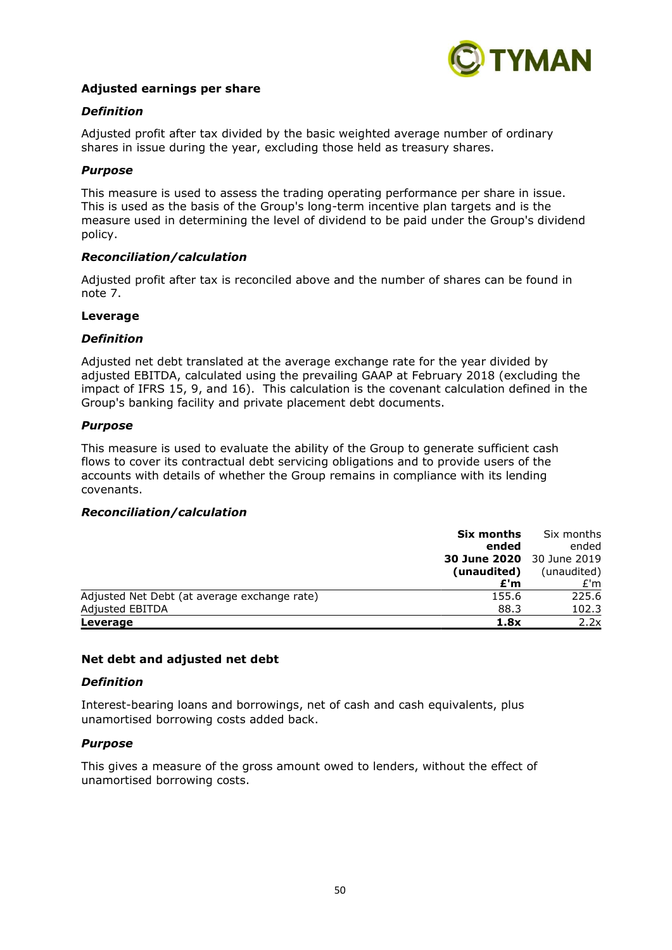

#### **Adjusted earnings per share**

#### *Definition*

Adjusted profit after tax divided by the basic weighted average number of ordinary shares in issue during the year, excluding those held as treasury shares.

#### *Purpose*

This measure is used to assess the trading operating performance per share in issue. This is used as the basis of the Group's long-term incentive plan targets and is the measure used in determining the level of dividend to be paid under the Group's dividend policy.

#### *Reconciliation/calculation*

Adjusted profit after tax is reconciled above and the number of shares can be found in note 7.

#### **Leverage**

#### *Definition*

Adjusted net debt translated at the average exchange rate for the year divided by adjusted EBITDA, calculated using the prevailing GAAP at February 2018 (excluding the impact of IFRS 15, 9, and 16). This calculation is the covenant calculation defined in the Group's banking facility and private placement debt documents.

#### *Purpose*

This measure is used to evaluate the ability of the Group to generate sufficient cash flows to cover its contractual debt servicing obligations and to provide users of the accounts with details of whether the Group remains in compliance with its lending covenants.

#### *Reconciliation/calculation*

|                                              | Six months                       | Six months  |
|----------------------------------------------|----------------------------------|-------------|
|                                              | ended                            | ended       |
|                                              | <b>30 June 2020</b> 30 June 2019 |             |
|                                              | (unaudited)                      | (unaudited) |
|                                              | £'m                              | £'m         |
| Adjusted Net Debt (at average exchange rate) | 155.6                            | 225.6       |
| Adjusted EBITDA                              | 88.3                             | 102.3       |
| Leverage                                     | 1.8x                             | 2.2x        |

#### **Net debt and adjusted net debt**

#### *Definition*

Interest-bearing loans and borrowings, net of cash and cash equivalents, plus unamortised borrowing costs added back.

#### *Purpose*

This gives a measure of the gross amount owed to lenders, without the effect of unamortised borrowing costs.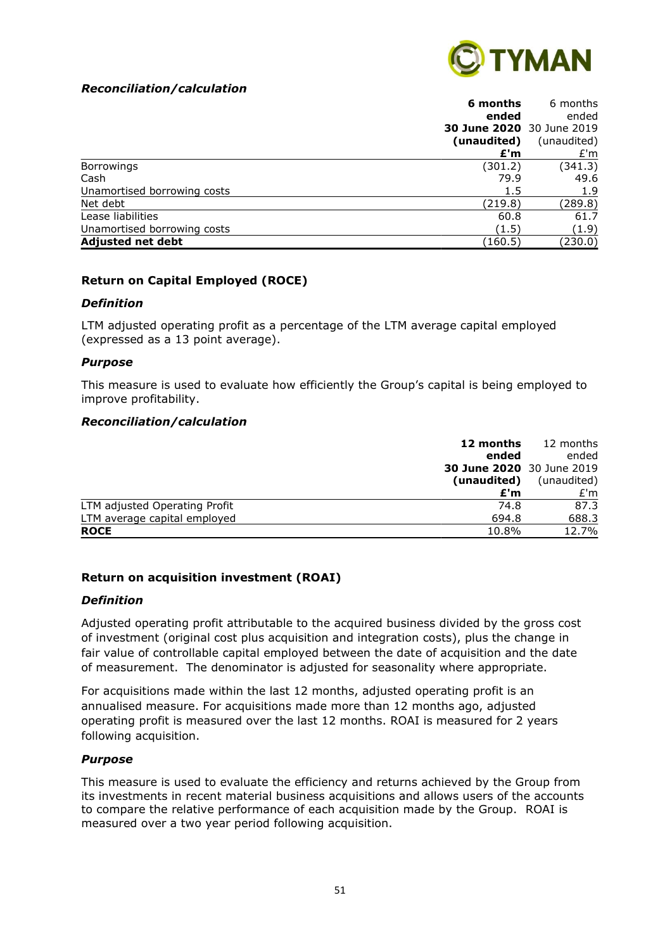# *Reconciliation/calculation*



| 6 months                             | 6 months    |
|--------------------------------------|-------------|
| ended                                | ended       |
| <b>30 June 2020</b> 30 June 2019     |             |
| (unaudited)                          | (unaudited) |
| £'m                                  | E'm         |
| (301.2)<br><b>Borrowings</b>         | (341.3)     |
| Cash<br>79.9                         | 49.6        |
| Unamortised borrowing costs<br>1.5   | 1.9         |
| Net debt<br>(219.8)                  | (289.8)     |
| Lease liabilities<br>60.8            | 61.7        |
| Unamortised borrowing costs<br>(1.5) | (1.9)       |
| <b>Adjusted net debt</b><br>(160.5)  | (230.0)     |

#### **Return on Capital Employed (ROCE)**

#### *Definition*

LTM adjusted operating profit as a percentage of the LTM average capital employed (expressed as a 13 point average).

#### *Purpose*

This measure is used to evaluate how efficiently the Group's capital is being employed to improve profitability.

#### *Reconciliation/calculation*

|                               | 12 months                        | 12 months   |
|-------------------------------|----------------------------------|-------------|
|                               | ended                            | ended       |
|                               | <b>30 June 2020</b> 30 June 2019 |             |
|                               | (unaudited)                      | (unaudited) |
|                               | £'m                              | E'm         |
| LTM adjusted Operating Profit | 74.8                             | 87.3        |
| LTM average capital employed  | 694.8                            | 688.3       |
| <b>ROCE</b>                   | 10.8%                            | 12.7%       |

# **Return on acquisition investment (ROAI)**

#### *Definition*

Adjusted operating profit attributable to the acquired business divided by the gross cost of investment (original cost plus acquisition and integration costs), plus the change in fair value of controllable capital employed between the date of acquisition and the date of measurement. The denominator is adjusted for seasonality where appropriate.

For acquisitions made within the last 12 months, adjusted operating profit is an annualised measure. For acquisitions made more than 12 months ago, adjusted operating profit is measured over the last 12 months. ROAI is measured for 2 years following acquisition.

#### *Purpose*

This measure is used to evaluate the efficiency and returns achieved by the Group from its investments in recent material business acquisitions and allows users of the accounts to compare the relative performance of each acquisition made by the Group. ROAI is measured over a two year period following acquisition.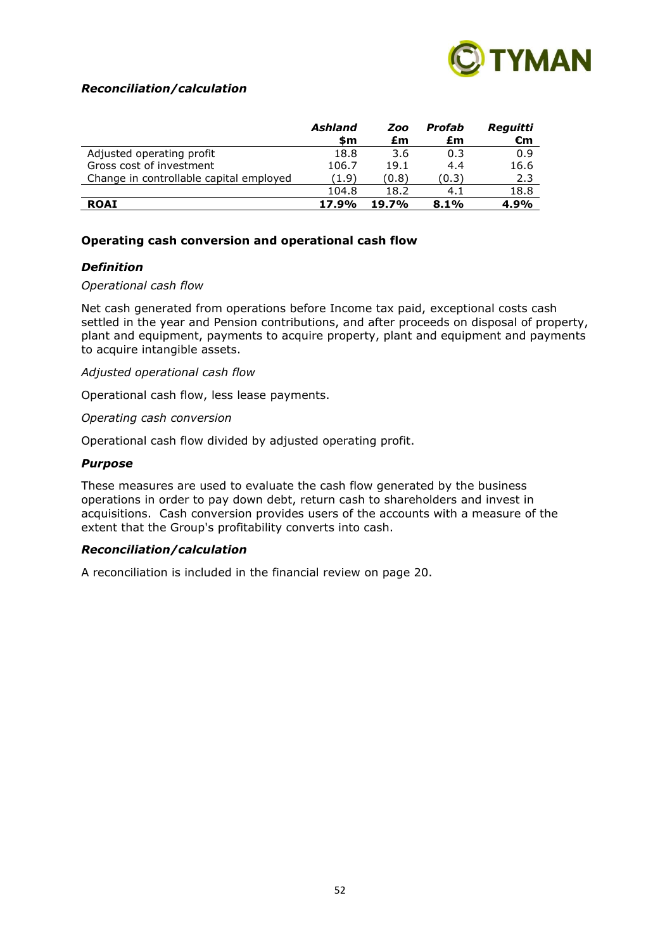

#### *Reconciliation/calculation*

|                                         | Ashland<br>\$m | Zoo<br>£m | Profab<br>£m | Reguitti<br>€m |
|-----------------------------------------|----------------|-----------|--------------|----------------|
| Adjusted operating profit               | 18.8           | 3.6       | 0.3          | 0.9            |
| Gross cost of investment                | 106.7          | 19.1      | 4.4          | 16.6           |
| Change in controllable capital employed | (1.9)          | (0.8)     | (0.3)        | 2.3            |
|                                         | 104.8          | 18.2      | 4.1          | 18.8           |
| <b>ROAI</b>                             | 17.9%          | 19.7%     | 8.1%         | 4.9%           |

#### **Operating cash conversion and operational cash flow**

#### *Definition*

#### *Operational cash flow*

Net cash generated from operations before Income tax paid, exceptional costs cash settled in the year and Pension contributions, and after proceeds on disposal of property, plant and equipment, payments to acquire property, plant and equipment and payments to acquire intangible assets.

#### *Adjusted operational cash flow*

Operational cash flow, less lease payments.

*Operating cash conversion*

Operational cash flow divided by adjusted operating profit.

#### *Purpose*

These measures are used to evaluate the cash flow generated by the business operations in order to pay down debt, return cash to shareholders and invest in acquisitions. Cash conversion provides users of the accounts with a measure of the extent that the Group's profitability converts into cash.

#### *Reconciliation/calculation*

A reconciliation is included in the financial review on page 20.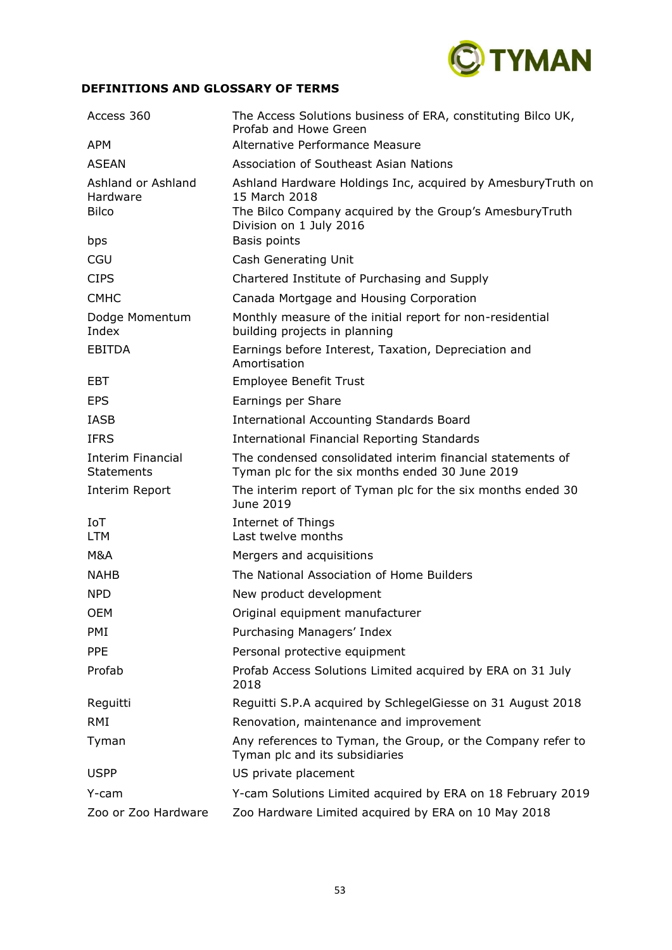

# **DEFINITIONS AND GLOSSARY OF TERMS**

| Access 360                                     | The Access Solutions business of ERA, constituting Bilco UK,<br>Profab and Howe Green                                                                              |
|------------------------------------------------|--------------------------------------------------------------------------------------------------------------------------------------------------------------------|
| <b>APM</b>                                     | Alternative Performance Measure                                                                                                                                    |
| <b>ASEAN</b>                                   | Association of Southeast Asian Nations                                                                                                                             |
| Ashland or Ashland<br>Hardware<br><b>Bilco</b> | Ashland Hardware Holdings Inc, acquired by AmesburyTruth on<br>15 March 2018<br>The Bilco Company acquired by the Group's AmesburyTruth<br>Division on 1 July 2016 |
| bps                                            | Basis points                                                                                                                                                       |
| CGU                                            | Cash Generating Unit                                                                                                                                               |
| <b>CIPS</b>                                    | Chartered Institute of Purchasing and Supply                                                                                                                       |
| <b>CMHC</b>                                    | Canada Mortgage and Housing Corporation                                                                                                                            |
| Dodge Momentum<br>Index                        | Monthly measure of the initial report for non-residential<br>building projects in planning                                                                         |
| <b>EBITDA</b>                                  | Earnings before Interest, Taxation, Depreciation and<br>Amortisation                                                                                               |
| EBT                                            | <b>Employee Benefit Trust</b>                                                                                                                                      |
| <b>EPS</b>                                     | Earnings per Share                                                                                                                                                 |
| <b>IASB</b>                                    | <b>International Accounting Standards Board</b>                                                                                                                    |
| <b>IFRS</b>                                    | <b>International Financial Reporting Standards</b>                                                                                                                 |
| <b>Interim Financial</b><br><b>Statements</b>  | The condensed consolidated interim financial statements of<br>Tyman plc for the six months ended 30 June 2019                                                      |
| Interim Report                                 | The interim report of Tyman plc for the six months ended 30<br>June 2019                                                                                           |
| IoT<br><b>LTM</b>                              | Internet of Things<br>Last twelve months                                                                                                                           |
| M&A                                            | Mergers and acquisitions                                                                                                                                           |
| <b>NAHB</b>                                    | The National Association of Home Builders                                                                                                                          |
| <b>NPD</b>                                     | New product development                                                                                                                                            |
| <b>OEM</b>                                     | Original equipment manufacturer                                                                                                                                    |
| PMI                                            | Purchasing Managers' Index                                                                                                                                         |
| <b>PPE</b>                                     | Personal protective equipment                                                                                                                                      |
| Profab                                         | Profab Access Solutions Limited acquired by ERA on 31 July<br>2018                                                                                                 |
| Reguitti                                       | Reguitti S.P.A acquired by SchlegelGiesse on 31 August 2018                                                                                                        |
| RMI                                            | Renovation, maintenance and improvement                                                                                                                            |
| Tyman                                          | Any references to Tyman, the Group, or the Company refer to<br>Tyman plc and its subsidiaries                                                                      |
| <b>USPP</b>                                    | US private placement                                                                                                                                               |
| Y-cam                                          | Y-cam Solutions Limited acquired by ERA on 18 February 2019                                                                                                        |
| Zoo or Zoo Hardware                            | Zoo Hardware Limited acquired by ERA on 10 May 2018                                                                                                                |